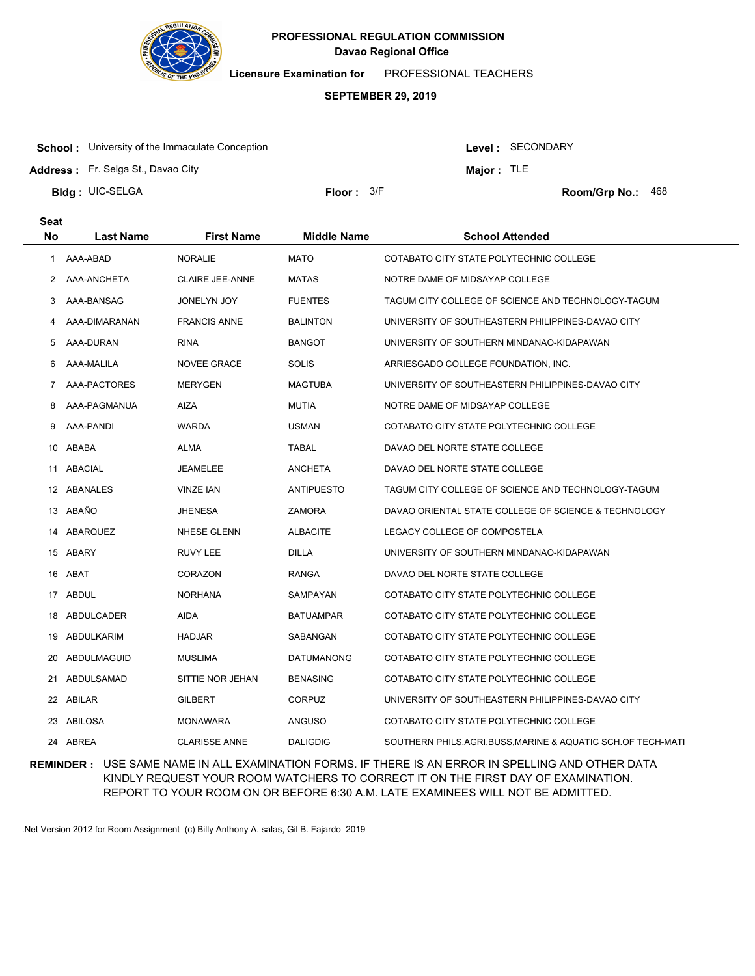

**Licensure Examination for**  PROFESSIONAL TEACHERS

#### **SEPTEMBER 29, 2019**

**School:** University of the Immaculate Conception

Level : SECONDARY

**Major :** TLE

**Address :** Fr. Selga St., Davao City

**Bldg : Floor : Room/Grp No.:** UIC-SELGA Floor:  $3/F$  Room/Grp No.: 468

| <b>Seat</b> |                  |                        |                    |                                                              |
|-------------|------------------|------------------------|--------------------|--------------------------------------------------------------|
| No          | <b>Last Name</b> | <b>First Name</b>      | <b>Middle Name</b> | <b>School Attended</b>                                       |
| 1           | AAA-ABAD         | <b>NORALIE</b>         | <b>MATO</b>        | COTABATO CITY STATE POLYTECHNIC COLLEGE                      |
| 2           | AAA-ANCHETA      | <b>CLAIRE JEE-ANNE</b> | <b>MATAS</b>       | NOTRE DAME OF MIDSAYAP COLLEGE                               |
| 3           | AAA-BANSAG       | <b>JONELYN JOY</b>     | <b>FUENTES</b>     | TAGUM CITY COLLEGE OF SCIENCE AND TECHNOLOGY-TAGUM           |
| 4           | AAA-DIMARANAN    | <b>FRANCIS ANNE</b>    | <b>BALINTON</b>    | UNIVERSITY OF SOUTHEASTERN PHILIPPINES-DAVAO CITY            |
| 5           | AAA-DURAN        | <b>RINA</b>            | <b>BANGOT</b>      | UNIVERSITY OF SOUTHERN MINDANAO-KIDAPAWAN                    |
| 6           | AAA-MALILA       | NOVEE GRACE            | <b>SOLIS</b>       | ARRIESGADO COLLEGE FOUNDATION, INC.                          |
| 7           | AAA-PACTORES     | <b>MERYGEN</b>         | <b>MAGTUBA</b>     | UNIVERSITY OF SOUTHEASTERN PHILIPPINES-DAVAO CITY            |
| 8           | AAA-PAGMANUA     | <b>AIZA</b>            | <b>MUTIA</b>       | NOTRE DAME OF MIDSAYAP COLLEGE                               |
| 9           | AAA-PANDI        | <b>WARDA</b>           | <b>USMAN</b>       | COTABATO CITY STATE POLYTECHNIC COLLEGE                      |
| 10          | ABABA            | ALMA                   | <b>TABAL</b>       | DAVAO DEL NORTE STATE COLLEGE                                |
| 11          | ABACIAL          | <b>JEAMELEE</b>        | <b>ANCHETA</b>     | DAVAO DEL NORTE STATE COLLEGE                                |
|             | 12 ABANALES      | <b>VINZE IAN</b>       | <b>ANTIPUESTO</b>  | TAGUM CITY COLLEGE OF SCIENCE AND TECHNOLOGY-TAGUM           |
|             | 13 ABAÑO         | JHENESA                | <b>ZAMORA</b>      | DAVAO ORIENTAL STATE COLLEGE OF SCIENCE & TECHNOLOGY         |
| 14          | ABARQUEZ         | NHESE GLENN            | <b>ALBACITE</b>    | LEGACY COLLEGE OF COMPOSTELA                                 |
| 15          | ABARY            | RUVY LEE               | DILLA              | UNIVERSITY OF SOUTHERN MINDANAO-KIDAPAWAN                    |
| 16          | ABAT             | CORAZON                | RANGA              | DAVAO DEL NORTE STATE COLLEGE                                |
| 17          | ABDUL            | <b>NORHANA</b>         | SAMPAYAN           | COTABATO CITY STATE POLYTECHNIC COLLEGE                      |
| 18          | ABDULCADER       | AIDA                   | <b>BATUAMPAR</b>   | COTABATO CITY STATE POLYTECHNIC COLLEGE                      |
| 19          | ABDULKARIM       | <b>HADJAR</b>          | SABANGAN           | COTABATO CITY STATE POLYTECHNIC COLLEGE                      |
| 20          | ABDULMAGUID      | <b>MUSLIMA</b>         | <b>DATUMANONG</b>  | COTABATO CITY STATE POLYTECHNIC COLLEGE                      |
| 21          | ABDULSAMAD       | SITTIE NOR JEHAN       | <b>BENASING</b>    | COTABATO CITY STATE POLYTECHNIC COLLEGE                      |
| 22          | ABILAR           | <b>GILBERT</b>         | <b>CORPUZ</b>      | UNIVERSITY OF SOUTHEASTERN PHILIPPINES-DAVAO CITY            |
| 23          | <b>ABILOSA</b>   | MONAWARA               | <b>ANGUSO</b>      | COTABATO CITY STATE POLYTECHNIC COLLEGE                      |
|             | 24 ABREA         | <b>CLARISSE ANNE</b>   | <b>DALIGDIG</b>    | SOUTHERN PHILS.AGRI, BUSS, MARINE & AQUATIC SCH.OF TECH-MATI |

**REMINDER :** USE SAME NAME IN ALL EXAMINATION FORMS. IF THERE IS AN ERROR IN SPELLING AND OTHER DATA KINDLY REQUEST YOUR ROOM WATCHERS TO CORRECT IT ON THE FIRST DAY OF EXAMINATION. REPORT TO YOUR ROOM ON OR BEFORE 6:30 A.M. LATE EXAMINEES WILL NOT BE ADMITTED.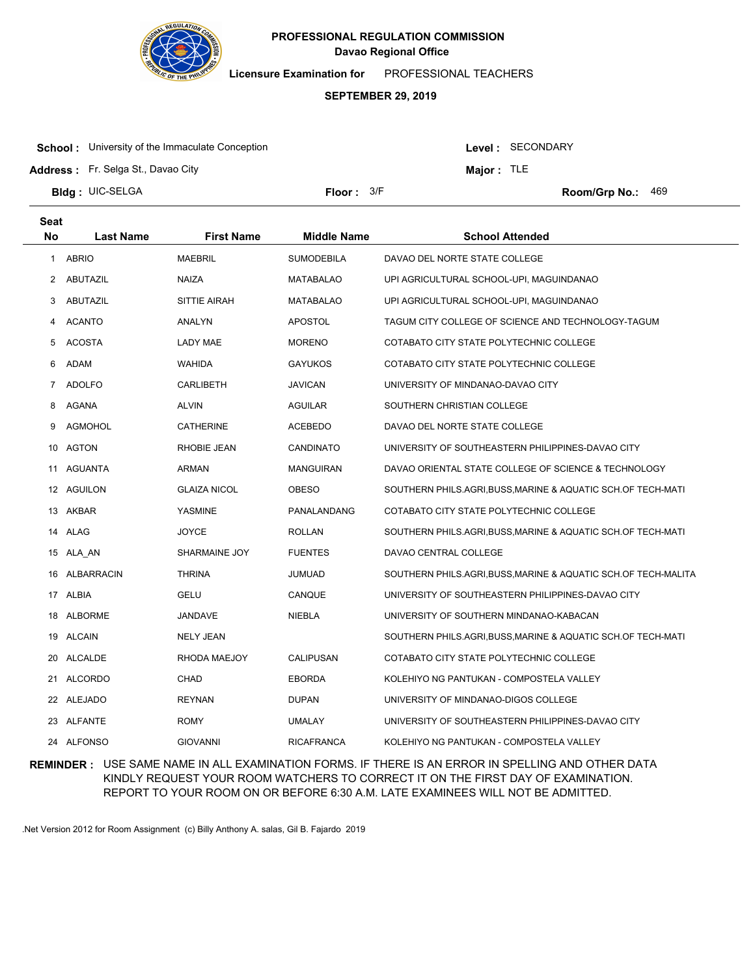

**Licensure Examination for**  PROFESSIONAL TEACHERS

#### **SEPTEMBER 29, 2019**

**School:** University of the Immaculate Conception

Level : SECONDARY

**Major :** TLE

**Address :** Fr. Selga St., Davao City

**Bldg : Floor : Room/Grp No.:** UIC-SELGA

Floor:  $3/F$  Room/Grp No.: 469

| <b>Seat</b>  |                  |                     |                    |                                                              |
|--------------|------------------|---------------------|--------------------|--------------------------------------------------------------|
| <b>No</b>    | <b>Last Name</b> | <b>First Name</b>   | <b>Middle Name</b> | <b>School Attended</b>                                       |
| $\mathbf{1}$ | <b>ABRIO</b>     | <b>MAEBRIL</b>      | <b>SUMODEBILA</b>  | DAVAO DEL NORTE STATE COLLEGE                                |
| 2            | ABUTAZIL         | <b>NAIZA</b>        | <b>MATABALAO</b>   | UPI AGRICULTURAL SCHOOL-UPI, MAGUINDANAO                     |
| 3            | ABUTAZIL         | SITTIE AIRAH        | <b>MATABALAO</b>   | UPI AGRICULTURAL SCHOOL-UPI, MAGUINDANAO                     |
| 4            | <b>ACANTO</b>    | ANALYN              | <b>APOSTOL</b>     | TAGUM CITY COLLEGE OF SCIENCE AND TECHNOLOGY-TAGUM           |
| 5            | <b>ACOSTA</b>    | LADY MAE            | <b>MORENO</b>      | COTABATO CITY STATE POLYTECHNIC COLLEGE                      |
| 6            | ADAM             | <b>WAHIDA</b>       | <b>GAYUKOS</b>     | COTABATO CITY STATE POLYTECHNIC COLLEGE                      |
| 7            | <b>ADOLFO</b>    | CARLIBETH           | <b>JAVICAN</b>     | UNIVERSITY OF MINDANAO-DAVAO CITY                            |
| 8            | AGANA            | <b>ALVIN</b>        | AGUILAR            | SOUTHERN CHRISTIAN COLLEGE                                   |
| 9            | <b>AGMOHOL</b>   | <b>CATHERINE</b>    | <b>ACEBEDO</b>     | DAVAO DEL NORTE STATE COLLEGE                                |
|              | 10 AGTON         | RHOBIE JEAN         | <b>CANDINATO</b>   | UNIVERSITY OF SOUTHEASTERN PHILIPPINES-DAVAO CITY            |
|              | 11 AGUANTA       | ARMAN               | <b>MANGUIRAN</b>   | DAVAO ORIENTAL STATE COLLEGE OF SCIENCE & TECHNOLOGY         |
|              | 12 AGUILON       | <b>GLAIZA NICOL</b> | <b>OBESO</b>       | SOUTHERN PHILS.AGRI,BUSS,MARINE & AQUATIC SCH.OF TECH-MATI   |
|              | 13 AKBAR         | <b>YASMINE</b>      | PANALANDANG        | COTABATO CITY STATE POLYTECHNIC COLLEGE                      |
|              | 14 ALAG          | <b>JOYCE</b>        | <b>ROLLAN</b>      | SOUTHERN PHILS.AGRI,BUSS,MARINE & AQUATIC SCH.OF TECH-MATI   |
|              | 15 ALA AN        | SHARMAINE JOY       | <b>FUENTES</b>     | DAVAO CENTRAL COLLEGE                                        |
| 16           | ALBARRACIN       | <b>THRINA</b>       | <b>JUMUAD</b>      | SOUTHERN PHILS.AGRI,BUSS,MARINE & AQUATIC SCH.OF TECH-MALITA |
|              | 17 ALBIA         | <b>GELU</b>         | CANQUE             | UNIVERSITY OF SOUTHEASTERN PHILIPPINES-DAVAO CITY            |
|              | 18 ALBORME       | JANDAVE             | NIEBLA             | UNIVERSITY OF SOUTHERN MINDANAO-KABACAN                      |
|              | 19 ALCAIN        | <b>NELY JEAN</b>    |                    | SOUTHERN PHILS.AGRI,BUSS,MARINE & AQUATIC SCH.OF TECH-MATI   |
|              | 20 ALCALDE       | RHODA MAEJOY        | <b>CALIPUSAN</b>   | COTABATO CITY STATE POLYTECHNIC COLLEGE                      |
|              | 21 ALCORDO       | <b>CHAD</b>         | <b>EBORDA</b>      | KOLEHIYO NG PANTUKAN - COMPOSTELA VALLEY                     |
|              | 22 ALEJADO       | <b>REYNAN</b>       | <b>DUPAN</b>       | UNIVERSITY OF MINDANAO-DIGOS COLLEGE                         |
|              | 23 ALFANTE       | <b>ROMY</b>         | <b>UMALAY</b>      | UNIVERSITY OF SOUTHEASTERN PHILIPPINES-DAVAO CITY            |
|              | 24 ALFONSO       | <b>GIOVANNI</b>     | <b>RICAFRANCA</b>  | KOLEHIYO NG PANTUKAN - COMPOSTELA VALLEY                     |

**REMINDER :** USE SAME NAME IN ALL EXAMINATION FORMS. IF THERE IS AN ERROR IN SPELLING AND OTHER DATA KINDLY REQUEST YOUR ROOM WATCHERS TO CORRECT IT ON THE FIRST DAY OF EXAMINATION. REPORT TO YOUR ROOM ON OR BEFORE 6:30 A.M. LATE EXAMINEES WILL NOT BE ADMITTED.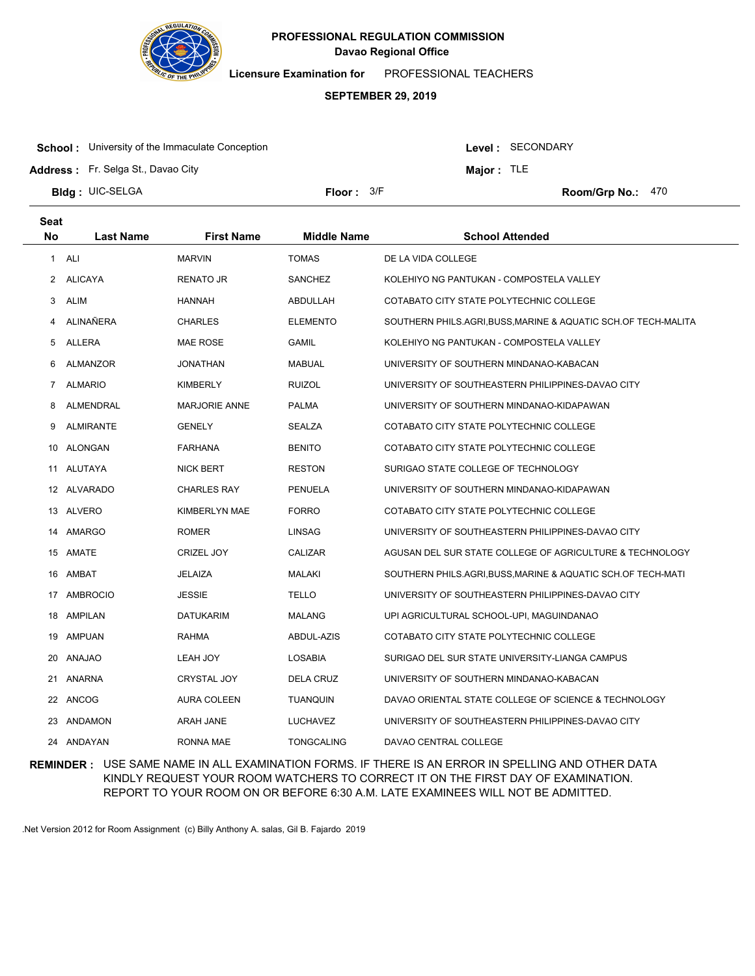

**Licensure Examination for**  PROFESSIONAL TEACHERS

#### **SEPTEMBER 29, 2019**

**School:** University of the Immaculate Conception

Level : SECONDARY

**Major :** TLE

**Address :** Fr. Selga St., Davao City

**Bldg : Floor : Room/Grp No.:** UIC-SELGA

**Seat**

Floor:  $3/F$  Room/Grp No.: 470

| συαι           |                  |                      |                    |                                                              |
|----------------|------------------|----------------------|--------------------|--------------------------------------------------------------|
| No             | <b>Last Name</b> | <b>First Name</b>    | <b>Middle Name</b> | <b>School Attended</b>                                       |
|                | 1 ALI            | <b>MARVIN</b>        | <b>TOMAS</b>       | DE LA VIDA COLLEGE                                           |
| 2              | <b>ALICAYA</b>   | RENATO JR            | SANCHEZ            | KOLEHIYO NG PANTUKAN - COMPOSTELA VALLEY                     |
| 3              | <b>ALIM</b>      | <b>HANNAH</b>        | ABDULLAH           | COTABATO CITY STATE POLYTECHNIC COLLEGE                      |
| 4              | ALINAÑERA        | CHARLES              | <b>ELEMENTO</b>    | SOUTHERN PHILS.AGRI,BUSS,MARINE & AQUATIC SCH.OF TECH-MALITA |
| 5              | ALLERA           | MAE ROSE             | <b>GAMIL</b>       | KOLEHIYO NG PANTUKAN - COMPOSTELA VALLEY                     |
| 6              | ALMANZOR         | JONATHAN             | <b>MABUAL</b>      | UNIVERSITY OF SOUTHERN MINDANAO-KABACAN                      |
| $\overline{7}$ | <b>ALMARIO</b>   | KIMBERLY             | <b>RUIZOL</b>      | UNIVERSITY OF SOUTHEASTERN PHILIPPINES-DAVAO CITY            |
| 8              | ALMENDRAL        | <b>MARJORIE ANNE</b> | PALMA              | UNIVERSITY OF SOUTHERN MINDANAO-KIDAPAWAN                    |
| 9              | <b>ALMIRANTE</b> | GENELY               | SEALZA             | COTABATO CITY STATE POLYTECHNIC COLLEGE                      |
|                | 10 ALONGAN       | FARHANA              | <b>BENITO</b>      | COTABATO CITY STATE POLYTECHNIC COLLEGE                      |
|                | 11 ALUTAYA       | <b>NICK BERT</b>     | <b>RESTON</b>      | SURIGAO STATE COLLEGE OF TECHNOLOGY                          |
|                | 12 ALVARADO      | CHARLES RAY          | <b>PENUELA</b>     | UNIVERSITY OF SOUTHERN MINDANAO-KIDAPAWAN                    |
|                | 13 ALVERO        | KIMBERLYN MAE        | <b>FORRO</b>       | COTABATO CITY STATE POLYTECHNIC COLLEGE                      |
|                | 14 AMARGO        | ROMER                | LINSAG             | UNIVERSITY OF SOUTHEASTERN PHILIPPINES-DAVAO CITY            |
|                | 15 AMATE         | CRIZEL JOY           | CALIZAR            | AGUSAN DEL SUR STATE COLLEGE OF AGRICULTURE & TECHNOLOGY     |
|                | 16 AMBAT         | JELAIZA              | MALAKI             | SOUTHERN PHILS.AGRI, BUSS, MARINE & AQUATIC SCH.OF TECH-MATI |
|                | 17 AMBROCIO      | <b>JESSIE</b>        | <b>TELLO</b>       | UNIVERSITY OF SOUTHEASTERN PHILIPPINES-DAVAO CITY            |
|                | 18 AMPILAN       | <b>DATUKARIM</b>     | MALANG             | UPI AGRICULTURAL SCHOOL-UPI, MAGUINDANAO                     |
|                | 19 AMPUAN        | <b>RAHMA</b>         | ABDUL-AZIS         | COTABATO CITY STATE POLYTECHNIC COLLEGE                      |
|                | 20 ANAJAO        | LEAH JOY             | LOSABIA            | SURIGAO DEL SUR STATE UNIVERSITY-LIANGA CAMPUS               |
|                | 21 ANARNA        | <b>CRYSTAL JOY</b>   | DELA CRUZ          | UNIVERSITY OF SOUTHERN MINDANAO-KABACAN                      |
|                | 22 ANCOG         | <b>AURA COLEEN</b>   | <b>TUANQUIN</b>    | DAVAO ORIENTAL STATE COLLEGE OF SCIENCE & TECHNOLOGY         |
|                | 23 ANDAMON       | ARAH JANE            | LUCHAVEZ           | UNIVERSITY OF SOUTHEASTERN PHILIPPINES-DAVAO CITY            |
|                | 24 ANDAYAN       | RONNA MAE            | <b>TONGCALING</b>  | DAVAO CENTRAL COLLEGE                                        |

**REMINDER :** USE SAME NAME IN ALL EXAMINATION FORMS. IF THERE IS AN ERROR IN SPELLING AND OTHER DATA KINDLY REQUEST YOUR ROOM WATCHERS TO CORRECT IT ON THE FIRST DAY OF EXAMINATION. REPORT TO YOUR ROOM ON OR BEFORE 6:30 A.M. LATE EXAMINEES WILL NOT BE ADMITTED.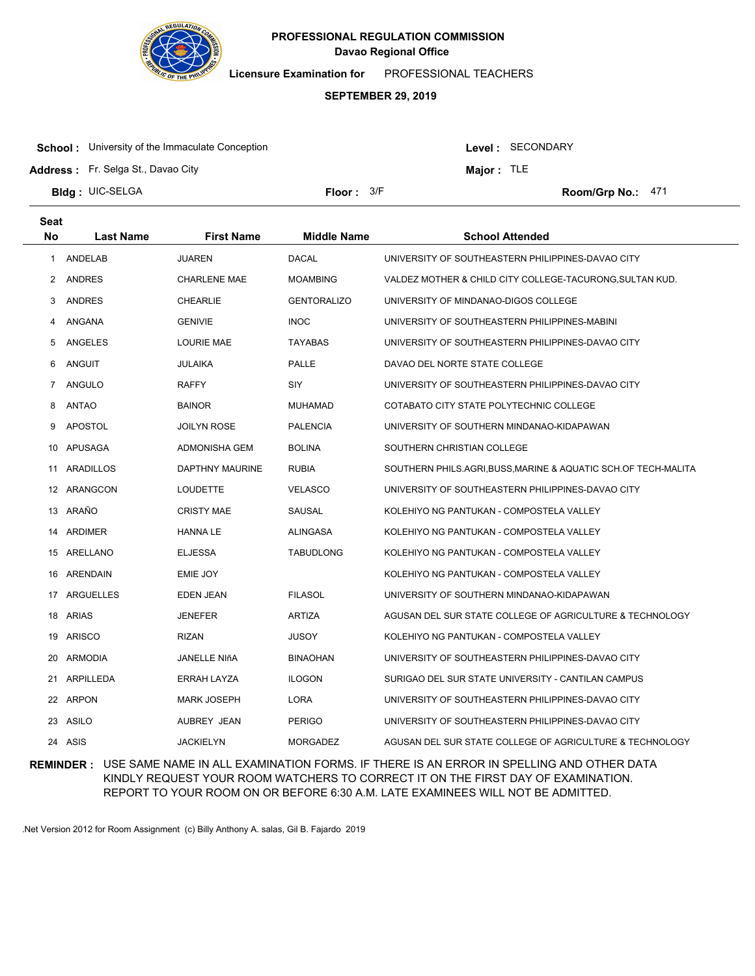

**Licensure Examination for**  PROFESSIONAL TEACHERS

#### **SEPTEMBER 29, 2019**

**School:** University of the Immaculate Conception

Level : SECONDARY

**Major :** TLE

**Address :** Fr. Selga St., Davao City

**Bldg : Floor : Room/Grp No.:** UIC-SELGA

Floor:  $3/F$  Room/Grp No.: 471

| <b>Seat</b> |                  |                     |                    |                                                                |
|-------------|------------------|---------------------|--------------------|----------------------------------------------------------------|
| <b>No</b>   | <b>Last Name</b> | <b>First Name</b>   | <b>Middle Name</b> | <b>School Attended</b>                                         |
| 1           | ANDELAB          | <b>JUAREN</b>       | <b>DACAL</b>       | UNIVERSITY OF SOUTHEASTERN PHILIPPINES-DAVAO CITY              |
| 2           | <b>ANDRES</b>    | <b>CHARLENE MAE</b> | <b>MOAMBING</b>    | VALDEZ MOTHER & CHILD CITY COLLEGE-TACURONG, SULTAN KUD.       |
| 3           | <b>ANDRES</b>    | <b>CHEARLIE</b>     | <b>GENTORALIZO</b> | UNIVERSITY OF MINDANAO-DIGOS COLLEGE                           |
| 4           | ANGANA           | <b>GENIVIE</b>      | <b>INOC</b>        | UNIVERSITY OF SOUTHEASTERN PHILIPPINES-MABINI                  |
| 5           | ANGELES          | <b>LOURIE MAE</b>   | <b>TAYABAS</b>     | UNIVERSITY OF SOUTHEASTERN PHILIPPINES-DAVAO CITY              |
| 6           | ANGUIT           | <b>JULAIKA</b>      | PALLE              | DAVAO DEL NORTE STATE COLLEGE                                  |
| 7           | ANGULO           | <b>RAFFY</b>        | <b>SIY</b>         | UNIVERSITY OF SOUTHEASTERN PHILIPPINES-DAVAO CITY              |
| 8           | <b>ANTAO</b>     | <b>BAINOR</b>       | <b>MUHAMAD</b>     | COTABATO CITY STATE POLYTECHNIC COLLEGE                        |
| 9           | <b>APOSTOL</b>   | <b>JOILYN ROSE</b>  | <b>PALENCIA</b>    | UNIVERSITY OF SOUTHERN MINDANAO-KIDAPAWAN                      |
| 10          | APUSAGA          | ADMONISHA GEM       | <b>BOLINA</b>      | SOUTHERN CHRISTIAN COLLEGE                                     |
| 11          | ARADILLOS        | DAPTHNY MAURINE     | <b>RUBIA</b>       | SOUTHERN PHILS.AGRI, BUSS, MARINE & AQUATIC SCH.OF TECH-MALITA |
|             | 12 ARANGCON      | <b>LOUDETTE</b>     | <b>VELASCO</b>     | UNIVERSITY OF SOUTHEASTERN PHILIPPINES-DAVAO CITY              |
|             | 13 ARAÑO         | <b>CRISTY MAE</b>   | SAUSAL             | KOLEHIYO NG PANTUKAN - COMPOSTELA VALLEY                       |
| 14          | ARDIMER          | <b>HANNA LE</b>     | ALINGASA           | KOLEHIYO NG PANTUKAN - COMPOSTELA VALLEY                       |
| 15          | ARELLANO         | <b>ELJESSA</b>      | <b>TABUDLONG</b>   | KOLEHIYO NG PANTUKAN - COMPOSTELA VALLEY                       |
| 16          | ARENDAIN         | EMIE JOY            |                    | KOLEHIYO NG PANTUKAN - COMPOSTELA VALLEY                       |
| 17          | ARGUELLES        | EDEN JEAN           | <b>FILASOL</b>     | UNIVERSITY OF SOUTHERN MINDANAO-KIDAPAWAN                      |
| 18          | <b>ARIAS</b>     | <b>JENEFER</b>      | <b>ARTIZA</b>      | AGUSAN DEL SUR STATE COLLEGE OF AGRICULTURE & TECHNOLOGY       |
| 19          | ARISCO           | <b>RIZAN</b>        | <b>JUSOY</b>       | KOLEHIYO NG PANTUKAN - COMPOSTELA VALLEY                       |
| 20          | ARMODIA          | JANELLE NIñA        | <b>BINAOHAN</b>    | UNIVERSITY OF SOUTHEASTERN PHILIPPINES-DAVAO CITY              |
| 21          | ARPILLEDA        | ERRAH LAYZA         | <b>ILOGON</b>      | SURIGAO DEL SUR STATE UNIVERSITY - CANTILAN CAMPUS             |
| 22          | ARPON            | <b>MARK JOSEPH</b>  | LORA               | UNIVERSITY OF SOUTHEASTERN PHILIPPINES-DAVAO CITY              |
| 23          | ASILO            | AUBREY JEAN         | <b>PERIGO</b>      | UNIVERSITY OF SOUTHEASTERN PHILIPPINES-DAVAO CITY              |
| 24          | ASIS             | <b>JACKIELYN</b>    | <b>MORGADEZ</b>    | AGUSAN DEL SUR STATE COLLEGE OF AGRICULTURE & TECHNOLOGY       |

**REMINDER :** USE SAME NAME IN ALL EXAMINATION FORMS. IF THERE IS AN ERROR IN SPELLING AND OTHER DATA KINDLY REQUEST YOUR ROOM WATCHERS TO CORRECT IT ON THE FIRST DAY OF EXAMINATION. REPORT TO YOUR ROOM ON OR BEFORE 6:30 A.M. LATE EXAMINEES WILL NOT BE ADMITTED.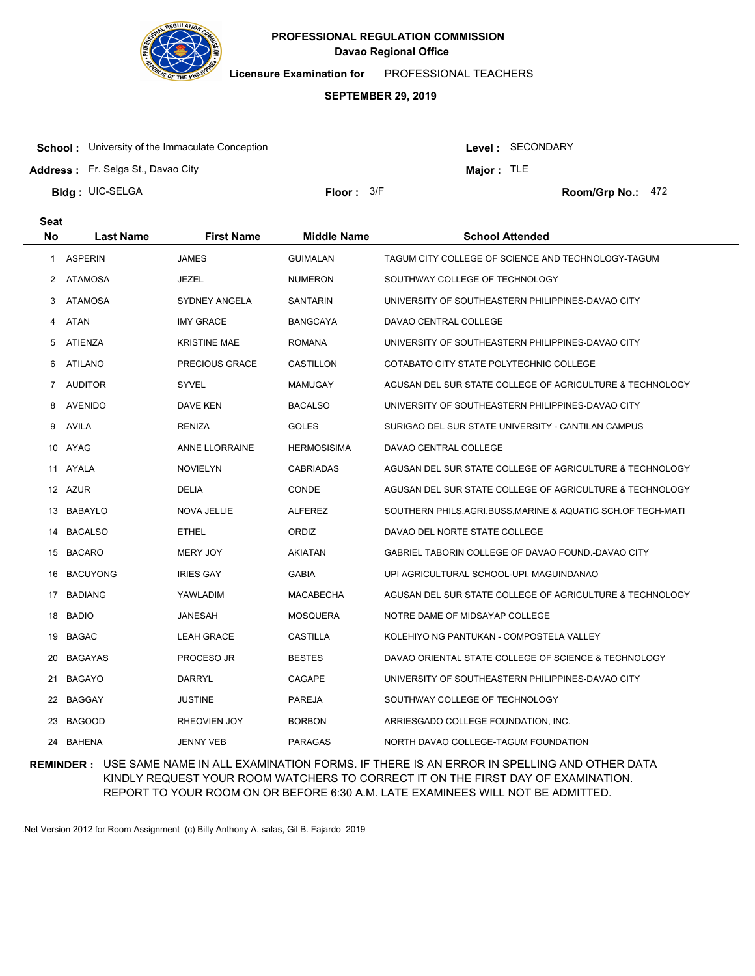

**Licensure Examination for**  PROFESSIONAL TEACHERS

#### **SEPTEMBER 29, 2019**

**School:** University of the Immaculate Conception

Level : SECONDARY

**Major :** TLE

**Address :** Fr. Selga St., Davao City

**Bldg : Floor : Room/Grp No.:** UIC-SELGA

**Seat**

Floor: 3/F Room/Grp No.: 472

| συαι      |                  |                     |                    |                                                              |
|-----------|------------------|---------------------|--------------------|--------------------------------------------------------------|
| <b>No</b> | <b>Last Name</b> | <b>First Name</b>   | <b>Middle Name</b> | <b>School Attended</b>                                       |
| 1         | <b>ASPERIN</b>   | JAMES               | <b>GUIMALAN</b>    | TAGUM CITY COLLEGE OF SCIENCE AND TECHNOLOGY-TAGUM           |
| 2         | <b>ATAMOSA</b>   | JEZEL               | <b>NUMERON</b>     | SOUTHWAY COLLEGE OF TECHNOLOGY                               |
| 3         | ATAMOSA          | SYDNEY ANGELA       | <b>SANTARIN</b>    | UNIVERSITY OF SOUTHEASTERN PHILIPPINES-DAVAO CITY            |
| 4         | <b>ATAN</b>      | <b>IMY GRACE</b>    | <b>BANGCAYA</b>    | DAVAO CENTRAL COLLEGE                                        |
| 5         | ATIENZA          | <b>KRISTINE MAE</b> | <b>ROMANA</b>      | UNIVERSITY OF SOUTHEASTERN PHILIPPINES-DAVAO CITY            |
| 6         | <b>ATILANO</b>   | PRECIOUS GRACE      | CASTILLON          | COTABATO CITY STATE POLYTECHNIC COLLEGE                      |
| 7         | <b>AUDITOR</b>   | SYVEL               | MAMUGAY            | AGUSAN DEL SUR STATE COLLEGE OF AGRICULTURE & TECHNOLOGY     |
| 8         | <b>AVENIDO</b>   | DAVE KEN            | <b>BACALSO</b>     | UNIVERSITY OF SOUTHEASTERN PHILIPPINES-DAVAO CITY            |
| 9         | AVILA            | <b>RENIZA</b>       | <b>GOLES</b>       | SURIGAO DEL SUR STATE UNIVERSITY - CANTILAN CAMPUS           |
| 10        | AYAG             | ANNE LLORRAINE      | <b>HERMOSISIMA</b> | DAVAO CENTRAL COLLEGE                                        |
|           | 11 AYALA         | <b>NOVIELYN</b>     | <b>CABRIADAS</b>   | AGUSAN DEL SUR STATE COLLEGE OF AGRICULTURE & TECHNOLOGY     |
|           | 12 AZUR          | DELIA               | <b>CONDE</b>       | AGUSAN DEL SUR STATE COLLEGE OF AGRICULTURE & TECHNOLOGY     |
| 13        | <b>BABAYLO</b>   | NOVA JELLIE         | <b>ALFEREZ</b>     | SOUTHERN PHILS.AGRI, BUSS, MARINE & AQUATIC SCH.OF TECH-MATI |
| 14        | <b>BACALSO</b>   | <b>ETHEL</b>        | <b>ORDIZ</b>       | DAVAO DEL NORTE STATE COLLEGE                                |
|           | 15 BACARO        | <b>MERY JOY</b>     | AKIATAN            | GABRIEL TABORIN COLLEGE OF DAVAO FOUND.-DAVAO CITY           |
| 16        | <b>BACUYONG</b>  | <b>IRIES GAY</b>    | <b>GABIA</b>       | UPI AGRICULTURAL SCHOOL-UPI, MAGUINDANAO                     |
| 17        | <b>BADIANG</b>   | YAWLADIM            | <b>MACABECHA</b>   | AGUSAN DEL SUR STATE COLLEGE OF AGRICULTURE & TECHNOLOGY     |
| 18        | <b>BADIO</b>     | JANESAH             | <b>MOSQUERA</b>    | NOTRE DAME OF MIDSAYAP COLLEGE                               |
| 19        | <b>BAGAC</b>     | <b>LEAH GRACE</b>   | CASTILLA           | KOLEHIYO NG PANTUKAN - COMPOSTELA VALLEY                     |
| 20        | <b>BAGAYAS</b>   | PROCESO JR          | <b>BESTES</b>      | DAVAO ORIENTAL STATE COLLEGE OF SCIENCE & TECHNOLOGY         |
| 21        | <b>BAGAYO</b>    | DARRYL              | CAGAPE             | UNIVERSITY OF SOUTHEASTERN PHILIPPINES-DAVAO CITY            |
|           | 22 BAGGAY        | <b>JUSTINE</b>      | PAREJA             | SOUTHWAY COLLEGE OF TECHNOLOGY                               |
| 23        | <b>BAGOOD</b>    | <b>RHEOVIEN JOY</b> | <b>BORBON</b>      | ARRIESGADO COLLEGE FOUNDATION, INC.                          |
| 24        | <b>BAHENA</b>    | JENNY VEB           | <b>PARAGAS</b>     | NORTH DAVAO COLLEGE-TAGUM FOUNDATION                         |

**REMINDER :** USE SAME NAME IN ALL EXAMINATION FORMS. IF THERE IS AN ERROR IN SPELLING AND OTHER DATA KINDLY REQUEST YOUR ROOM WATCHERS TO CORRECT IT ON THE FIRST DAY OF EXAMINATION. REPORT TO YOUR ROOM ON OR BEFORE 6:30 A.M. LATE EXAMINEES WILL NOT BE ADMITTED.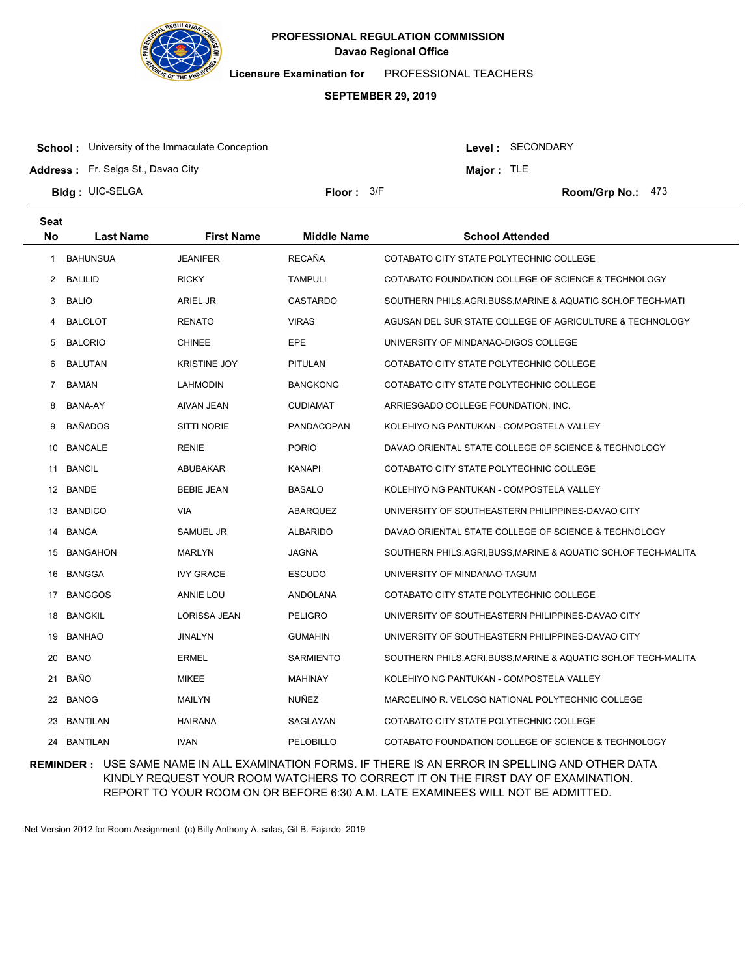

**Licensure Examination for**  PROFESSIONAL TEACHERS

#### **SEPTEMBER 29, 2019**

**School:** University of the Immaculate Conception

Level : SECONDARY

**Major :** TLE

**Address :** Fr. Selga St., Davao City

**Bldg : Floor : Room/Grp No.:** UIC-SELGA

Floor: 3/F Room/Grp No.: 473

| <b>Seat</b> |                  |                     |                    |                                                              |
|-------------|------------------|---------------------|--------------------|--------------------------------------------------------------|
| <b>No</b>   | <b>Last Name</b> | <b>First Name</b>   | <b>Middle Name</b> | <b>School Attended</b>                                       |
| 1           | <b>BAHUNSUA</b>  | <b>JEANIFER</b>     | <b>RECAÑA</b>      | COTABATO CITY STATE POLYTECHNIC COLLEGE                      |
| 2           | BALILID          | <b>RICKY</b>        | <b>TAMPULI</b>     | COTABATO FOUNDATION COLLEGE OF SCIENCE & TECHNOLOGY          |
| 3           | <b>BALIO</b>     | ARIEL JR            | <b>CASTARDO</b>    | SOUTHERN PHILS.AGRI,BUSS,MARINE & AQUATIC SCH.OF TECH-MATI   |
| 4           | <b>BALOLOT</b>   | <b>RENATO</b>       | <b>VIRAS</b>       | AGUSAN DEL SUR STATE COLLEGE OF AGRICULTURE & TECHNOLOGY     |
| 5           | <b>BALORIO</b>   | <b>CHINEE</b>       | <b>EPE</b>         | UNIVERSITY OF MINDANAO-DIGOS COLLEGE                         |
| 6           | BALUTAN          | <b>KRISTINE JOY</b> | <b>PITULAN</b>     | COTABATO CITY STATE POLYTECHNIC COLLEGE                      |
| 7           | BAMAN            | LAHMODIN            | <b>BANGKONG</b>    | COTABATO CITY STATE POLYTECHNIC COLLEGE                      |
| 8           | BANA-AY          | AIVAN JEAN          | <b>CUDIAMAT</b>    | ARRIESGADO COLLEGE FOUNDATION, INC.                          |
| 9           | <b>BAÑADOS</b>   | <b>SITTI NORIE</b>  | <b>PANDACOPAN</b>  | KOLEHIYO NG PANTUKAN - COMPOSTELA VALLEY                     |
| 10          | <b>BANCALE</b>   | RENIE               | <b>PORIO</b>       | DAVAO ORIENTAL STATE COLLEGE OF SCIENCE & TECHNOLOGY         |
| 11          | BANCIL           | ABUBAKAR            | <b>KANAPI</b>      | COTABATO CITY STATE POLYTECHNIC COLLEGE                      |
|             | 12 BANDE         | <b>BEBIE JEAN</b>   | <b>BASALO</b>      | KOLEHIYO NG PANTUKAN - COMPOSTELA VALLEY                     |
| 13          | <b>BANDICO</b>   | VIA                 | ABARQUEZ           | UNIVERSITY OF SOUTHEASTERN PHILIPPINES-DAVAO CITY            |
|             | 14 BANGA         | SAMUEL JR           | <b>ALBARIDO</b>    | DAVAO ORIENTAL STATE COLLEGE OF SCIENCE & TECHNOLOGY         |
| 15          | BANGAHON         | MARLYN              | <b>JAGNA</b>       | SOUTHERN PHILS.AGRI,BUSS,MARINE & AQUATIC SCH.OF TECH-MALITA |
| 16          | BANGGA           | <b>IVY GRACE</b>    | <b>ESCUDO</b>      | UNIVERSITY OF MINDANAO-TAGUM                                 |
|             | 17 BANGGOS       | <b>ANNIE LOU</b>    | ANDOLANA           | COTABATO CITY STATE POLYTECHNIC COLLEGE                      |
| 18          | <b>BANGKIL</b>   | LORISSA JEAN        | <b>PELIGRO</b>     | UNIVERSITY OF SOUTHEASTERN PHILIPPINES-DAVAO CITY            |
| 19          | <b>BANHAO</b>    | JINALYN             | <b>GUMAHIN</b>     | UNIVERSITY OF SOUTHEASTERN PHILIPPINES-DAVAO CITY            |
| 20          | <b>BANO</b>      | ERMEL               | <b>SARMIENTO</b>   | SOUTHERN PHILS.AGRI,BUSS,MARINE & AQUATIC SCH.OF TECH-MALITA |
| 21          | <b>BANO</b>      | <b>MIKEE</b>        | MAHINAY            | KOLEHIYO NG PANTUKAN - COMPOSTELA VALLEY                     |
| 22          | BANOG            | MAILYN              | <b>NUÑEZ</b>       | MARCELINO R. VELOSO NATIONAL POLYTECHNIC COLLEGE             |
| 23          | BANTILAN         | <b>HAIRANA</b>      | SAGLAYAN           | COTABATO CITY STATE POLYTECHNIC COLLEGE                      |
|             | 24 BANTILAN      | <b>IVAN</b>         | PELOBILLO          | COTABATO FOUNDATION COLLEGE OF SCIENCE & TECHNOLOGY          |

**REMINDER :** USE SAME NAME IN ALL EXAMINATION FORMS. IF THERE IS AN ERROR IN SPELLING AND OTHER DATA KINDLY REQUEST YOUR ROOM WATCHERS TO CORRECT IT ON THE FIRST DAY OF EXAMINATION. REPORT TO YOUR ROOM ON OR BEFORE 6:30 A.M. LATE EXAMINEES WILL NOT BE ADMITTED.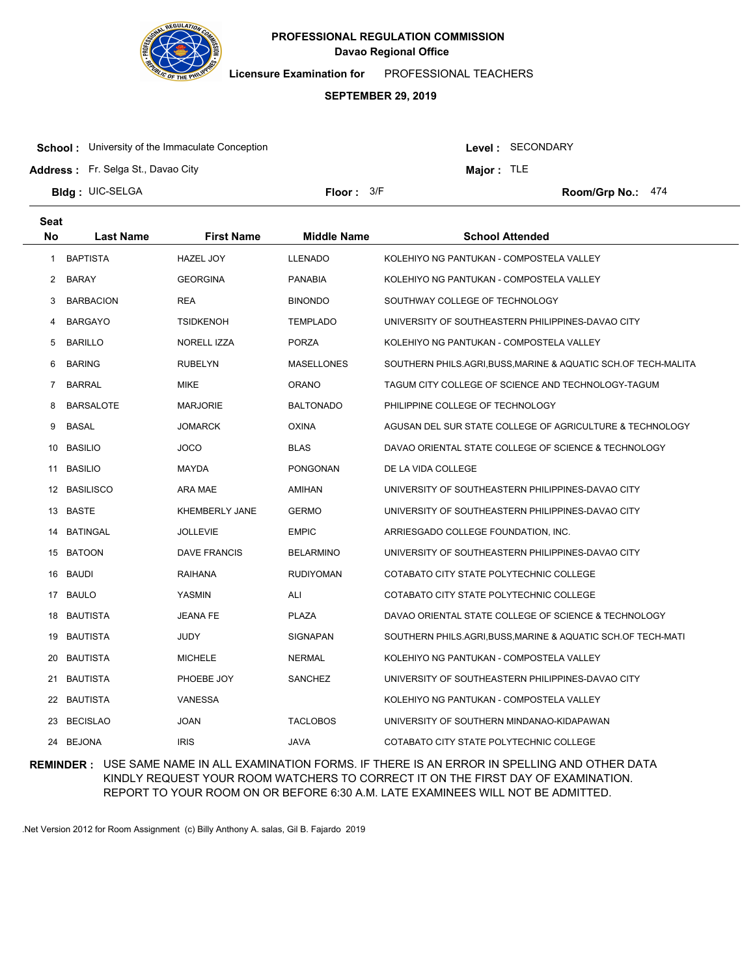

**Licensure Examination for**  PROFESSIONAL TEACHERS

#### **SEPTEMBER 29, 2019**

**School:** University of the Immaculate Conception

Level : SECONDARY

**Major :** TLE

**Address :** Fr. Selga St., Davao City

**Bldg : Floor : Room/Grp No.:** UIC-SELGA

Floor:  $3/F$  Room/Grp No.: 474

| <b>Seat</b><br>No | <b>Last Name</b> | <b>First Name</b>     | <b>Middle Name</b> | <b>School Attended</b>                                       |
|-------------------|------------------|-----------------------|--------------------|--------------------------------------------------------------|
| -1                | <b>BAPTISTA</b>  | <b>HAZEL JOY</b>      | <b>LLENADO</b>     | KOLEHIYO NG PANTUKAN - COMPOSTELA VALLEY                     |
| 2                 | BARAY            | <b>GEORGINA</b>       | <b>PANABIA</b>     | KOLEHIYO NG PANTUKAN - COMPOSTELA VALLEY                     |
| 3                 | <b>BARBACION</b> | <b>REA</b>            | <b>BINONDO</b>     | SOUTHWAY COLLEGE OF TECHNOLOGY                               |
| 4                 | <b>BARGAYO</b>   | <b>TSIDKENOH</b>      | <b>TEMPLADO</b>    | UNIVERSITY OF SOUTHEASTERN PHILIPPINES-DAVAO CITY            |
| 5                 | <b>BARILLO</b>   | NORELL IZZA           | <b>PORZA</b>       | KOLEHIYO NG PANTUKAN - COMPOSTELA VALLEY                     |
| 6                 | <b>BARING</b>    | <b>RUBELYN</b>        | <b>MASELLONES</b>  | SOUTHERN PHILS.AGRI,BUSS,MARINE & AQUATIC SCH.OF TECH-MALITA |
| 7                 | <b>BARRAL</b>    | <b>MIKE</b>           | <b>ORANO</b>       | TAGUM CITY COLLEGE OF SCIENCE AND TECHNOLOGY-TAGUM           |
| 8                 | <b>BARSALOTE</b> | <b>MARJORIE</b>       | <b>BALTONADO</b>   | PHILIPPINE COLLEGE OF TECHNOLOGY                             |
| 9                 | <b>BASAL</b>     | JOMARCK               | <b>OXINA</b>       | AGUSAN DEL SUR STATE COLLEGE OF AGRICULTURE & TECHNOLOGY     |
| 10                | <b>BASILIO</b>   | <b>JOCO</b>           | <b>BLAS</b>        | DAVAO ORIENTAL STATE COLLEGE OF SCIENCE & TECHNOLOGY         |
| 11                | <b>BASILIO</b>   | MAYDA                 | <b>PONGONAN</b>    | DE LA VIDA COLLEGE                                           |
| 12                | <b>BASILISCO</b> | ARA MAE               | AMIHAN             | UNIVERSITY OF SOUTHEASTERN PHILIPPINES-DAVAO CITY            |
|                   | 13 BASTE         | <b>KHEMBERLY JANE</b> | <b>GERMO</b>       | UNIVERSITY OF SOUTHEASTERN PHILIPPINES-DAVAO CITY            |
| 14                | <b>BATINGAL</b>  | JOLLEVIE              | <b>EMPIC</b>       | ARRIESGADO COLLEGE FOUNDATION, INC.                          |
|                   | 15 BATOON        | DAVE FRANCIS          | <b>BELARMINO</b>   | UNIVERSITY OF SOUTHEASTERN PHILIPPINES-DAVAO CITY            |
| 16                | <b>BAUDI</b>     | <b>RAIHANA</b>        | <b>RUDIYOMAN</b>   | COTABATO CITY STATE POLYTECHNIC COLLEGE                      |
| 17                | <b>BAULO</b>     | YASMIN                | ALI                | COTABATO CITY STATE POLYTECHNIC COLLEGE                      |
| 18                | <b>BAUTISTA</b>  | JEANA FE              | <b>PLAZA</b>       | DAVAO ORIENTAL STATE COLLEGE OF SCIENCE & TECHNOLOGY         |
| 19                | <b>BAUTISTA</b>  | JUDY                  | <b>SIGNAPAN</b>    | SOUTHERN PHILS.AGRI,BUSS,MARINE & AQUATIC SCH.OF TECH-MATI   |
| 20                | <b>BAUTISTA</b>  | <b>MICHELE</b>        | <b>NERMAL</b>      | KOLEHIYO NG PANTUKAN - COMPOSTELA VALLEY                     |
| 21                | <b>BAUTISTA</b>  | PHOEBE JOY            | SANCHEZ            | UNIVERSITY OF SOUTHEASTERN PHILIPPINES-DAVAO CITY            |
| 22                | <b>BAUTISTA</b>  | <b>VANESSA</b>        |                    | KOLEHIYO NG PANTUKAN - COMPOSTELA VALLEY                     |
| 23                | <b>BECISLAO</b>  | <b>JOAN</b>           | <b>TACLOBOS</b>    | UNIVERSITY OF SOUTHERN MINDANAO-KIDAPAWAN                    |
| 24                | <b>BEJONA</b>    | <b>IRIS</b>           | JAVA               | COTABATO CITY STATE POLYTECHNIC COLLEGE                      |

**REMINDER :** USE SAME NAME IN ALL EXAMINATION FORMS. IF THERE IS AN ERROR IN SPELLING AND OTHER DATA KINDLY REQUEST YOUR ROOM WATCHERS TO CORRECT IT ON THE FIRST DAY OF EXAMINATION. REPORT TO YOUR ROOM ON OR BEFORE 6:30 A.M. LATE EXAMINEES WILL NOT BE ADMITTED.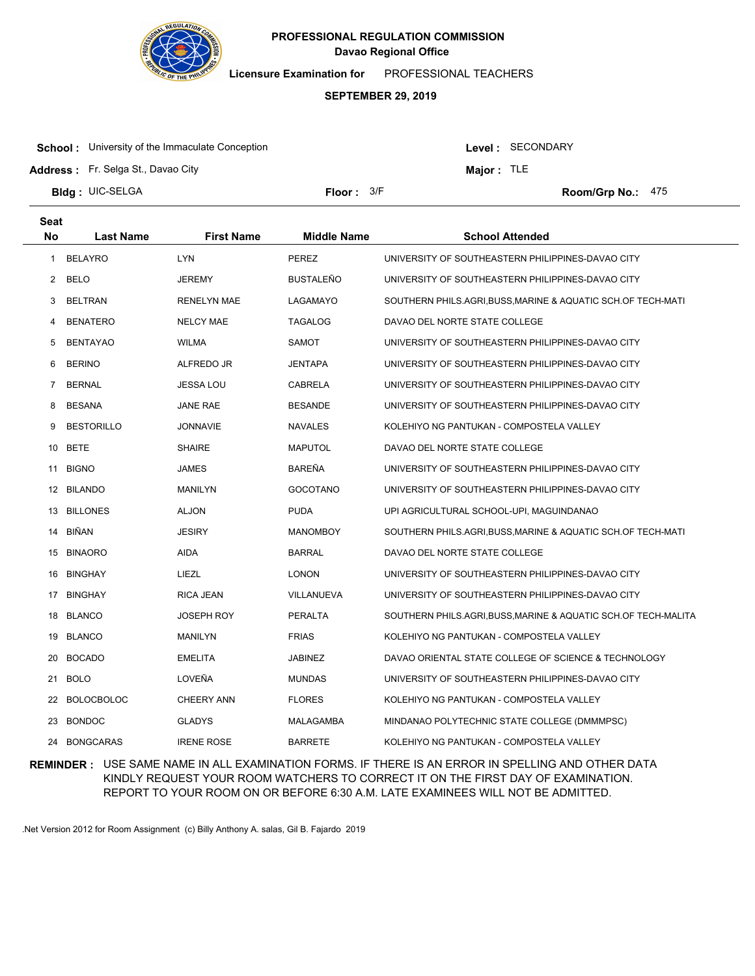

**Licensure Examination for**  PROFESSIONAL TEACHERS

# **SEPTEMBER 29, 2019**

**School:** University of the Immaculate Conception

Level : SECONDARY

**Major :** TLE

**Address :** Fr. Selga St., Davao City

**Bldg : Floor : Room/Grp No.:** UIC-SELGA

Floor: 3/F Room/Grp No.: 475

| Seat         |                   |                    |                    |                                                              |
|--------------|-------------------|--------------------|--------------------|--------------------------------------------------------------|
| No           | <b>Last Name</b>  | <b>First Name</b>  | <b>Middle Name</b> | <b>School Attended</b>                                       |
| $\mathbf{1}$ | <b>BELAYRO</b>    | <b>LYN</b>         | PEREZ              | UNIVERSITY OF SOUTHEASTERN PHILIPPINES-DAVAO CITY            |
| $\mathbf{2}$ | <b>BELO</b>       | JEREMY             | <b>BUSTALEÑO</b>   | UNIVERSITY OF SOUTHEASTERN PHILIPPINES-DAVAO CITY            |
| 3            | <b>BELTRAN</b>    | <b>RENELYN MAE</b> | LAGAMAYO           | SOUTHERN PHILS.AGRI,BUSS,MARINE & AQUATIC SCH.OF TECH-MATI   |
| 4            | <b>BENATERO</b>   | NELCY MAE          | TAGALOG            | DAVAO DEL NORTE STATE COLLEGE                                |
| 5            | <b>BENTAYAO</b>   | <b>WILMA</b>       | <b>SAMOT</b>       | UNIVERSITY OF SOUTHEASTERN PHILIPPINES-DAVAO CITY            |
| 6            | <b>BERINO</b>     | ALFREDO JR         | <b>JENTAPA</b>     | UNIVERSITY OF SOUTHEASTERN PHILIPPINES-DAVAO CITY            |
| 7            | <b>BERNAL</b>     | JESSA LOU          | CABRELA            | UNIVERSITY OF SOUTHEASTERN PHILIPPINES-DAVAO CITY            |
| 8            | <b>BESANA</b>     | JANE RAE           | <b>BESANDE</b>     | UNIVERSITY OF SOUTHEASTERN PHILIPPINES-DAVAO CITY            |
| 9            | <b>BESTORILLO</b> | <b>JONNAVIE</b>    | <b>NAVALES</b>     | KOLEHIYO NG PANTUKAN - COMPOSTELA VALLEY                     |
| 10           | <b>BETE</b>       | <b>SHAIRE</b>      | <b>MAPUTOL</b>     | DAVAO DEL NORTE STATE COLLEGE                                |
| 11           | <b>BIGNO</b>      | <b>JAMES</b>       | BAREÑA             | UNIVERSITY OF SOUTHEASTERN PHILIPPINES-DAVAO CITY            |
|              | 12 BILANDO        | <b>MANILYN</b>     | <b>GOCOTANO</b>    | UNIVERSITY OF SOUTHEASTERN PHILIPPINES-DAVAO CITY            |
|              | 13 BILLONES       | <b>ALJON</b>       | <b>PUDA</b>        | UPI AGRICULTURAL SCHOOL-UPI, MAGUINDANAO                     |
| 14           | BIÑAN             | <b>JESIRY</b>      | <b>MANOMBOY</b>    | SOUTHERN PHILS.AGRI,BUSS,MARINE & AQUATIC SCH.OF TECH-MATI   |
| 15           | <b>BINAORO</b>    | AIDA               | <b>BARRAL</b>      | DAVAO DEL NORTE STATE COLLEGE                                |
| 16           | <b>BINGHAY</b>    | LIEZL              | <b>LONON</b>       | UNIVERSITY OF SOUTHEASTERN PHILIPPINES-DAVAO CITY            |
| 17           | <b>BINGHAY</b>    | RICA JEAN          | VILLANUEVA         | UNIVERSITY OF SOUTHEASTERN PHILIPPINES-DAVAO CITY            |
| 18           | <b>BLANCO</b>     | JOSEPH ROY         | <b>PERALTA</b>     | SOUTHERN PHILS.AGRI,BUSS,MARINE & AQUATIC SCH.OF TECH-MALITA |
| 19           | <b>BLANCO</b>     | MANILYN            | <b>FRIAS</b>       | KOLEHIYO NG PANTUKAN - COMPOSTELA VALLEY                     |
| 20           | <b>BOCADO</b>     | <b>EMELITA</b>     | <b>JABINEZ</b>     | DAVAO ORIENTAL STATE COLLEGE OF SCIENCE & TECHNOLOGY         |
| 21           | <b>BOLO</b>       | LOVEÑA             | <b>MUNDAS</b>      | UNIVERSITY OF SOUTHEASTERN PHILIPPINES-DAVAO CITY            |
| 22           | <b>BOLOCBOLOC</b> | <b>CHEERY ANN</b>  | <b>FLORES</b>      | KOLEHIYO NG PANTUKAN - COMPOSTELA VALLEY                     |
| 23           | <b>BONDOC</b>     | <b>GLADYS</b>      | MALAGAMBA          | MINDANAO POLYTECHNIC STATE COLLEGE (DMMMPSC)                 |
|              | 24 BONGCARAS      | <b>IRENE ROSE</b>  | <b>BARRETE</b>     | KOLEHIYO NG PANTUKAN - COMPOSTELA VALLEY                     |

**REMINDER :** USE SAME NAME IN ALL EXAMINATION FORMS. IF THERE IS AN ERROR IN SPELLING AND OTHER DATA KINDLY REQUEST YOUR ROOM WATCHERS TO CORRECT IT ON THE FIRST DAY OF EXAMINATION. REPORT TO YOUR ROOM ON OR BEFORE 6:30 A.M. LATE EXAMINEES WILL NOT BE ADMITTED.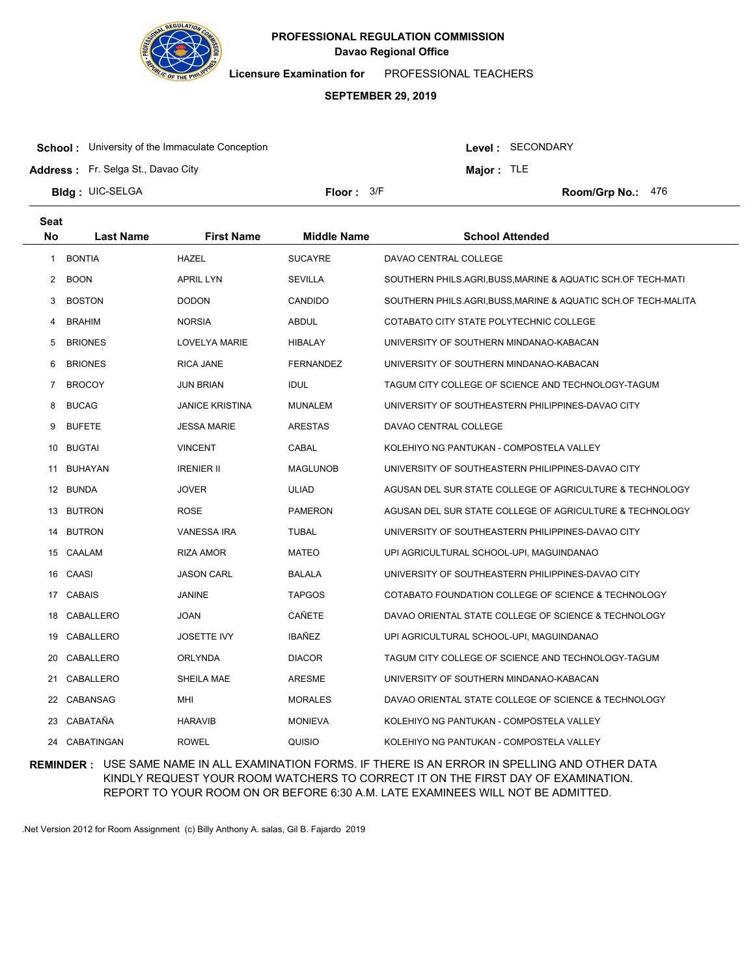

**Licensure Examination for**  PROFESSIONAL TEACHERS

#### **SEPTEMBER 29, 2019**

**School:** University of the Immaculate Conception

Level : SECONDARY

**Major :** TLE

**Address :** Fr. Selga St., Davao City

**Bldg : Floor : Room/Grp No.:** UIC-SELGA

Floor: 3/F Room/Grp No.: 476

| <b>Seat</b>    |                  |                        |                    |                                                              |
|----------------|------------------|------------------------|--------------------|--------------------------------------------------------------|
| <b>No</b>      | <b>Last Name</b> | <b>First Name</b>      | <b>Middle Name</b> | <b>School Attended</b>                                       |
| $\mathbf{1}$   | <b>BONTIA</b>    | HAZEL                  | <b>SUCAYRE</b>     | DAVAO CENTRAL COLLEGE                                        |
| $\overline{2}$ | <b>BOON</b>      | APRIL LYN              | <b>SEVILLA</b>     | SOUTHERN PHILS.AGRI,BUSS,MARINE & AQUATIC SCH.OF TECH-MATI   |
| 3              | <b>BOSTON</b>    | <b>DODON</b>           | <b>CANDIDO</b>     | SOUTHERN PHILS.AGRI,BUSS,MARINE & AQUATIC SCH.OF TECH-MALITA |
| 4              | <b>BRAHIM</b>    | <b>NORSIA</b>          | <b>ABDUL</b>       | COTABATO CITY STATE POLYTECHNIC COLLEGE                      |
| 5              | <b>BRIONES</b>   | LOVELYA MARIE          | HIBALAY            | UNIVERSITY OF SOUTHERN MINDANAO-KABACAN                      |
| 6              | <b>BRIONES</b>   | <b>RICA JANE</b>       | <b>FERNANDEZ</b>   | UNIVERSITY OF SOUTHERN MINDANAO-KABACAN                      |
| 7              | <b>BROCOY</b>    | <b>JUN BRIAN</b>       | <b>IDUL</b>        | TAGUM CITY COLLEGE OF SCIENCE AND TECHNOLOGY-TAGUM           |
| 8              | <b>BUCAG</b>     | <b>JANICE KRISTINA</b> | <b>MUNALEM</b>     | UNIVERSITY OF SOUTHEASTERN PHILIPPINES-DAVAO CITY            |
| 9              | <b>BUFETE</b>    | <b>JESSA MARIE</b>     | <b>ARESTAS</b>     | DAVAO CENTRAL COLLEGE                                        |
| 10             | <b>BUGTAI</b>    | <b>VINCENT</b>         | CABAL              | KOLEHIYO NG PANTUKAN - COMPOSTELA VALLEY                     |
| 11             | BUHAYAN          | <b>IRENIER II</b>      | <b>MAGLUNOB</b>    | UNIVERSITY OF SOUTHEASTERN PHILIPPINES-DAVAO CITY            |
|                | 12 BUNDA         | <b>JOVER</b>           | <b>ULIAD</b>       | AGUSAN DEL SUR STATE COLLEGE OF AGRICULTURE & TECHNOLOGY     |
|                | 13 BUTRON        | <b>ROSE</b>            | <b>PAMERON</b>     | AGUSAN DEL SUR STATE COLLEGE OF AGRICULTURE & TECHNOLOGY     |
| 14             | <b>BUTRON</b>    | <b>VANESSA IRA</b>     | <b>TUBAL</b>       | UNIVERSITY OF SOUTHEASTERN PHILIPPINES-DAVAO CITY            |
|                | 15 CAALAM        | RIZA AMOR              | <b>MATEO</b>       | UPI AGRICULTURAL SCHOOL-UPI, MAGUINDANAO                     |
|                | 16 CAASI         | <b>JASON CARL</b>      | <b>BALALA</b>      | UNIVERSITY OF SOUTHEASTERN PHILIPPINES-DAVAO CITY            |
|                | 17 CABAIS        | JANINE                 | <b>TAPGOS</b>      | COTABATO FOUNDATION COLLEGE OF SCIENCE & TECHNOLOGY          |
| 18             | CABALLERO        | <b>JOAN</b>            | CAÑETE             | DAVAO ORIENTAL STATE COLLEGE OF SCIENCE & TECHNOLOGY         |
| 19             | CABALLERO        | <b>JOSETTE IVY</b>     | <b>IBAÑEZ</b>      | UPI AGRICULTURAL SCHOOL-UPI, MAGUINDANAO                     |
| 20             | CABALLERO        | <b>ORLYNDA</b>         | <b>DIACOR</b>      | TAGUM CITY COLLEGE OF SCIENCE AND TECHNOLOGY-TAGUM           |
| 21             | CABALLERO        | SHEILA MAE             | <b>ARESME</b>      | UNIVERSITY OF SOUTHERN MINDANAO-KABACAN                      |
| 22             | CABANSAG         | MHI                    | <b>MORALES</b>     | DAVAO ORIENTAL STATE COLLEGE OF SCIENCE & TECHNOLOGY         |
| 23             | CABATAÑA         | <b>HARAVIB</b>         | <b>MONIEVA</b>     | KOLEHIYO NG PANTUKAN - COMPOSTELA VALLEY                     |
| 24             | CABATINGAN       | <b>ROWEL</b>           | QUISIO             | KOLEHIYO NG PANTUKAN - COMPOSTELA VALLEY                     |

**REMINDER :** USE SAME NAME IN ALL EXAMINATION FORMS. IF THERE IS AN ERROR IN SPELLING AND OTHER DATA KINDLY REQUEST YOUR ROOM WATCHERS TO CORRECT IT ON THE FIRST DAY OF EXAMINATION. REPORT TO YOUR ROOM ON OR BEFORE 6:30 A.M. LATE EXAMINEES WILL NOT BE ADMITTED.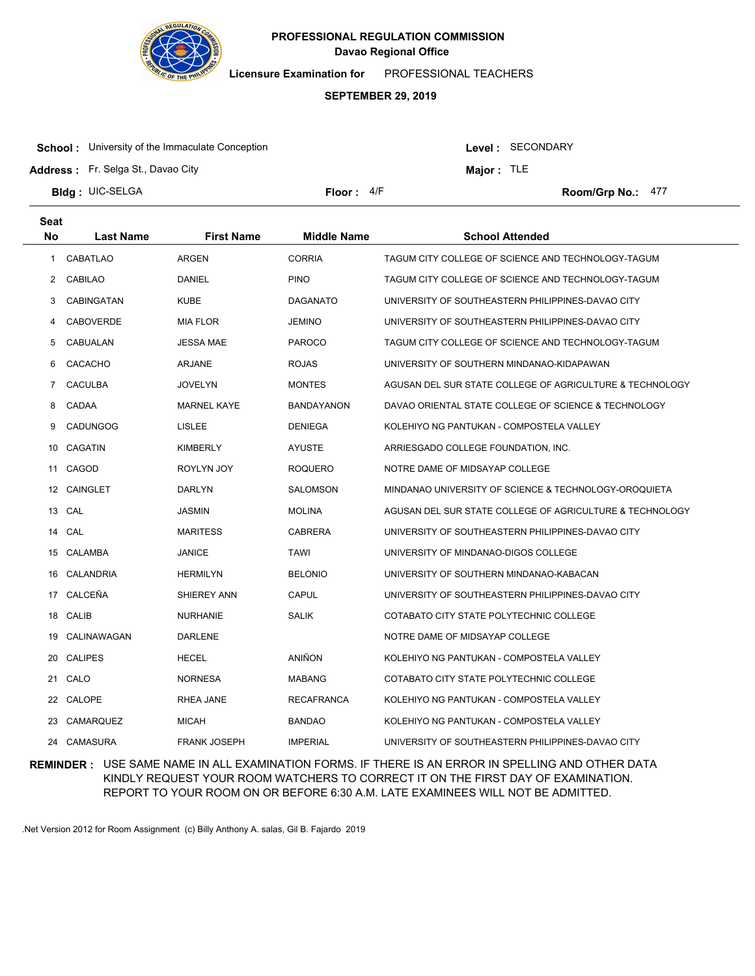

**Licensure Examination for**  PROFESSIONAL TEACHERS

#### **SEPTEMBER 29, 2019**

**School:** University of the Immaculate Conception

Level : SECONDARY

**Major :** TLE

**Address :** Fr. Selga St., Davao City

**Bldg : Floor : Room/Grp No.:** UIC-SELGA

Floor: 4/F Room/Grp No.: 477

| <b>Seat</b>  |                  |                     |                    |                                                          |
|--------------|------------------|---------------------|--------------------|----------------------------------------------------------|
| No           | <b>Last Name</b> | <b>First Name</b>   | <b>Middle Name</b> | <b>School Attended</b>                                   |
| $\mathbf{1}$ | <b>CABATLAO</b>  | <b>ARGEN</b>        | <b>CORRIA</b>      | TAGUM CITY COLLEGE OF SCIENCE AND TECHNOLOGY-TAGUM       |
| $\mathbf{2}$ | <b>CABILAO</b>   | DANIEL              | <b>PINO</b>        | TAGUM CITY COLLEGE OF SCIENCE AND TECHNOLOGY-TAGUM       |
| 3            | CABINGATAN       | <b>KUBE</b>         | <b>DAGANATO</b>    | UNIVERSITY OF SOUTHEASTERN PHILIPPINES-DAVAO CITY        |
| 4            | <b>CABOVERDE</b> | <b>MIA FLOR</b>     | <b>JEMINO</b>      | UNIVERSITY OF SOUTHEASTERN PHILIPPINES-DAVAO CITY        |
| 5            | CABUALAN         | <b>JESSA MAE</b>    | <b>PAROCO</b>      | TAGUM CITY COLLEGE OF SCIENCE AND TECHNOLOGY-TAGUM       |
| 6            | CACACHO          | <b>ARJANE</b>       | <b>ROJAS</b>       | UNIVERSITY OF SOUTHERN MINDANAO-KIDAPAWAN                |
| 7            | <b>CACULBA</b>   | <b>JOVELYN</b>      | <b>MONTES</b>      | AGUSAN DEL SUR STATE COLLEGE OF AGRICULTURE & TECHNOLOGY |
| 8            | CADAA            | <b>MARNEL KAYE</b>  | <b>BANDAYANON</b>  | DAVAO ORIENTAL STATE COLLEGE OF SCIENCE & TECHNOLOGY     |
| 9            | <b>CADUNGOG</b>  | LISLEE              | <b>DENIEGA</b>     | KOLEHIYO NG PANTUKAN - COMPOSTELA VALLEY                 |
| 10           | <b>CAGATIN</b>   | <b>KIMBERLY</b>     | <b>AYUSTE</b>      | ARRIESGADO COLLEGE FOUNDATION, INC.                      |
| 11           | CAGOD            | ROYLYN JOY          | <b>ROQUERO</b>     | NOTRE DAME OF MIDSAYAP COLLEGE                           |
| 12           | <b>CAINGLET</b>  | <b>DARLYN</b>       | SALOMSON           | MINDANAO UNIVERSITY OF SCIENCE & TECHNOLOGY-OROQUIETA    |
| 13           | CAL              | <b>JASMIN</b>       | <b>MOLINA</b>      | AGUSAN DEL SUR STATE COLLEGE OF AGRICULTURE & TECHNOLOGY |
| 14           | CAL              | <b>MARITESS</b>     | <b>CABRERA</b>     | UNIVERSITY OF SOUTHEASTERN PHILIPPINES-DAVAO CITY        |
| 15           | CALAMBA          | <b>JANICE</b>       | <b>TAWI</b>        | UNIVERSITY OF MINDANAO-DIGOS COLLEGE                     |
| 16           | CALANDRIA        | <b>HERMILYN</b>     | <b>BELONIO</b>     | UNIVERSITY OF SOUTHERN MINDANAO-KABACAN                  |
|              | 17 CALCEÑA       | SHIEREY ANN         | CAPUL              | UNIVERSITY OF SOUTHEASTERN PHILIPPINES-DAVAO CITY        |
|              | 18 CALIB         | <b>NURHANIE</b>     | <b>SALIK</b>       | COTABATO CITY STATE POLYTECHNIC COLLEGE                  |
| 19           | CALINAWAGAN      | <b>DARLENE</b>      |                    | NOTRE DAME OF MIDSAYAP COLLEGE                           |
| 20           | <b>CALIPES</b>   | <b>HECEL</b>        | ANIÑON             | KOLEHIYO NG PANTUKAN - COMPOSTELA VALLEY                 |
| 21           | CALO             | <b>NORNESA</b>      | <b>MABANG</b>      | COTABATO CITY STATE POLYTECHNIC COLLEGE                  |
| 22           | CALOPE           | RHEA JANE           | <b>RECAFRANCA</b>  | KOLEHIYO NG PANTUKAN - COMPOSTELA VALLEY                 |
| 23           | <b>CAMARQUEZ</b> | <b>MICAH</b>        | <b>BANDAO</b>      | KOLEHIYO NG PANTUKAN - COMPOSTELA VALLEY                 |
| 24           | CAMASURA         | <b>FRANK JOSEPH</b> | <b>IMPERIAL</b>    | UNIVERSITY OF SOUTHEASTERN PHILIPPINES-DAVAO CITY        |

**REMINDER :** USE SAME NAME IN ALL EXAMINATION FORMS. IF THERE IS AN ERROR IN SPELLING AND OTHER DATA KINDLY REQUEST YOUR ROOM WATCHERS TO CORRECT IT ON THE FIRST DAY OF EXAMINATION. REPORT TO YOUR ROOM ON OR BEFORE 6:30 A.M. LATE EXAMINEES WILL NOT BE ADMITTED.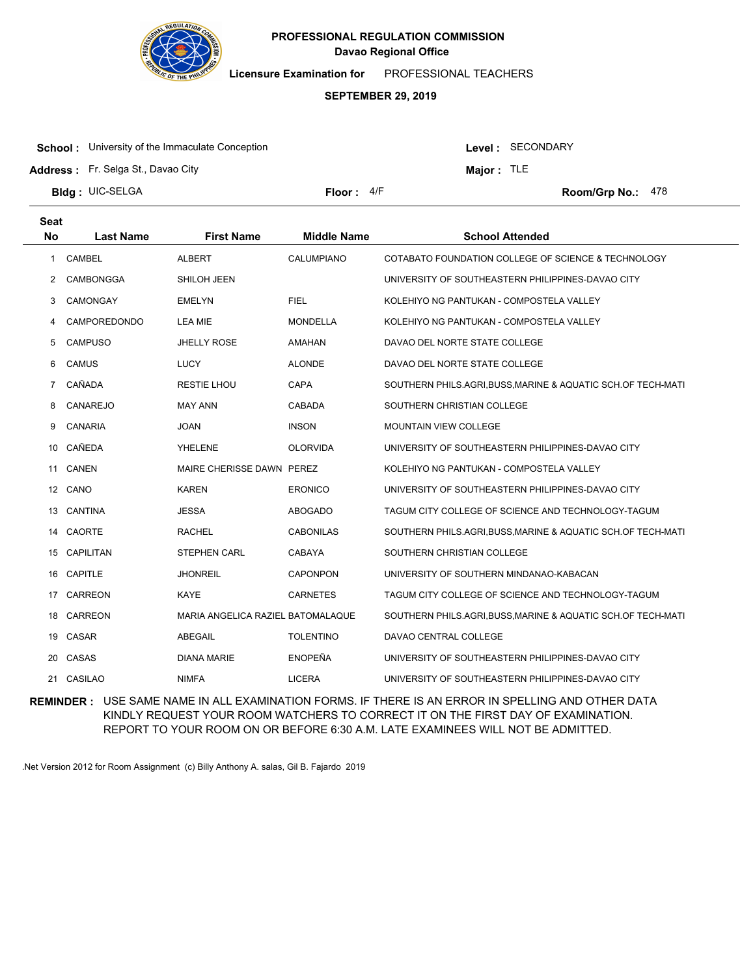

**Licensure Examination for**  PROFESSIONAL TEACHERS

#### **SEPTEMBER 29, 2019**

**School:** University of the Immaculate Conception

Level : SECONDARY

**Major :** TLE

**Address :** Fr. Selga St., Davao City

**Bldg : Floor : Room/Grp No.:** UIC-SELGA Floor: 4/F Room/Grp No.: 478

| <b>Seat</b>      |                  |                                   |                    |                                                             |
|------------------|------------------|-----------------------------------|--------------------|-------------------------------------------------------------|
| <b>No</b>        | <b>Last Name</b> | <b>First Name</b>                 | <b>Middle Name</b> | <b>School Attended</b>                                      |
| 1                | <b>CAMBEL</b>    | <b>ALBERT</b>                     | CALUMPIANO         | COTABATO FOUNDATION COLLEGE OF SCIENCE & TECHNOLOGY         |
| 2                | CAMBONGGA        | SHILOH JEEN                       |                    | UNIVERSITY OF SOUTHEASTERN PHILIPPINES-DAVAO CITY           |
| 3                | CAMONGAY         | <b>EMELYN</b>                     | <b>FIEL</b>        | KOLEHIYO NG PANTUKAN - COMPOSTELA VALLEY                    |
| 4                | CAMPOREDONDO     | LEA MIE                           | <b>MONDELLA</b>    | KOLEHIYO NG PANTUKAN - COMPOSTELA VALLEY                    |
| 5                | <b>CAMPUSO</b>   | JHELLY ROSE                       | AMAHAN             | DAVAO DEL NORTE STATE COLLEGE                               |
| 6                | <b>CAMUS</b>     | <b>LUCY</b>                       | <b>ALONDE</b>      | DAVAO DEL NORTE STATE COLLEGE                               |
| $7^{\circ}$      | CAÑADA           | <b>RESTIE LHOU</b>                | CAPA               | SOUTHERN PHILS.AGRI,BUSS,MARINE & AQUATIC SCH.OF TECH-MATI  |
| 8                | CANAREJO         | <b>MAY ANN</b>                    | <b>CABADA</b>      | SOUTHERN CHRISTIAN COLLEGE                                  |
| 9                | <b>CANARIA</b>   | <b>JOAN</b>                       | <b>INSON</b>       | <b>MOUNTAIN VIEW COLLEGE</b>                                |
| 10               | CAÑEDA           | <b>YHELENE</b>                    | <b>OLORVIDA</b>    | UNIVERSITY OF SOUTHEASTERN PHILIPPINES-DAVAO CITY           |
| 11               | CANEN            | MAIRE CHERISSE DAWN PEREZ         |                    | KOLEHIYO NG PANTUKAN - COMPOSTELA VALLEY                    |
| 12 <sup>12</sup> | CANO             | <b>KAREN</b>                      | <b>ERONICO</b>     | UNIVERSITY OF SOUTHEASTERN PHILIPPINES-DAVAO CITY           |
| 13               | CANTINA          | JESSA                             | <b>ABOGADO</b>     | TAGUM CITY COLLEGE OF SCIENCE AND TECHNOLOGY-TAGUM          |
|                  | 14 CAORTE        | <b>RACHEL</b>                     | <b>CABONILAS</b>   | SOUTHERN PHILS.AGRI.BUSS, MARINE & AQUATIC SCH.OF TECH-MATI |
| 15               | <b>CAPILITAN</b> | <b>STEPHEN CARL</b>               | CABAYA             | SOUTHERN CHRISTIAN COLLEGE                                  |
| 16               | <b>CAPITLE</b>   | <b>JHONREIL</b>                   | <b>CAPONPON</b>    | UNIVERSITY OF SOUTHERN MINDANAO-KABACAN                     |
| 17               | CARREON          | <b>KAYE</b>                       | <b>CARNETES</b>    | TAGUM CITY COLLEGE OF SCIENCE AND TECHNOLOGY-TAGUM          |
| 18               | <b>CARREON</b>   | MARIA ANGELICA RAZIEL BATOMALAQUE |                    | SOUTHERN PHILS.AGRI.BUSS, MARINE & AQUATIC SCH.OF TECH-MATI |
| 19               | CASAR            | ABEGAIL                           | <b>TOLENTINO</b>   | DAVAO CENTRAL COLLEGE                                       |
| 20               | CASAS            | <b>DIANA MARIE</b>                | <b>ENOPEÑA</b>     | UNIVERSITY OF SOUTHEASTERN PHILIPPINES-DAVAO CITY           |
|                  | 21 CASILAO       | <b>NIMFA</b>                      | <b>LICERA</b>      | UNIVERSITY OF SOUTHEASTERN PHILIPPINES-DAVAO CITY           |

**REMINDER :** USE SAME NAME IN ALL EXAMINATION FORMS. IF THERE IS AN ERROR IN SPELLING AND OTHER DATA KINDLY REQUEST YOUR ROOM WATCHERS TO CORRECT IT ON THE FIRST DAY OF EXAMINATION. REPORT TO YOUR ROOM ON OR BEFORE 6:30 A.M. LATE EXAMINEES WILL NOT BE ADMITTED.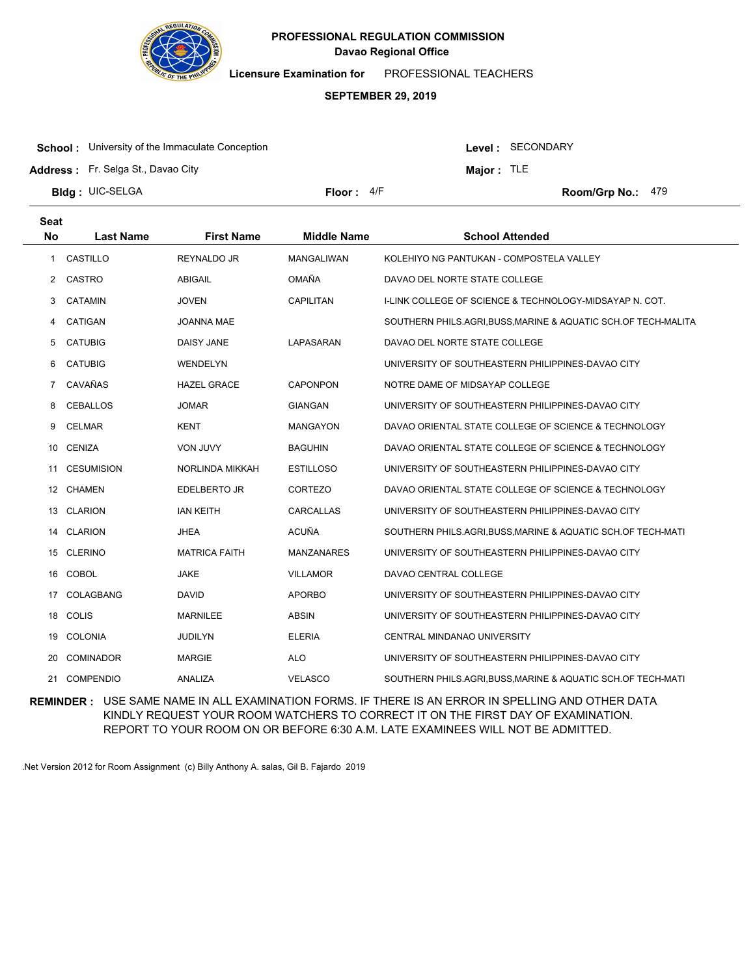

**Licensure Examination for**  PROFESSIONAL TEACHERS

# **SEPTEMBER 29, 2019**

**School:** University of the Immaculate Conception

Level : SECONDARY

**Major :** TLE

**Address :** Fr. Selga St., Davao City

**Bldg : Floor : Room/Grp No.:** UIC-SELGA

Floor: 4/F Room/Grp No.: 479

| <b>Seat</b><br><b>No</b> | <b>Last Name</b>  | <b>First Name</b>    | <b>Middle Name</b> | <b>School Attended</b>                                         |
|--------------------------|-------------------|----------------------|--------------------|----------------------------------------------------------------|
| 1                        | CASTILLO          | REYNALDO JR          | <b>MANGALIWAN</b>  | KOLEHIYO NG PANTUKAN - COMPOSTELA VALLEY                       |
| $\overline{2}$           | CASTRO            | <b>ABIGAIL</b>       | <b>OMAÑA</b>       | DAVAO DEL NORTE STATE COLLEGE                                  |
| 3                        | <b>CATAMIN</b>    | <b>JOVEN</b>         | <b>CAPILITAN</b>   | I-LINK COLLEGE OF SCIENCE & TECHNOLOGY-MIDSAYAP N. COT.        |
| 4                        | CATIGAN           | <b>JOANNA MAE</b>    |                    | SOUTHERN PHILS.AGRI, BUSS, MARINE & AQUATIC SCH.OF TECH-MALITA |
| 5                        | <b>CATUBIG</b>    | <b>DAISY JANE</b>    | LAPASARAN          | DAVAO DEL NORTE STATE COLLEGE                                  |
| 6                        | <b>CATUBIG</b>    | <b>WENDELYN</b>      |                    | UNIVERSITY OF SOUTHEASTERN PHILIPPINES-DAVAO CITY              |
| $\overline{7}$           | CAVAÑAS           | <b>HAZEL GRACE</b>   | <b>CAPONPON</b>    | NOTRE DAME OF MIDSAYAP COLLEGE                                 |
| 8                        | <b>CEBALLOS</b>   | <b>JOMAR</b>         | <b>GIANGAN</b>     | UNIVERSITY OF SOUTHEASTERN PHILIPPINES-DAVAO CITY              |
| 9                        | <b>CELMAR</b>     | <b>KENT</b>          | <b>MANGAYON</b>    | DAVAO ORIENTAL STATE COLLEGE OF SCIENCE & TECHNOLOGY           |
| 10                       | <b>CENIZA</b>     | <b>VON JUVY</b>      | <b>BAGUHIN</b>     | DAVAO ORIENTAL STATE COLLEGE OF SCIENCE & TECHNOLOGY           |
| 11                       | <b>CESUMISION</b> | NORLINDA MIKKAH      | <b>ESTILLOSO</b>   | UNIVERSITY OF SOUTHEASTERN PHILIPPINES-DAVAO CITY              |
| 12                       | <b>CHAMEN</b>     | EDELBERTO JR         | CORTEZO            | DAVAO ORIENTAL STATE COLLEGE OF SCIENCE & TECHNOLOGY           |
| 13                       | <b>CLARION</b>    | <b>IAN KEITH</b>     | CARCALLAS          | UNIVERSITY OF SOUTHEASTERN PHILIPPINES-DAVAO CITY              |
| 14                       | <b>CLARION</b>    | <b>JHEA</b>          | <b>ACUÑA</b>       | SOUTHERN PHILS.AGRI, BUSS, MARINE & AQUATIC SCH.OF TECH-MATI   |
| 15                       | <b>CLERINO</b>    | <b>MATRICA FAITH</b> | <b>MANZANARES</b>  | UNIVERSITY OF SOUTHEASTERN PHILIPPINES-DAVAO CITY              |
| 16                       | COBOL             | <b>JAKE</b>          | <b>VILLAMOR</b>    | DAVAO CENTRAL COLLEGE                                          |
| 17                       | COLAGBANG         | <b>DAVID</b>         | <b>APORBO</b>      | UNIVERSITY OF SOUTHEASTERN PHILIPPINES-DAVAO CITY              |
| 18                       | <b>COLIS</b>      | <b>MARNILEE</b>      | <b>ABSIN</b>       | UNIVERSITY OF SOUTHEASTERN PHILIPPINES-DAVAO CITY              |
| 19                       | <b>COLONIA</b>    | <b>JUDILYN</b>       | <b>ELERIA</b>      | CENTRAL MINDANAO UNIVERSITY                                    |
| 20                       | <b>COMINADOR</b>  | <b>MARGIE</b>        | <b>ALO</b>         | UNIVERSITY OF SOUTHEASTERN PHILIPPINES-DAVAO CITY              |
| 21                       | <b>COMPENDIO</b>  | <b>ANALIZA</b>       | <b>VELASCO</b>     | SOUTHERN PHILS.AGRI.BUSS, MARINE & AQUATIC SCH.OF TECH-MATI    |

**REMINDER :** USE SAME NAME IN ALL EXAMINATION FORMS. IF THERE IS AN ERROR IN SPELLING AND OTHER DATA KINDLY REQUEST YOUR ROOM WATCHERS TO CORRECT IT ON THE FIRST DAY OF EXAMINATION. REPORT TO YOUR ROOM ON OR BEFORE 6:30 A.M. LATE EXAMINEES WILL NOT BE ADMITTED.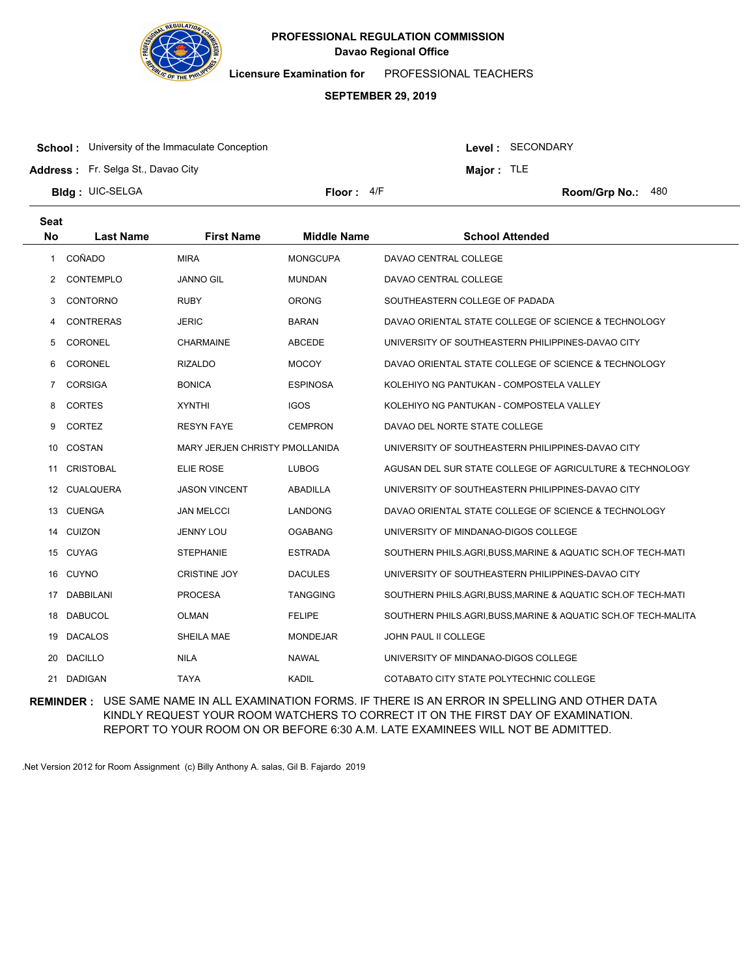

**Licensure Examination for**  PROFESSIONAL TEACHERS

#### **SEPTEMBER 29, 2019**

**School:** University of the Immaculate Conception

Level : SECONDARY

**Major :** TLE

**Address :** Fr. Selga St., Davao City

**Bldg : Floor : Room/Grp No.:** UIC-SELGA

Floor: 4/F Room/Grp No.: 480

| <b>Seat</b><br><b>No</b> | <b>Last Name</b> | <b>First Name</b>              | <b>Middle Name</b> | <b>School Attended</b>                                         |
|--------------------------|------------------|--------------------------------|--------------------|----------------------------------------------------------------|
| $\mathbf{1}$             | COÑADO           | <b>MIRA</b>                    | <b>MONGCUPA</b>    | DAVAO CENTRAL COLLEGE                                          |
| 2                        | CONTEMPLO        | <b>JANNO GIL</b>               | <b>MUNDAN</b>      | DAVAO CENTRAL COLLEGE                                          |
| 3                        | CONTORNO         | <b>RUBY</b>                    | <b>ORONG</b>       | SOUTHEASTERN COLLEGE OF PADADA                                 |
| 4                        | <b>CONTRERAS</b> | <b>JERIC</b>                   | <b>BARAN</b>       | DAVAO ORIENTAL STATE COLLEGE OF SCIENCE & TECHNOLOGY           |
| 5                        | CORONEL          | <b>CHARMAINE</b>               | <b>ABCEDE</b>      | UNIVERSITY OF SOUTHEASTERN PHILIPPINES-DAVAO CITY              |
| 6                        | CORONEL          | <b>RIZALDO</b>                 | <b>MOCOY</b>       | DAVAO ORIENTAL STATE COLLEGE OF SCIENCE & TECHNOLOGY           |
| $\overline{7}$           | <b>CORSIGA</b>   | <b>BONICA</b>                  | <b>ESPINOSA</b>    | KOLEHIYO NG PANTUKAN - COMPOSTELA VALLEY                       |
| 8                        | <b>CORTES</b>    | <b>XYNTHI</b>                  | <b>IGOS</b>        | KOLEHIYO NG PANTUKAN - COMPOSTELA VALLEY                       |
|                          | <b>CORTEZ</b>    | <b>RESYN FAYE</b>              | <b>CEMPRON</b>     | DAVAO DEL NORTE STATE COLLEGE                                  |
| 9                        |                  |                                |                    |                                                                |
| 10                       | COSTAN           | MARY JERJEN CHRISTY PMOLLANIDA |                    | UNIVERSITY OF SOUTHEASTERN PHILIPPINES-DAVAO CITY              |
| 11                       | <b>CRISTOBAL</b> | ELIE ROSE                      | <b>LUBOG</b>       | AGUSAN DEL SUR STATE COLLEGE OF AGRICULTURE & TECHNOLOGY       |
| 12                       | CUALQUERA        | <b>JASON VINCENT</b>           | <b>ABADILLA</b>    | UNIVERSITY OF SOUTHEASTERN PHILIPPINES-DAVAO CITY              |
| 13                       | <b>CUENGA</b>    | <b>JAN MELCCI</b>              | <b>LANDONG</b>     | DAVAO ORIENTAL STATE COLLEGE OF SCIENCE & TECHNOLOGY           |
|                          | 14 CUIZON        | <b>JENNY LOU</b>               | <b>OGABANG</b>     | UNIVERSITY OF MINDANAO-DIGOS COLLEGE                           |
|                          | 15 CUYAG         | <b>STEPHANIE</b>               | <b>ESTRADA</b>     | SOUTHERN PHILS.AGRI, BUSS, MARINE & AQUATIC SCH.OF TECH-MATI   |
| 16                       | <b>CUYNO</b>     | <b>CRISTINE JOY</b>            | <b>DACULES</b>     | UNIVERSITY OF SOUTHEASTERN PHILIPPINES-DAVAO CITY              |
| 17                       | <b>DABBILANI</b> | <b>PROCESA</b>                 | <b>TANGGING</b>    | SOUTHERN PHILS.AGRI, BUSS, MARINE & AQUATIC SCH.OF TECH-MATI   |
| 18                       | <b>DABUCOL</b>   | <b>OLMAN</b>                   | <b>FELIPE</b>      | SOUTHERN PHILS.AGRI, BUSS, MARINE & AQUATIC SCH.OF TECH-MALITA |
| 19                       | <b>DACALOS</b>   | SHEILA MAE                     | <b>MONDEJAR</b>    | <b>JOHN PAUL II COLLEGE</b>                                    |
| 20                       | <b>DACILLO</b>   | <b>NILA</b>                    | <b>NAWAL</b>       | UNIVERSITY OF MINDANAO-DIGOS COLLEGE                           |
|                          | 21 DADIGAN       | <b>TAYA</b>                    | <b>KADIL</b>       | COTABATO CITY STATE POLYTECHNIC COLLEGE                        |

**REMINDER :** USE SAME NAME IN ALL EXAMINATION FORMS. IF THERE IS AN ERROR IN SPELLING AND OTHER DATA KINDLY REQUEST YOUR ROOM WATCHERS TO CORRECT IT ON THE FIRST DAY OF EXAMINATION. REPORT TO YOUR ROOM ON OR BEFORE 6:30 A.M. LATE EXAMINEES WILL NOT BE ADMITTED.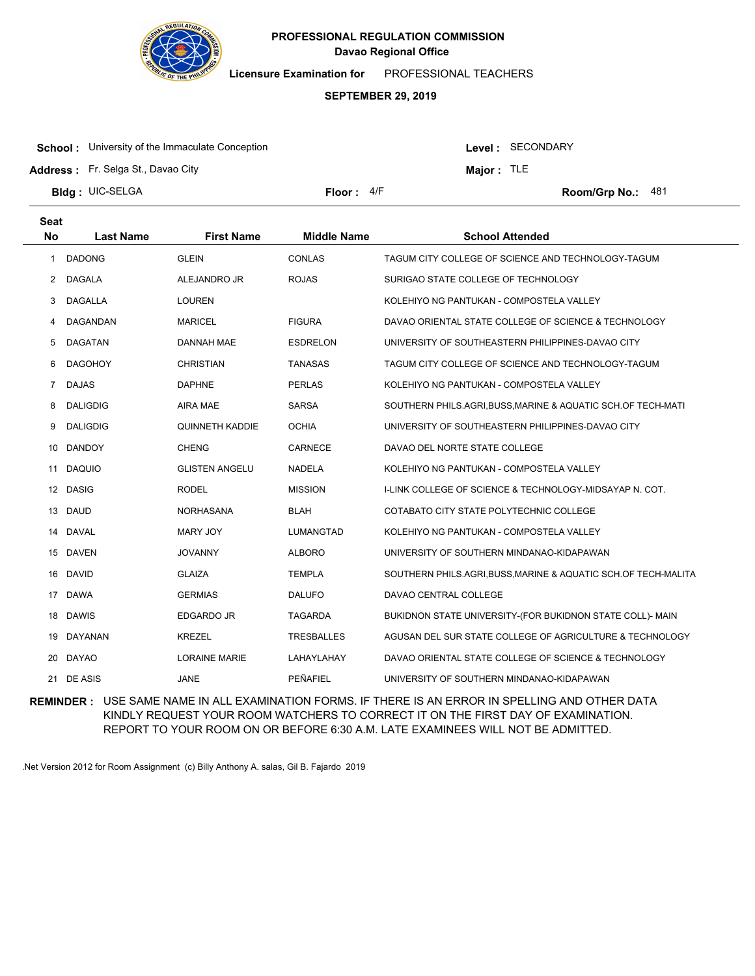

**Licensure Examination for**  PROFESSIONAL TEACHERS

#### **SEPTEMBER 29, 2019**

**School:** University of the Immaculate Conception

**Address :** Fr. Selga St., Davao City

Level : SECONDARY

**Major :** TLE

**Bldg : Floor : Room/Grp No.:** UIC-SELGA

Floor: 4/F Room/Grp No.: 481

| <b>Seat</b>    |                  |                        |                    |                                                                |
|----------------|------------------|------------------------|--------------------|----------------------------------------------------------------|
| <b>No</b>      | <b>Last Name</b> | <b>First Name</b>      | <b>Middle Name</b> | <b>School Attended</b>                                         |
| 1              | <b>DADONG</b>    | <b>GLEIN</b>           | <b>CONLAS</b>      | TAGUM CITY COLLEGE OF SCIENCE AND TECHNOLOGY-TAGUM             |
| 2              | <b>DAGALA</b>    | ALEJANDRO JR           | <b>ROJAS</b>       | SURIGAO STATE COLLEGE OF TECHNOLOGY                            |
| 3              | <b>DAGALLA</b>   | <b>LOUREN</b>          |                    | KOLEHIYO NG PANTUKAN - COMPOSTELA VALLEY                       |
| 4              | DAGANDAN         | <b>MARICEL</b>         | <b>FIGURA</b>      | DAVAO ORIENTAL STATE COLLEGE OF SCIENCE & TECHNOLOGY           |
| 5              | <b>DAGATAN</b>   | DANNAH MAE             | <b>ESDRELON</b>    | UNIVERSITY OF SOUTHEASTERN PHILIPPINES-DAVAO CITY              |
| 6              | <b>DAGOHOY</b>   | <b>CHRISTIAN</b>       | <b>TANASAS</b>     | TAGUM CITY COLLEGE OF SCIENCE AND TECHNOLOGY-TAGUM             |
| $\overline{7}$ | <b>DAJAS</b>     | <b>DAPHNE</b>          | <b>PERLAS</b>      | KOLEHIYO NG PANTUKAN - COMPOSTELA VALLEY                       |
| 8              | <b>DALIGDIG</b>  | <b>AIRA MAE</b>        | <b>SARSA</b>       | SOUTHERN PHILS.AGRI, BUSS, MARINE & AQUATIC SCH.OF TECH-MATI   |
| 9              | <b>DALIGDIG</b>  | <b>QUINNETH KADDIE</b> | <b>OCHIA</b>       | UNIVERSITY OF SOUTHEASTERN PHILIPPINES-DAVAO CITY              |
| 10             | <b>DANDOY</b>    | <b>CHENG</b>           | CARNECE            | DAVAO DEL NORTE STATE COLLEGE                                  |
| 11             | <b>DAQUIO</b>    | <b>GLISTEN ANGELU</b>  | <b>NADELA</b>      | KOLEHIYO NG PANTUKAN - COMPOSTELA VALLEY                       |
|                | 12 DASIG         | <b>RODEL</b>           | <b>MISSION</b>     | I-LINK COLLEGE OF SCIENCE & TECHNOLOGY-MIDSAYAP N. COT.        |
| 13             | <b>DAUD</b>      | <b>NORHASANA</b>       | <b>BLAH</b>        | COTABATO CITY STATE POLYTECHNIC COLLEGE                        |
| 14             | DAVAL            | <b>MARY JOY</b>        | <b>LUMANGTAD</b>   | KOLEHIYO NG PANTUKAN - COMPOSTELA VALLEY                       |
|                | 15 DAVEN         | <b>JOVANNY</b>         | <b>ALBORO</b>      | UNIVERSITY OF SOUTHERN MINDANAO-KIDAPAWAN                      |
| 16             | <b>DAVID</b>     | <b>GLAIZA</b>          | <b>TEMPLA</b>      | SOUTHERN PHILS.AGRI, BUSS, MARINE & AQUATIC SCH.OF TECH-MALITA |
| 17             | <b>DAWA</b>      | <b>GERMIAS</b>         | <b>DALUFO</b>      | DAVAO CENTRAL COLLEGE                                          |
|                | 18 DAWIS         | <b>EDGARDO JR</b>      | <b>TAGARDA</b>     | BUKIDNON STATE UNIVERSITY-(FOR BUKIDNON STATE COLL)- MAIN      |
| 19             | <b>DAYANAN</b>   | <b>KREZEL</b>          | TRESBALLES         | AGUSAN DEL SUR STATE COLLEGE OF AGRICULTURE & TECHNOLOGY       |
| 20             | <b>DAYAO</b>     | <b>LORAINE MARIE</b>   | LAHAYLAHAY         | DAVAO ORIENTAL STATE COLLEGE OF SCIENCE & TECHNOLOGY           |
|                | 21 DE ASIS       | <b>JANE</b>            | PEÑAFIEL           | UNIVERSITY OF SOUTHERN MINDANAO-KIDAPAWAN                      |

**REMINDER :** USE SAME NAME IN ALL EXAMINATION FORMS. IF THERE IS AN ERROR IN SPELLING AND OTHER DATA KINDLY REQUEST YOUR ROOM WATCHERS TO CORRECT IT ON THE FIRST DAY OF EXAMINATION. REPORT TO YOUR ROOM ON OR BEFORE 6:30 A.M. LATE EXAMINEES WILL NOT BE ADMITTED.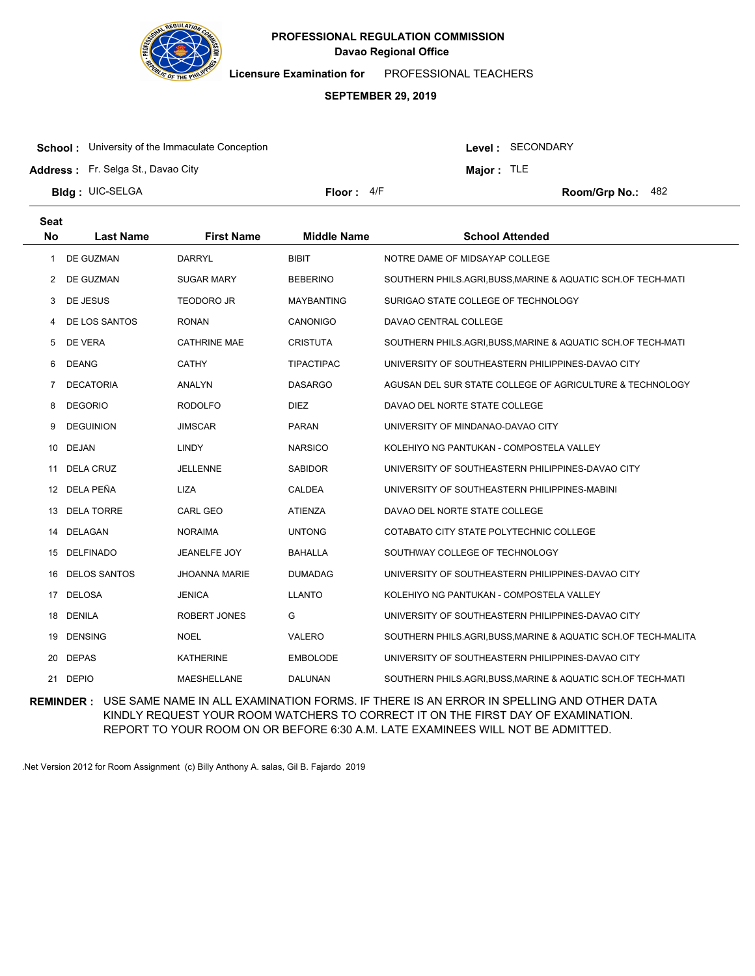

**Licensure Examination for**  PROFESSIONAL TEACHERS

#### **SEPTEMBER 29, 2019**

**School:** University of the Immaculate Conception

Level : SECONDARY

**Major :** TLE

**Address :** Fr. Selga St., Davao City

**Bldg : Floor : Room/Grp No.:** UIC-SELGA

Floor: 4/F Room/Grp No.: 482

| Seat      |                     |                      |                    |                                                                |
|-----------|---------------------|----------------------|--------------------|----------------------------------------------------------------|
| <b>No</b> | <b>Last Name</b>    | <b>First Name</b>    | <b>Middle Name</b> | <b>School Attended</b>                                         |
| 1         | DE GUZMAN           | <b>DARRYL</b>        | <b>BIBIT</b>       | NOTRE DAME OF MIDSAYAP COLLEGE                                 |
| 2         | DE GUZMAN           | <b>SUGAR MARY</b>    | <b>BEBERINO</b>    | SOUTHERN PHILS.AGRI.BUSS, MARINE & AQUATIC SCH.OF TECH-MATI    |
| 3         | DE JESUS            | <b>TEODORO JR</b>    | <b>MAYBANTING</b>  | SURIGAO STATE COLLEGE OF TECHNOLOGY                            |
| 4         | DE LOS SANTOS       | <b>RONAN</b>         | CANONIGO           | DAVAO CENTRAL COLLEGE                                          |
| 5         | DE VERA             | <b>CATHRINE MAE</b>  | <b>CRISTUTA</b>    | SOUTHERN PHILS.AGRI.BUSS, MARINE & AQUATIC SCH.OF TECH-MATI    |
| 6         | <b>DEANG</b>        | <b>CATHY</b>         | <b>TIPACTIPAC</b>  | UNIVERSITY OF SOUTHEASTERN PHILIPPINES-DAVAO CITY              |
| 7         | <b>DECATORIA</b>    | <b>ANALYN</b>        | <b>DASARGO</b>     | AGUSAN DEL SUR STATE COLLEGE OF AGRICULTURE & TECHNOLOGY       |
| 8         | <b>DEGORIO</b>      | <b>RODOLFO</b>       | <b>DIEZ</b>        | DAVAO DEL NORTE STATE COLLEGE                                  |
| 9         | <b>DEGUINION</b>    | <b>JIMSCAR</b>       | <b>PARAN</b>       | UNIVERSITY OF MINDANAO-DAVAO CITY                              |
| 10        | DEJAN               | <b>LINDY</b>         | <b>NARSICO</b>     | KOLEHIYO NG PANTUKAN - COMPOSTELA VALLEY                       |
| 11        | DELA CRUZ           | JELLENNE             | <b>SABIDOR</b>     | UNIVERSITY OF SOUTHEASTERN PHILIPPINES-DAVAO CITY              |
| 12        | DELA PEÑA           | LIZA                 | CALDEA             | UNIVERSITY OF SOUTHEASTERN PHILIPPINES-MABINI                  |
| 13        | <b>DELA TORRE</b>   | <b>CARL GEO</b>      | <b>ATIENZA</b>     | DAVAO DEL NORTE STATE COLLEGE                                  |
| 14        | DELAGAN             | <b>NORAIMA</b>       | <b>UNTONG</b>      | COTABATO CITY STATE POLYTECHNIC COLLEGE                        |
| 15        | <b>DELFINADO</b>    | <b>JEANELFE JOY</b>  | <b>BAHALLA</b>     | SOUTHWAY COLLEGE OF TECHNOLOGY                                 |
| 16        | <b>DELOS SANTOS</b> | <b>JHOANNA MARIE</b> | <b>DUMADAG</b>     | UNIVERSITY OF SOUTHEASTERN PHILIPPINES-DAVAO CITY              |
| 17        | <b>DELOSA</b>       | <b>JENICA</b>        | <b>LLANTO</b>      | KOLEHIYO NG PANTUKAN - COMPOSTELA VALLEY                       |
| 18        | DENILA              | ROBERT JONES         | G                  | UNIVERSITY OF SOUTHEASTERN PHILIPPINES-DAVAO CITY              |
| 19        | <b>DENSING</b>      | <b>NOEL</b>          | <b>VALERO</b>      | SOUTHERN PHILS.AGRI, BUSS, MARINE & AQUATIC SCH.OF TECH-MALITA |
| 20        | <b>DEPAS</b>        | <b>KATHERINE</b>     | <b>EMBOLODE</b>    | UNIVERSITY OF SOUTHEASTERN PHILIPPINES-DAVAO CITY              |
| 21        | <b>DEPIO</b>        | <b>MAESHELLANE</b>   | <b>DALUNAN</b>     | SOUTHERN PHILS.AGRI, BUSS, MARINE & AQUATIC SCH.OF TECH-MATI   |

**REMINDER :** USE SAME NAME IN ALL EXAMINATION FORMS. IF THERE IS AN ERROR IN SPELLING AND OTHER DATA KINDLY REQUEST YOUR ROOM WATCHERS TO CORRECT IT ON THE FIRST DAY OF EXAMINATION. REPORT TO YOUR ROOM ON OR BEFORE 6:30 A.M. LATE EXAMINEES WILL NOT BE ADMITTED.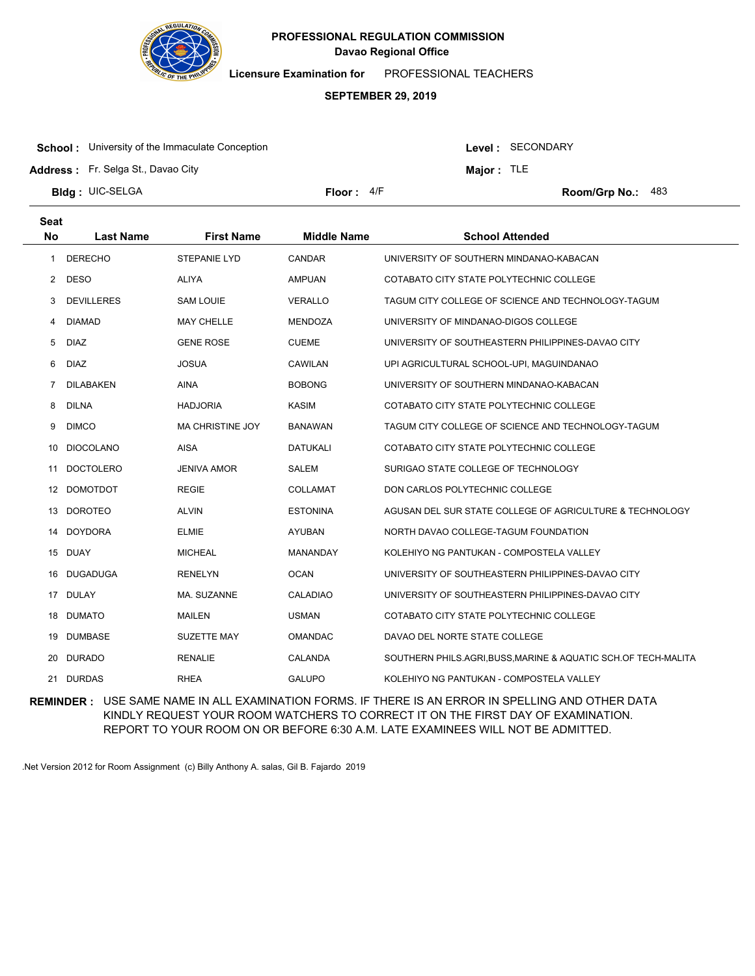

**Licensure Examination for**  PROFESSIONAL TEACHERS

#### **SEPTEMBER 29, 2019**

**School:** University of the Immaculate Conception

Level : SECONDARY

**Major :** TLE

**Address :** Fr. Selga St., Davao City

**Bldg : Floor : Room/Grp No.:** UIC-SELGA

Floor: 4/F Room/Grp No.: 483

| <b>Seat</b> |                   |                         |                    |                                                                |
|-------------|-------------------|-------------------------|--------------------|----------------------------------------------------------------|
| <b>No</b>   | <b>Last Name</b>  | <b>First Name</b>       | <b>Middle Name</b> | <b>School Attended</b>                                         |
| 1           | <b>DERECHO</b>    | STEPANIE LYD            | CANDAR             | UNIVERSITY OF SOUTHERN MINDANAO-KABACAN                        |
| 2           | <b>DESO</b>       | <b>ALIYA</b>            | <b>AMPUAN</b>      | COTABATO CITY STATE POLYTECHNIC COLLEGE                        |
| 3           | <b>DEVILLERES</b> | SAM LOUIE               | <b>VERALLO</b>     | TAGUM CITY COLLEGE OF SCIENCE AND TECHNOLOGY-TAGUM             |
| 4           | <b>DIAMAD</b>     | <b>MAY CHELLE</b>       | <b>MENDOZA</b>     | UNIVERSITY OF MINDANAO-DIGOS COLLEGE                           |
| 5           | <b>DIAZ</b>       | <b>GENE ROSE</b>        | <b>CUEME</b>       | UNIVERSITY OF SOUTHEASTERN PHILIPPINES-DAVAO CITY              |
| 6           | <b>DIAZ</b>       | <b>JOSUA</b>            | <b>CAWILAN</b>     | UPI AGRICULTURAL SCHOOL-UPI, MAGUINDANAO                       |
| 7           | <b>DILABAKEN</b>  | <b>AINA</b>             | <b>BOBONG</b>      | UNIVERSITY OF SOUTHERN MINDANAO-KABACAN                        |
| 8           | <b>DILNA</b>      | <b>HADJORIA</b>         | <b>KASIM</b>       | COTABATO CITY STATE POLYTECHNIC COLLEGE                        |
| 9           | <b>DIMCO</b>      | <b>MA CHRISTINE JOY</b> | <b>BANAWAN</b>     | TAGUM CITY COLLEGE OF SCIENCE AND TECHNOLOGY-TAGUM             |
| 10          | <b>DIOCOLANO</b>  | <b>AISA</b>             | <b>DATUKALI</b>    | COTABATO CITY STATE POLYTECHNIC COLLEGE                        |
| 11          | <b>DOCTOLERO</b>  | <b>JENIVA AMOR</b>      | <b>SALEM</b>       | SURIGAO STATE COLLEGE OF TECHNOLOGY                            |
| 12          | <b>DOMOTDOT</b>   | <b>REGIE</b>            | <b>COLLAMAT</b>    | DON CARLOS POLYTECHNIC COLLEGE                                 |
| 13          | <b>DOROTEO</b>    | <b>ALVIN</b>            | <b>ESTONINA</b>    | AGUSAN DEL SUR STATE COLLEGE OF AGRICULTURE & TECHNOLOGY       |
| 14          | <b>DOYDORA</b>    | <b>ELMIE</b>            | <b>AYUBAN</b>      | NORTH DAVAO COLLEGE-TAGUM FOUNDATION                           |
| 15          | <b>DUAY</b>       | <b>MICHEAL</b>          | MANANDAY           | KOLEHIYO NG PANTUKAN - COMPOSTELA VALLEY                       |
| 16          | <b>DUGADUGA</b>   | <b>RENELYN</b>          | <b>OCAN</b>        | UNIVERSITY OF SOUTHEASTERN PHILIPPINES-DAVAO CITY              |
| 17          | DULAY             | MA. SUZANNE             | <b>CALADIAO</b>    | UNIVERSITY OF SOUTHEASTERN PHILIPPINES-DAVAO CITY              |
| 18          | <b>DUMATO</b>     | <b>MAILEN</b>           | <b>USMAN</b>       | COTABATO CITY STATE POLYTECHNIC COLLEGE                        |
| 19          | <b>DUMBASE</b>    | SUZETTE MAY             | <b>OMANDAC</b>     | DAVAO DEL NORTE STATE COLLEGE                                  |
| 20          | <b>DURADO</b>     | <b>RENALIE</b>          | <b>CALANDA</b>     | SOUTHERN PHILS.AGRI, BUSS, MARINE & AQUATIC SCH.OF TECH-MALITA |
| 21          | <b>DURDAS</b>     | <b>RHEA</b>             | <b>GALUPO</b>      | KOLEHIYO NG PANTUKAN - COMPOSTELA VALLEY                       |

**REMINDER :** USE SAME NAME IN ALL EXAMINATION FORMS. IF THERE IS AN ERROR IN SPELLING AND OTHER DATA KINDLY REQUEST YOUR ROOM WATCHERS TO CORRECT IT ON THE FIRST DAY OF EXAMINATION. REPORT TO YOUR ROOM ON OR BEFORE 6:30 A.M. LATE EXAMINEES WILL NOT BE ADMITTED.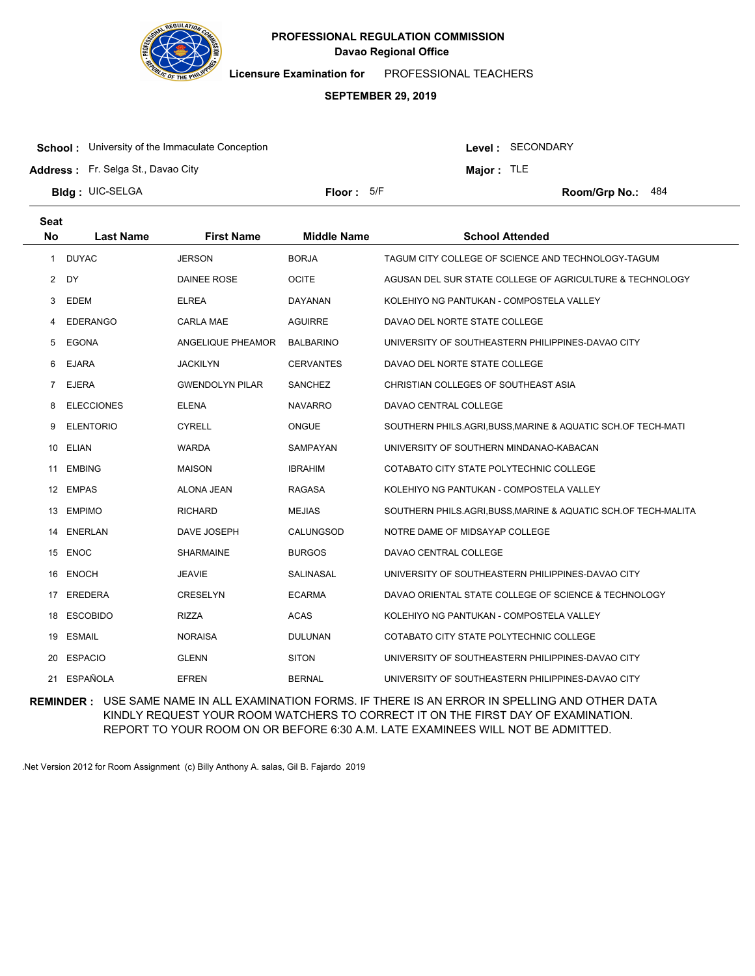

**Licensure Examination for**  PROFESSIONAL TEACHERS

#### **SEPTEMBER 29, 2019**

**School:** University of the Immaculate Conception

**Address :** Fr. Selga St., Davao City

Level : SECONDARY

**Major :** TLE

**Bldg : Floor : Room/Grp No.:** UIC-SELGA Floor: 5/F Room/Grp No.: 484

| <b>Seat</b><br><b>No</b> | <b>Last Name</b>  | <b>First Name</b>      | <b>Middle Name</b> | <b>School Attended</b>                                         |
|--------------------------|-------------------|------------------------|--------------------|----------------------------------------------------------------|
|                          |                   |                        |                    |                                                                |
| 1                        | <b>DUYAC</b>      | <b>JERSON</b>          | <b>BORJA</b>       | TAGUM CITY COLLEGE OF SCIENCE AND TECHNOLOGY-TAGUM             |
| 2                        | DY                | DAINEE ROSE            | <b>OCITE</b>       | AGUSAN DEL SUR STATE COLLEGE OF AGRICULTURE & TECHNOLOGY       |
| 3                        | <b>EDEM</b>       | <b>ELREA</b>           | DAYANAN            | KOLEHIYO NG PANTUKAN - COMPOSTELA VALLEY                       |
| 4                        | <b>EDERANGO</b>   | <b>CARLA MAE</b>       | <b>AGUIRRE</b>     | DAVAO DEL NORTE STATE COLLEGE                                  |
| 5                        | <b>EGONA</b>      | ANGELIQUE PHEAMOR      | <b>BALBARINO</b>   | UNIVERSITY OF SOUTHEASTERN PHILIPPINES-DAVAO CITY              |
| 6                        | <b>EJARA</b>      | <b>JACKILYN</b>        | <b>CERVANTES</b>   | DAVAO DEL NORTE STATE COLLEGE                                  |
| 7                        | <b>EJERA</b>      | <b>GWENDOLYN PILAR</b> | <b>SANCHEZ</b>     | CHRISTIAN COLLEGES OF SOUTHEAST ASIA                           |
| 8                        | <b>ELECCIONES</b> | <b>ELENA</b>           | <b>NAVARRO</b>     | DAVAO CENTRAL COLLEGE                                          |
| 9                        | <b>ELENTORIO</b>  | <b>CYRELL</b>          | <b>ONGUE</b>       | SOUTHERN PHILS.AGRI, BUSS, MARINE & AQUATIC SCH.OF TECH-MATI   |
| 10                       | <b>ELIAN</b>      | <b>WARDA</b>           | SAMPAYAN           | UNIVERSITY OF SOUTHERN MINDANAO-KABACAN                        |
| 11                       | <b>EMBING</b>     | <b>MAISON</b>          | <b>IBRAHIM</b>     | COTABATO CITY STATE POLYTECHNIC COLLEGE                        |
| 12                       | <b>EMPAS</b>      | ALONA JEAN             | <b>RAGASA</b>      | KOLEHIYO NG PANTUKAN - COMPOSTELA VALLEY                       |
| 13                       | <b>EMPIMO</b>     | <b>RICHARD</b>         | <b>MEJIAS</b>      | SOUTHERN PHILS.AGRI, BUSS, MARINE & AQUATIC SCH.OF TECH-MALITA |
| 14                       | <b>ENERLAN</b>    | DAVE JOSEPH            | CALUNGSOD          | NOTRE DAME OF MIDSAYAP COLLEGE                                 |
|                          | 15 ENOC           | <b>SHARMAINE</b>       | <b>BURGOS</b>      | DAVAO CENTRAL COLLEGE                                          |
| 16                       | <b>ENOCH</b>      | <b>JEAVIE</b>          | SALINASAL          | UNIVERSITY OF SOUTHEASTERN PHILIPPINES-DAVAO CITY              |
| 17                       | <b>EREDERA</b>    | <b>CRESELYN</b>        | <b>ECARMA</b>      | DAVAO ORIENTAL STATE COLLEGE OF SCIENCE & TECHNOLOGY           |
| 18                       | <b>ESCOBIDO</b>   | <b>RIZZA</b>           | <b>ACAS</b>        | KOLEHIYO NG PANTUKAN - COMPOSTELA VALLEY                       |
| 19                       | <b>ESMAIL</b>     | <b>NORAISA</b>         | <b>DULUNAN</b>     | COTABATO CITY STATE POLYTECHNIC COLLEGE                        |
| 20                       | <b>ESPACIO</b>    | <b>GLENN</b>           | <b>SITON</b>       | UNIVERSITY OF SOUTHEASTERN PHILIPPINES-DAVAO CITY              |
| 21.                      | <b>ESPAÑOLA</b>   | <b>EFREN</b>           | <b>BERNAL</b>      | UNIVERSITY OF SOUTHEASTERN PHILIPPINES-DAVAO CITY              |

**REMINDER :** USE SAME NAME IN ALL EXAMINATION FORMS. IF THERE IS AN ERROR IN SPELLING AND OTHER DATA KINDLY REQUEST YOUR ROOM WATCHERS TO CORRECT IT ON THE FIRST DAY OF EXAMINATION. REPORT TO YOUR ROOM ON OR BEFORE 6:30 A.M. LATE EXAMINEES WILL NOT BE ADMITTED.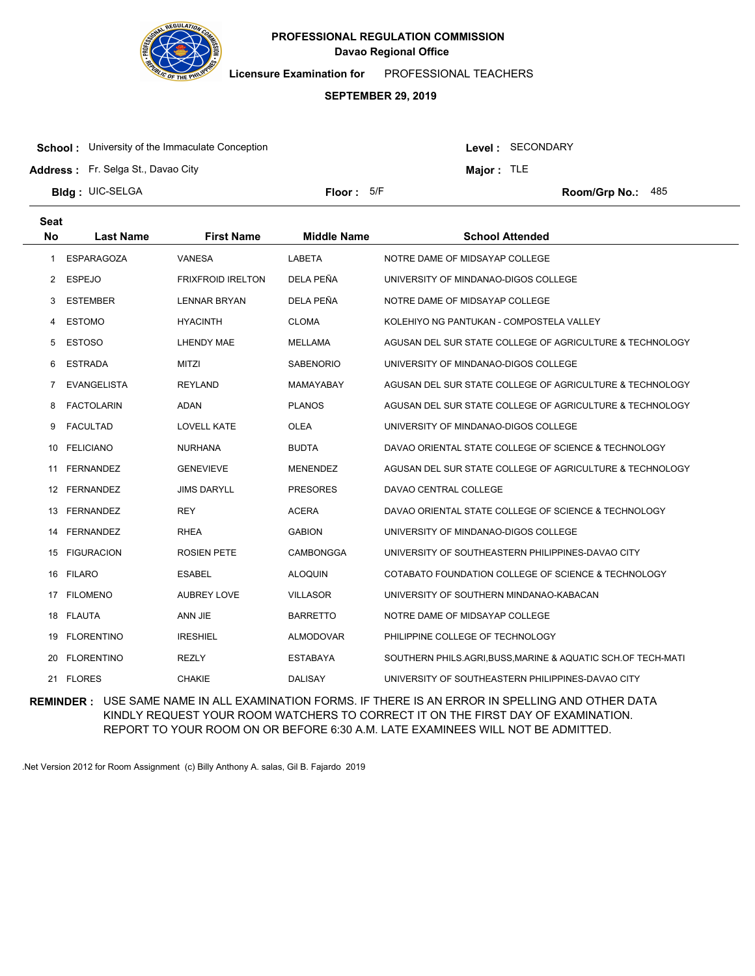

**Licensure Examination for**  PROFESSIONAL TEACHERS

#### **SEPTEMBER 29, 2019**

**School:** University of the Immaculate Conception

Level : SECONDARY

**Major :** TLE

**Address :** Fr. Selga St., Davao City

**Bldg : Floor : Room/Grp No.:** UIC-SELGA

Floor: 5/F Room/Grp No.: 485

| <b>Seat</b><br><b>No</b> | <b>Last Name</b>   | <b>First Name</b>        | <b>Middle Name</b> | <b>School Attended</b>                                       |
|--------------------------|--------------------|--------------------------|--------------------|--------------------------------------------------------------|
| 1                        | <b>ESPARAGOZA</b>  | VANESA                   | LABETA             | NOTRE DAME OF MIDSAYAP COLLEGE                               |
| $\mathbf{2}$             | <b>ESPEJO</b>      | <b>FRIXFROID IRELTON</b> | DELA PEÑA          | UNIVERSITY OF MINDANAO-DIGOS COLLEGE                         |
| 3                        | <b>ESTEMBER</b>    | <b>LENNAR BRYAN</b>      | DELA PEÑA          | NOTRE DAME OF MIDSAYAP COLLEGE                               |
| 4                        | <b>ESTOMO</b>      | <b>HYACINTH</b>          | <b>CLOMA</b>       | KOLEHIYO NG PANTUKAN - COMPOSTELA VALLEY                     |
| 5                        | <b>ESTOSO</b>      | LHENDY MAE               | MELLAMA            | AGUSAN DEL SUR STATE COLLEGE OF AGRICULTURE & TECHNOLOGY     |
| 6                        | <b>ESTRADA</b>     | <b>MITZI</b>             | <b>SABENORIO</b>   | UNIVERSITY OF MINDANAO-DIGOS COLLEGE                         |
| 7                        | <b>EVANGELISTA</b> | <b>REYLAND</b>           | MAMAYABAY          | AGUSAN DEL SUR STATE COLLEGE OF AGRICULTURE & TECHNOLOGY     |
| 8                        | <b>FACTOLARIN</b>  | <b>ADAN</b>              | <b>PLANOS</b>      | AGUSAN DEL SUR STATE COLLEGE OF AGRICULTURE & TECHNOLOGY     |
| 9                        | <b>FACULTAD</b>    | LOVELL KATE              | <b>OLEA</b>        | UNIVERSITY OF MINDANAO-DIGOS COLLEGE                         |
| 10                       | <b>FELICIANO</b>   | <b>NURHANA</b>           | <b>BUDTA</b>       | DAVAO ORIENTAL STATE COLLEGE OF SCIENCE & TECHNOLOGY         |
| 11                       | <b>FERNANDEZ</b>   | <b>GENEVIEVE</b>         | <b>MENENDEZ</b>    | AGUSAN DEL SUR STATE COLLEGE OF AGRICULTURE & TECHNOLOGY     |
|                          | 12 FERNANDEZ       | <b>JIMS DARYLL</b>       | <b>PRESORES</b>    | DAVAO CENTRAL COLLEGE                                        |
| 13                       | <b>FERNANDEZ</b>   | <b>REY</b>               | <b>ACERA</b>       | DAVAO ORIENTAL STATE COLLEGE OF SCIENCE & TECHNOLOGY         |
| 14                       | <b>FERNANDEZ</b>   | <b>RHEA</b>              | <b>GABION</b>      | UNIVERSITY OF MINDANAO-DIGOS COLLEGE                         |
| 15                       | <b>FIGURACION</b>  | <b>ROSIEN PETE</b>       | <b>CAMBONGGA</b>   | UNIVERSITY OF SOUTHEASTERN PHILIPPINES-DAVAO CITY            |
| 16                       | <b>FILARO</b>      | <b>ESABEL</b>            | <b>ALOQUIN</b>     | COTABATO FOUNDATION COLLEGE OF SCIENCE & TECHNOLOGY          |
| 17                       | <b>FILOMENO</b>    | <b>AUBREY LOVE</b>       | <b>VILLASOR</b>    | UNIVERSITY OF SOUTHERN MINDANAO-KABACAN                      |
|                          | 18 FLAUTA          | ANN JIE                  | <b>BARRETTO</b>    | NOTRE DAME OF MIDSAYAP COLLEGE                               |
| 19                       | <b>FLORENTINO</b>  | <b>IRESHIEL</b>          | <b>ALMODOVAR</b>   | PHILIPPINE COLLEGE OF TECHNOLOGY                             |
| 20                       | <b>FLORENTINO</b>  | <b>REZLY</b>             | <b>ESTABAYA</b>    | SOUTHERN PHILS.AGRI, BUSS, MARINE & AQUATIC SCH.OF TECH-MATI |
|                          | 21 FLORES          | <b>CHAKIE</b>            | <b>DALISAY</b>     | UNIVERSITY OF SOUTHEASTERN PHILIPPINES-DAVAO CITY            |

**REMINDER :** USE SAME NAME IN ALL EXAMINATION FORMS. IF THERE IS AN ERROR IN SPELLING AND OTHER DATA KINDLY REQUEST YOUR ROOM WATCHERS TO CORRECT IT ON THE FIRST DAY OF EXAMINATION. REPORT TO YOUR ROOM ON OR BEFORE 6:30 A.M. LATE EXAMINEES WILL NOT BE ADMITTED.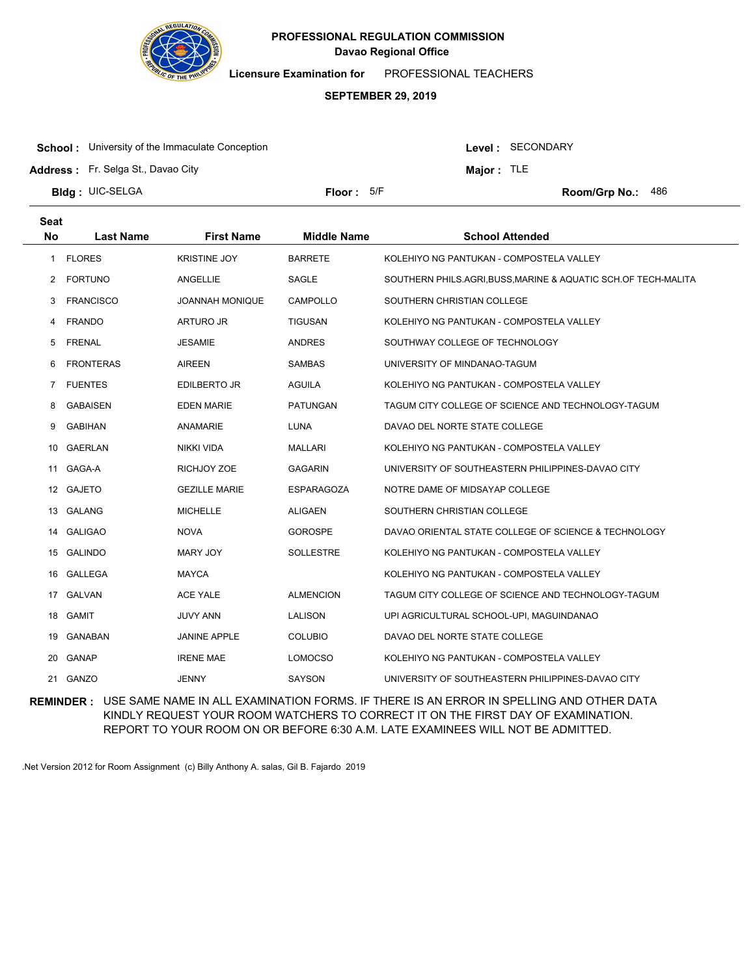

**Licensure Examination for**  PROFESSIONAL TEACHERS

#### **SEPTEMBER 29, 2019**

**School:** University of the Immaculate Conception

Level : SECONDARY

**Major :** TLE

**Address :** Fr. Selga St., Davao City

**Bldg : Floor : Room/Grp No.:** UIC-SELGA

Floor: 5/F Room/Grp No.: 486

| <b>Seat</b> |                  |                        |                    |                                                                |
|-------------|------------------|------------------------|--------------------|----------------------------------------------------------------|
| <b>No</b>   | <b>Last Name</b> | <b>First Name</b>      | <b>Middle Name</b> | <b>School Attended</b>                                         |
| 1           | <b>FLORES</b>    | <b>KRISTINE JOY</b>    | <b>BARRETE</b>     | KOLEHIYO NG PANTUKAN - COMPOSTELA VALLEY                       |
| 2           | <b>FORTUNO</b>   | <b>ANGELLIE</b>        | SAGLE              | SOUTHERN PHILS.AGRI, BUSS, MARINE & AQUATIC SCH.OF TECH-MALITA |
| 3           | <b>FRANCISCO</b> | <b>JOANNAH MONIQUE</b> | <b>CAMPOLLO</b>    | SOUTHERN CHRISTIAN COLLEGE                                     |
| 4           | <b>FRANDO</b>    | ARTURO JR              | <b>TIGUSAN</b>     | KOLEHIYO NG PANTUKAN - COMPOSTELA VALLEY                       |
| 5           | <b>FRENAL</b>    | <b>JESAMIE</b>         | <b>ANDRES</b>      | SOUTHWAY COLLEGE OF TECHNOLOGY                                 |
| 6           | <b>FRONTERAS</b> | <b>AIREEN</b>          | <b>SAMBAS</b>      | UNIVERSITY OF MINDANAO-TAGUM                                   |
| $7^{\circ}$ | <b>FUENTES</b>   | <b>EDILBERTO JR</b>    | <b>AGUILA</b>      | KOLEHIYO NG PANTUKAN - COMPOSTELA VALLEY                       |
| 8           | <b>GABAISEN</b>  | <b>EDEN MARIE</b>      | <b>PATUNGAN</b>    | TAGUM CITY COLLEGE OF SCIENCE AND TECHNOLOGY-TAGUM             |
| 9           | <b>GABIHAN</b>   | ANAMARIE               | LUNA               | DAVAO DEL NORTE STATE COLLEGE                                  |
| 10          | <b>GAERLAN</b>   | <b>NIKKI VIDA</b>      | <b>MALLARI</b>     | KOLEHIYO NG PANTUKAN - COMPOSTELA VALLEY                       |
| 11          | GAGA-A           | RICHJOY ZOE            | <b>GAGARIN</b>     | UNIVERSITY OF SOUTHEASTERN PHILIPPINES-DAVAO CITY              |
|             | 12 GAJETO        | <b>GEZILLE MARIE</b>   | <b>ESPARAGOZA</b>  | NOTRE DAME OF MIDSAYAP COLLEGE                                 |
| 13          | <b>GALANG</b>    | <b>MICHELLE</b>        | <b>ALIGAEN</b>     | SOUTHERN CHRISTIAN COLLEGE                                     |
| 14          | <b>GALIGAO</b>   | <b>NOVA</b>            | <b>GOROSPE</b>     | DAVAO ORIENTAL STATE COLLEGE OF SCIENCE & TECHNOLOGY           |
| 15          | <b>GALINDO</b>   | MARY JOY               | <b>SOLLESTRE</b>   | KOLEHIYO NG PANTUKAN - COMPOSTELA VALLEY                       |
| 16          | GALLEGA          | <b>MAYCA</b>           |                    | KOLEHIYO NG PANTUKAN - COMPOSTELA VALLEY                       |
|             | 17 GALVAN        | ACE YALE               | <b>ALMENCION</b>   | TAGUM CITY COLLEGE OF SCIENCE AND TECHNOLOGY-TAGUM             |
| 18          | <b>GAMIT</b>     | <b>JUVY ANN</b>        | <b>LALISON</b>     | UPI AGRICULTURAL SCHOOL-UPI, MAGUINDANAO                       |
| 19          | GANABAN          | <b>JANINE APPLE</b>    | <b>COLUBIO</b>     | DAVAO DEL NORTE STATE COLLEGE                                  |
| 20          | <b>GANAP</b>     | <b>IRENE MAE</b>       | <b>LOMOCSO</b>     | KOLEHIYO NG PANTUKAN - COMPOSTELA VALLEY                       |
|             | 21 GANZO         | JENNY                  | <b>SAYSON</b>      | UNIVERSITY OF SOUTHEASTERN PHILIPPINES-DAVAO CITY              |

**REMINDER :** USE SAME NAME IN ALL EXAMINATION FORMS. IF THERE IS AN ERROR IN SPELLING AND OTHER DATA KINDLY REQUEST YOUR ROOM WATCHERS TO CORRECT IT ON THE FIRST DAY OF EXAMINATION. REPORT TO YOUR ROOM ON OR BEFORE 6:30 A.M. LATE EXAMINEES WILL NOT BE ADMITTED.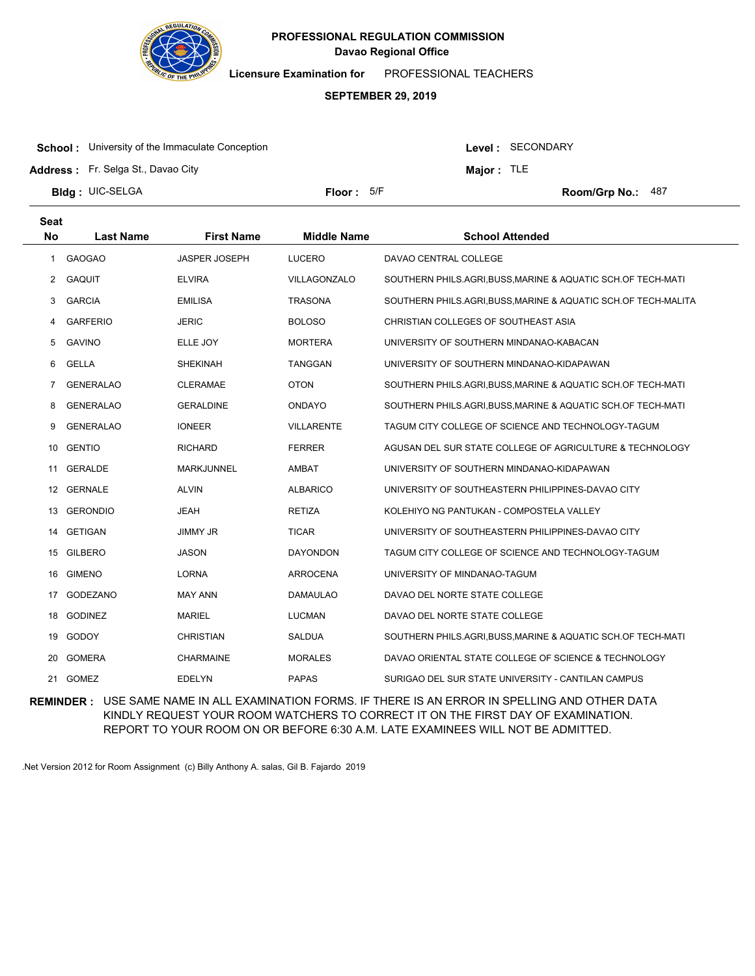

**Licensure Examination for**  PROFESSIONAL TEACHERS

#### **SEPTEMBER 29, 2019**

**School:** University of the Immaculate Conception

Level : SECONDARY

**Major :** TLE

**Address :** Fr. Selga St., Davao City

**Bldg : Floor : Room/Grp No.:** UIC-SELGA

Floor: 5/F Room/Grp No.: 487

| <b>Seat</b>           |                  |                      |                    |                                                                |
|-----------------------|------------------|----------------------|--------------------|----------------------------------------------------------------|
| <b>No</b>             | <b>Last Name</b> | <b>First Name</b>    | <b>Middle Name</b> | <b>School Attended</b>                                         |
| $\mathbf{1}$          | <b>GAOGAO</b>    | <b>JASPER JOSEPH</b> | <b>LUCERO</b>      | DAVAO CENTRAL COLLEGE                                          |
| $\mathbf{2}^{\prime}$ | <b>GAQUIT</b>    | <b>ELVIRA</b>        | VILLAGONZALO       | SOUTHERN PHILS.AGRI, BUSS, MARINE & AQUATIC SCH.OF TECH-MATI   |
| 3                     | <b>GARCIA</b>    | <b>EMILISA</b>       | <b>TRASONA</b>     | SOUTHERN PHILS.AGRI, BUSS, MARINE & AQUATIC SCH.OF TECH-MALITA |
| 4                     | <b>GARFERIO</b>  | <b>JERIC</b>         | <b>BOLOSO</b>      | CHRISTIAN COLLEGES OF SOUTHEAST ASIA                           |
| 5                     | <b>GAVINO</b>    | ELLE JOY             | <b>MORTERA</b>     | UNIVERSITY OF SOUTHERN MINDANAO-KABACAN                        |
| 6                     | <b>GELLA</b>     | <b>SHEKINAH</b>      | <b>TANGGAN</b>     | UNIVERSITY OF SOUTHERN MINDANAO-KIDAPAWAN                      |
| 7                     | <b>GENERALAO</b> | <b>CLERAMAE</b>      | <b>OTON</b>        | SOUTHERN PHILS.AGRI, BUSS, MARINE & AQUATIC SCH.OF TECH-MATI   |
| 8                     | <b>GENERALAO</b> | <b>GERALDINE</b>     | <b>ONDAYO</b>      | SOUTHERN PHILS.AGRI, BUSS, MARINE & AQUATIC SCH.OF TECH-MATI   |
| 9                     | <b>GENERALAO</b> | <b>IONEER</b>        | <b>VILLARENTE</b>  | TAGUM CITY COLLEGE OF SCIENCE AND TECHNOLOGY-TAGUM             |
| 10                    | <b>GENTIO</b>    | <b>RICHARD</b>       | <b>FERRER</b>      | AGUSAN DEL SUR STATE COLLEGE OF AGRICULTURE & TECHNOLOGY       |
| 11                    | <b>GERALDE</b>   | <b>MARKJUNNEL</b>    | <b>AMBAT</b>       | UNIVERSITY OF SOUTHERN MINDANAO-KIDAPAWAN                      |
| 12                    | <b>GERNALE</b>   | <b>ALVIN</b>         | <b>ALBARICO</b>    | UNIVERSITY OF SOUTHEASTERN PHILIPPINES-DAVAO CITY              |
| 13                    | <b>GERONDIO</b>  | <b>JEAH</b>          | <b>RETIZA</b>      | KOLEHIYO NG PANTUKAN - COMPOSTELA VALLEY                       |
| 14                    | <b>GETIGAN</b>   | <b>JIMMY JR</b>      | <b>TICAR</b>       | UNIVERSITY OF SOUTHEASTERN PHILIPPINES-DAVAO CITY              |
| 15                    | <b>GILBERO</b>   | <b>JASON</b>         | <b>DAYONDON</b>    | TAGUM CITY COLLEGE OF SCIENCE AND TECHNOLOGY-TAGUM             |
| 16                    | <b>GIMENO</b>    | <b>LORNA</b>         | <b>ARROCENA</b>    | UNIVERSITY OF MINDANAO-TAGUM                                   |
| 17                    | <b>GODEZANO</b>  | <b>MAY ANN</b>       | DAMAULAO           | DAVAO DEL NORTE STATE COLLEGE                                  |
| 18                    | <b>GODINEZ</b>   | <b>MARIEL</b>        | <b>LUCMAN</b>      | DAVAO DEL NORTE STATE COLLEGE                                  |
| 19                    | GODOY            | <b>CHRISTIAN</b>     | SALDUA             | SOUTHERN PHILS.AGRI, BUSS, MARINE & AQUATIC SCH.OF TECH-MATI   |
| 20                    | <b>GOMERA</b>    | CHARMAINE            | <b>MORALES</b>     | DAVAO ORIENTAL STATE COLLEGE OF SCIENCE & TECHNOLOGY           |
| 21                    | GOMEZ            | <b>EDELYN</b>        | <b>PAPAS</b>       | SURIGAO DEL SUR STATE UNIVERSITY - CANTILAN CAMPUS             |

**REMINDER :** USE SAME NAME IN ALL EXAMINATION FORMS. IF THERE IS AN ERROR IN SPELLING AND OTHER DATA KINDLY REQUEST YOUR ROOM WATCHERS TO CORRECT IT ON THE FIRST DAY OF EXAMINATION. REPORT TO YOUR ROOM ON OR BEFORE 6:30 A.M. LATE EXAMINEES WILL NOT BE ADMITTED.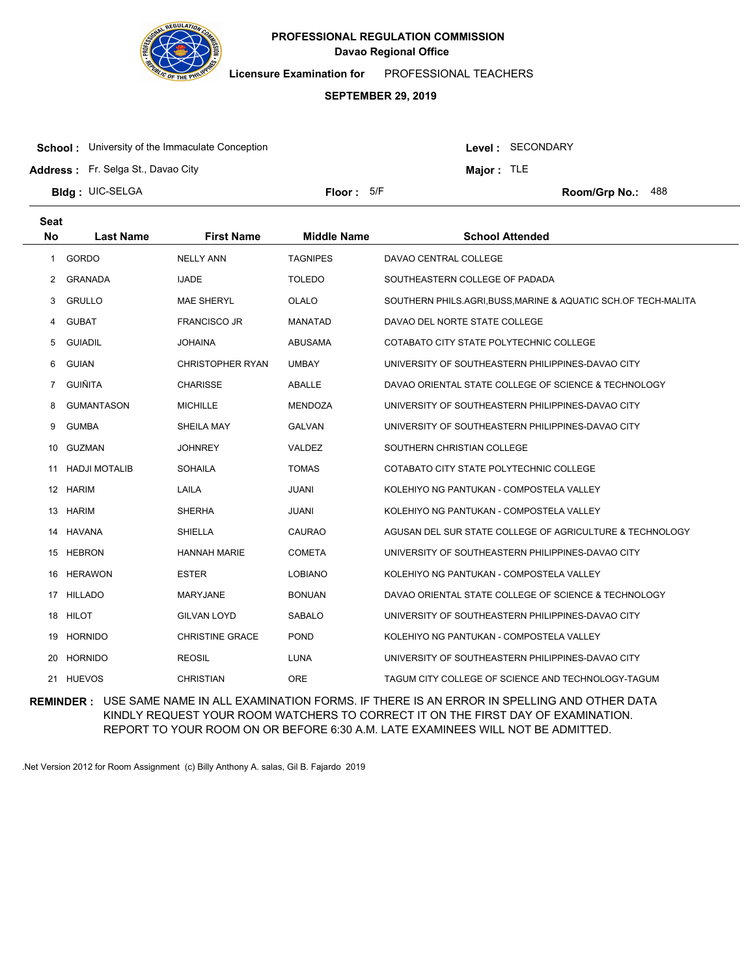

**Licensure Examination for**  PROFESSIONAL TEACHERS

# **SEPTEMBER 29, 2019**

**School:** University of the Immaculate Conception

Level : SECONDARY

**Major :** TLE

**Address :** Fr. Selga St., Davao City

**Bldg : Floor : Room/Grp No.:** UIC-SELGA

Floor: 5/F Room/Grp No.: 488

| <b>Seat</b><br><b>No</b> | <b>Last Name</b>     | <b>First Name</b>       | <b>Middle Name</b> | <b>School Attended</b>                                         |
|--------------------------|----------------------|-------------------------|--------------------|----------------------------------------------------------------|
| $\mathbf{1}$             | GORDO                | <b>NELLY ANN</b>        | <b>TAGNIPES</b>    | DAVAO CENTRAL COLLEGE                                          |
| 2                        | GRANADA              | <b>IJADE</b>            | <b>TOLEDO</b>      | SOUTHEASTERN COLLEGE OF PADADA                                 |
| 3                        | <b>GRULLO</b>        | <b>MAE SHERYL</b>       | OLALO              | SOUTHERN PHILS.AGRI, BUSS, MARINE & AQUATIC SCH.OF TECH-MALITA |
| 4                        | <b>GUBAT</b>         | <b>FRANCISCO JR</b>     | MANATAD            | DAVAO DEL NORTE STATE COLLEGE                                  |
| 5                        | <b>GUIADIL</b>       | <b>JOHAINA</b>          | <b>ABUSAMA</b>     | COTABATO CITY STATE POLYTECHNIC COLLEGE                        |
| 6                        | <b>GUIAN</b>         | <b>CHRISTOPHER RYAN</b> | <b>UMBAY</b>       | UNIVERSITY OF SOUTHEASTERN PHILIPPINES-DAVAO CITY              |
| $\overline{7}$           | <b>GUIÑITA</b>       | <b>CHARISSE</b>         | ABALLE             | DAVAO ORIENTAL STATE COLLEGE OF SCIENCE & TECHNOLOGY           |
| 8                        | <b>GUMANTASON</b>    | <b>MICHILLE</b>         | MENDOZA            | UNIVERSITY OF SOUTHEASTERN PHILIPPINES-DAVAO CITY              |
| 9                        | <b>GUMBA</b>         | SHEILA MAY              | <b>GALVAN</b>      | UNIVERSITY OF SOUTHEASTERN PHILIPPINES-DAVAO CITY              |
| 10                       | GUZMAN               | <b>JOHNREY</b>          | VALDEZ             | SOUTHERN CHRISTIAN COLLEGE                                     |
| 11                       | <b>HADJI MOTALIB</b> | <b>SOHAILA</b>          | <b>TOMAS</b>       | COTABATO CITY STATE POLYTECHNIC COLLEGE                        |
|                          | 12 HARIM             | LAILA                   | <b>JUANI</b>       | KOLEHIYO NG PANTUKAN - COMPOSTELA VALLEY                       |
| 13                       | <b>HARIM</b>         | <b>SHERHA</b>           | <b>JUANI</b>       | KOLEHIYO NG PANTUKAN - COMPOSTELA VALLEY                       |
| 14                       | <b>HAVANA</b>        | <b>SHIELLA</b>          | CAURAO             | AGUSAN DEL SUR STATE COLLEGE OF AGRICULTURE & TECHNOLOGY       |
| 15                       | HEBRON               | <b>HANNAH MARIE</b>     | <b>COMETA</b>      | UNIVERSITY OF SOUTHEASTERN PHILIPPINES-DAVAO CITY              |
| 16                       | <b>HERAWON</b>       | <b>ESTER</b>            | <b>LOBIANO</b>     | KOLEHIYO NG PANTUKAN - COMPOSTELA VALLEY                       |
| 17                       | <b>HILLADO</b>       | <b>MARYJANE</b>         | <b>BONUAN</b>      | DAVAO ORIENTAL STATE COLLEGE OF SCIENCE & TECHNOLOGY           |
|                          | 18 HILOT             | <b>GILVAN LOYD</b>      | <b>SABALO</b>      | UNIVERSITY OF SOUTHEASTERN PHILIPPINES-DAVAO CITY              |
| 19                       | <b>HORNIDO</b>       | <b>CHRISTINE GRACE</b>  | <b>POND</b>        | KOLEHIYO NG PANTUKAN - COMPOSTELA VALLEY                       |
| 20                       | <b>HORNIDO</b>       | <b>REOSIL</b>           | LUNA               | UNIVERSITY OF SOUTHEASTERN PHILIPPINES-DAVAO CITY              |
|                          | 21 HUEVOS            | <b>CHRISTIAN</b>        | <b>ORE</b>         | TAGUM CITY COLLEGE OF SCIENCE AND TECHNOLOGY-TAGUM             |

**REMINDER :** USE SAME NAME IN ALL EXAMINATION FORMS. IF THERE IS AN ERROR IN SPELLING AND OTHER DATA KINDLY REQUEST YOUR ROOM WATCHERS TO CORRECT IT ON THE FIRST DAY OF EXAMINATION. REPORT TO YOUR ROOM ON OR BEFORE 6:30 A.M. LATE EXAMINEES WILL NOT BE ADMITTED.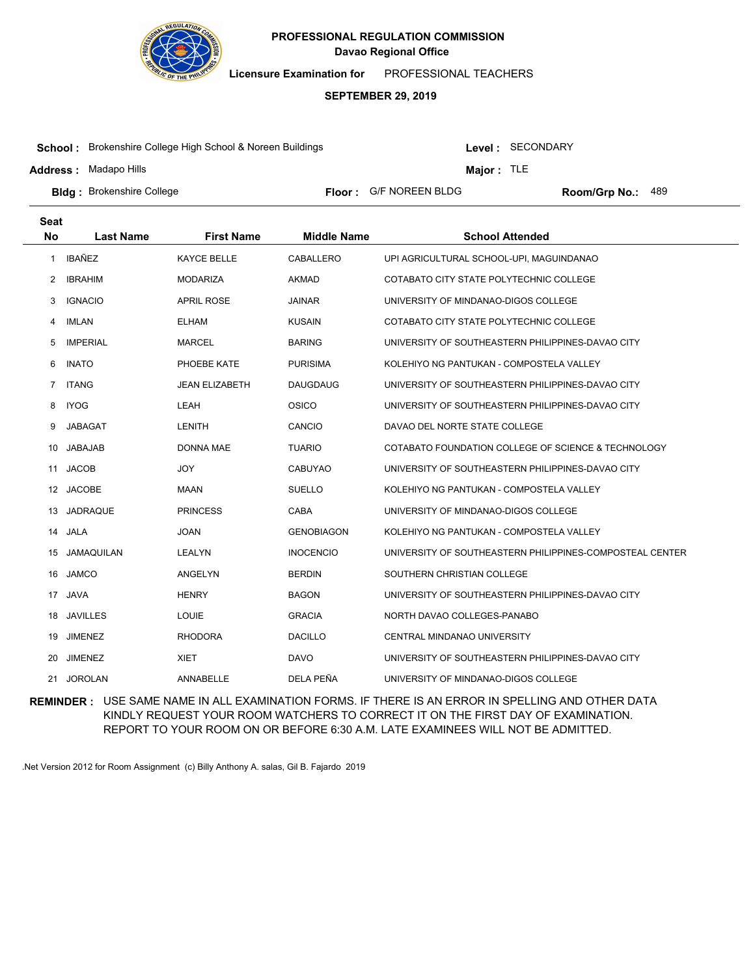

**Licensure Examination for**  PROFESSIONAL TEACHERS

#### **SEPTEMBER 29, 2019**

**School :** Brokenshire College High School & Noreen Buildings

**Address :** Madapo Hills

Level : SECONDARY

**Major :** TLE

**Bldg :** Brokenshire College **Room Accord Election College 1 College 1 College 1 Room/Grp No.: Room/Grp No.:** Floor: G/F NOREEN BLDG Room/Grp No.: 489

| <b>Seat</b>          |                  |                       |                    |                                                          |
|----------------------|------------------|-----------------------|--------------------|----------------------------------------------------------|
| <b>No</b>            | <b>Last Name</b> | <b>First Name</b>     | <b>Middle Name</b> | <b>School Attended</b>                                   |
| 1                    | <b>IBAÑEZ</b>    | <b>KAYCE BELLE</b>    | CABALLERO          | UPI AGRICULTURAL SCHOOL-UPI, MAGUINDANAO                 |
| $\mathbf{2}^{\circ}$ | <b>IBRAHIM</b>   | <b>MODARIZA</b>       | AKMAD              | COTABATO CITY STATE POLYTECHNIC COLLEGE                  |
| 3                    | <b>IGNACIO</b>   | <b>APRIL ROSE</b>     | <b>JAINAR</b>      | UNIVERSITY OF MINDANAO-DIGOS COLLEGE                     |
| 4                    | <b>IMLAN</b>     | <b>ELHAM</b>          | <b>KUSAIN</b>      | COTABATO CITY STATE POLYTECHNIC COLLEGE                  |
| 5                    | <b>IMPERIAL</b>  | <b>MARCEL</b>         | <b>BARING</b>      | UNIVERSITY OF SOUTHEASTERN PHILIPPINES-DAVAO CITY        |
| 6                    | <b>INATO</b>     | PHOEBE KATE           | <b>PURISIMA</b>    | KOLEHIYO NG PANTUKAN - COMPOSTELA VALLEY                 |
| $7^{\circ}$          | <b>ITANG</b>     | <b>JEAN ELIZABETH</b> | <b>DAUGDAUG</b>    | UNIVERSITY OF SOUTHEASTERN PHILIPPINES-DAVAO CITY        |
| 8                    | <b>IYOG</b>      | LEAH                  | <b>OSICO</b>       | UNIVERSITY OF SOUTHEASTERN PHILIPPINES-DAVAO CITY        |
| 9                    | JABAGAT          | <b>LENITH</b>         | CANCIO             | DAVAO DEL NORTE STATE COLLEGE                            |
| 10                   | JABAJAB          | DONNA MAE             | <b>TUARIO</b>      | COTABATO FOUNDATION COLLEGE OF SCIENCE & TECHNOLOGY      |
| 11                   | <b>JACOB</b>     | <b>JOY</b>            | <b>CABUYAO</b>     | UNIVERSITY OF SOUTHEASTERN PHILIPPINES-DAVAO CITY        |
| 12                   | <b>JACOBE</b>    | MAAN                  | <b>SUELLO</b>      | KOLEHIYO NG PANTUKAN - COMPOSTELA VALLEY                 |
| 13                   | <b>JADRAQUE</b>  | <b>PRINCESS</b>       | CABA               | UNIVERSITY OF MINDANAO-DIGOS COLLEGE                     |
| 14                   | JALA             | <b>JOAN</b>           | <b>GENOBIAGON</b>  | KOLEHIYO NG PANTUKAN - COMPOSTELA VALLEY                 |
| 15                   | JAMAQUILAN       | LEALYN                | <b>INOCENCIO</b>   | UNIVERSITY OF SOUTHEASTERN PHILIPPINES-COMPOSTEAL CENTER |
| 16                   | <b>JAMCO</b>     | ANGELYN               | <b>BERDIN</b>      | SOUTHERN CHRISTIAN COLLEGE                               |
| 17                   | <b>JAVA</b>      | <b>HENRY</b>          | <b>BAGON</b>       | UNIVERSITY OF SOUTHEASTERN PHILIPPINES-DAVAO CITY        |
| 18                   | <b>JAVILLES</b>  | <b>LOUIE</b>          | <b>GRACIA</b>      | NORTH DAVAO COLLEGES-PANABO                              |
| 19                   | <b>JIMENEZ</b>   | <b>RHODORA</b>        | <b>DACILLO</b>     | CENTRAL MINDANAO UNIVERSITY                              |
| 20                   | <b>JIMENEZ</b>   | <b>XIET</b>           | <b>DAVO</b>        | UNIVERSITY OF SOUTHEASTERN PHILIPPINES-DAVAO CITY        |
| 21                   | <b>JOROLAN</b>   | ANNABELLE             | DELA PEÑA          | UNIVERSITY OF MINDANAO-DIGOS COLLEGE                     |

**REMINDER :** USE SAME NAME IN ALL EXAMINATION FORMS. IF THERE IS AN ERROR IN SPELLING AND OTHER DATA KINDLY REQUEST YOUR ROOM WATCHERS TO CORRECT IT ON THE FIRST DAY OF EXAMINATION. REPORT TO YOUR ROOM ON OR BEFORE 6:30 A.M. LATE EXAMINEES WILL NOT BE ADMITTED.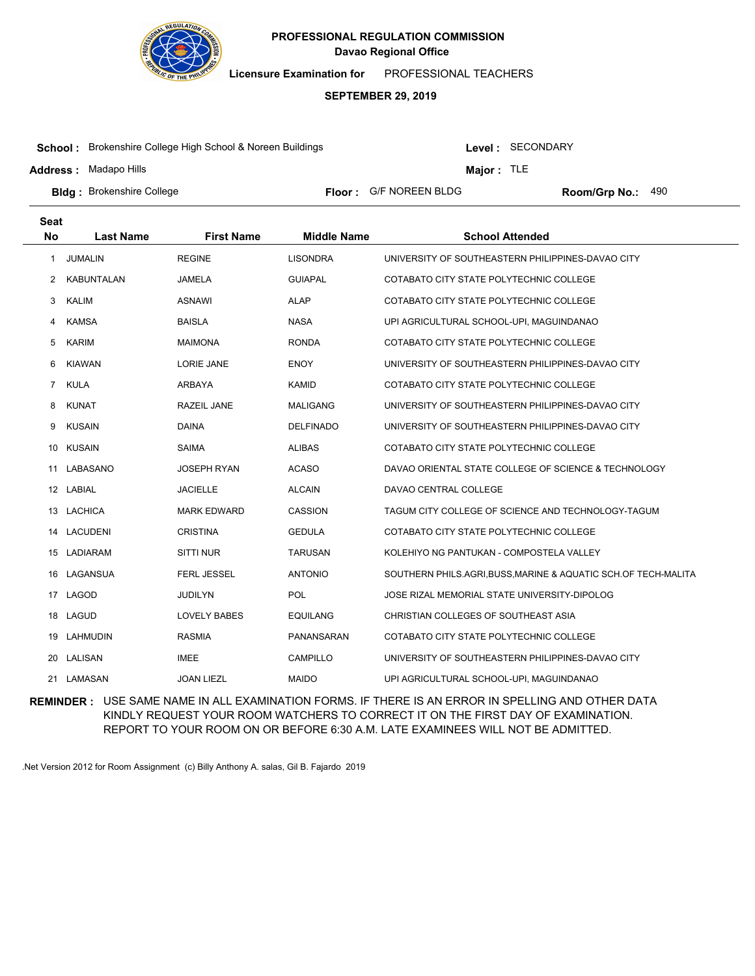

**Licensure Examination for**  PROFESSIONAL TEACHERS

#### **SEPTEMBER 29, 2019**

**School :** Brokenshire College High School & Noreen Buildings

**Address :** Madapo Hills

Level : SECONDARY

**Major :** TLE

**Bldg :** Brokenshire College **All Property College and Science Floor :** G/F NOREEN BLDG **Room/Grp No.: Room/Grp No.:** Floor: G/F NOREEN BLDG Room/Grp No.: 490

| <b>Seat</b>    |                   |                     |                    |                                                                |
|----------------|-------------------|---------------------|--------------------|----------------------------------------------------------------|
| <b>No</b>      | <b>Last Name</b>  | <b>First Name</b>   | <b>Middle Name</b> | <b>School Attended</b>                                         |
| $\mathbf{1}$   | <b>JUMALIN</b>    | <b>REGINE</b>       | <b>LISONDRA</b>    | UNIVERSITY OF SOUTHEASTERN PHILIPPINES-DAVAO CITY              |
| 2              | <b>KABUNTALAN</b> | <b>JAMELA</b>       | <b>GUIAPAL</b>     | COTABATO CITY STATE POLYTECHNIC COLLEGE                        |
| 3              | <b>KALIM</b>      | <b>ASNAWI</b>       | <b>ALAP</b>        | COTABATO CITY STATE POLYTECHNIC COLLEGE                        |
| 4              | <b>KAMSA</b>      | <b>BAISLA</b>       | <b>NASA</b>        | UPI AGRICULTURAL SCHOOL-UPI, MAGUINDANAO                       |
| 5              | <b>KARIM</b>      | <b>MAIMONA</b>      | <b>RONDA</b>       | COTABATO CITY STATE POLYTECHNIC COLLEGE                        |
| 6              | <b>KIAWAN</b>     | <b>LORIE JANE</b>   | <b>ENOY</b>        | UNIVERSITY OF SOUTHEASTERN PHILIPPINES-DAVAO CITY              |
| $\overline{7}$ | <b>KULA</b>       | <b>ARBAYA</b>       | <b>KAMID</b>       | COTABATO CITY STATE POLYTECHNIC COLLEGE                        |
| 8              | <b>KUNAT</b>      | <b>RAZEIL JANE</b>  | <b>MALIGANG</b>    | UNIVERSITY OF SOUTHEASTERN PHILIPPINES-DAVAO CITY              |
| 9              | <b>KUSAIN</b>     | <b>DAINA</b>        | <b>DELFINADO</b>   | UNIVERSITY OF SOUTHEASTERN PHILIPPINES-DAVAO CITY              |
| 10             | <b>KUSAIN</b>     | <b>SAIMA</b>        | <b>ALIBAS</b>      | COTABATO CITY STATE POLYTECHNIC COLLEGE                        |
| 11             | LABASANO          | <b>JOSEPH RYAN</b>  | <b>ACASO</b>       | DAVAO ORIENTAL STATE COLLEGE OF SCIENCE & TECHNOLOGY           |
|                | 12 LABIAL         | <b>JACIELLE</b>     | <b>ALCAIN</b>      | DAVAO CENTRAL COLLEGE                                          |
| 13             | <b>LACHICA</b>    | <b>MARK EDWARD</b>  | <b>CASSION</b>     | TAGUM CITY COLLEGE OF SCIENCE AND TECHNOLOGY-TAGUM             |
| 14             | <b>LACUDENI</b>   | <b>CRISTINA</b>     | <b>GEDULA</b>      | COTABATO CITY STATE POLYTECHNIC COLLEGE                        |
|                | 15 LADIARAM       | <b>SITTI NUR</b>    | <b>TARUSAN</b>     | KOLEHIYO NG PANTUKAN - COMPOSTELA VALLEY                       |
| 16             | LAGANSUA          | <b>FERL JESSEL</b>  | <b>ANTONIO</b>     | SOUTHERN PHILS.AGRI, BUSS, MARINE & AQUATIC SCH.OF TECH-MALITA |
| 17             | LAGOD             | <b>JUDILYN</b>      | POL                | JOSE RIZAL MEMORIAL STATE UNIVERSITY-DIPOLOG                   |
|                | 18 LAGUD          | <b>LOVELY BABES</b> | <b>EQUILANG</b>    | CHRISTIAN COLLEGES OF SOUTHEAST ASIA                           |
| 19             | LAHMUDIN          | <b>RASMIA</b>       | PANANSARAN         | COTABATO CITY STATE POLYTECHNIC COLLEGE                        |
| 20             | LALISAN           | <b>IMEE</b>         | <b>CAMPILLO</b>    | UNIVERSITY OF SOUTHEASTERN PHILIPPINES-DAVAO CITY              |
|                | 21 LAMASAN        | <b>JOAN LIEZL</b>   | <b>MAIDO</b>       | UPI AGRICULTURAL SCHOOL-UPI, MAGUINDANAO                       |

**REMINDER :** USE SAME NAME IN ALL EXAMINATION FORMS. IF THERE IS AN ERROR IN SPELLING AND OTHER DATA KINDLY REQUEST YOUR ROOM WATCHERS TO CORRECT IT ON THE FIRST DAY OF EXAMINATION. REPORT TO YOUR ROOM ON OR BEFORE 6:30 A.M. LATE EXAMINEES WILL NOT BE ADMITTED.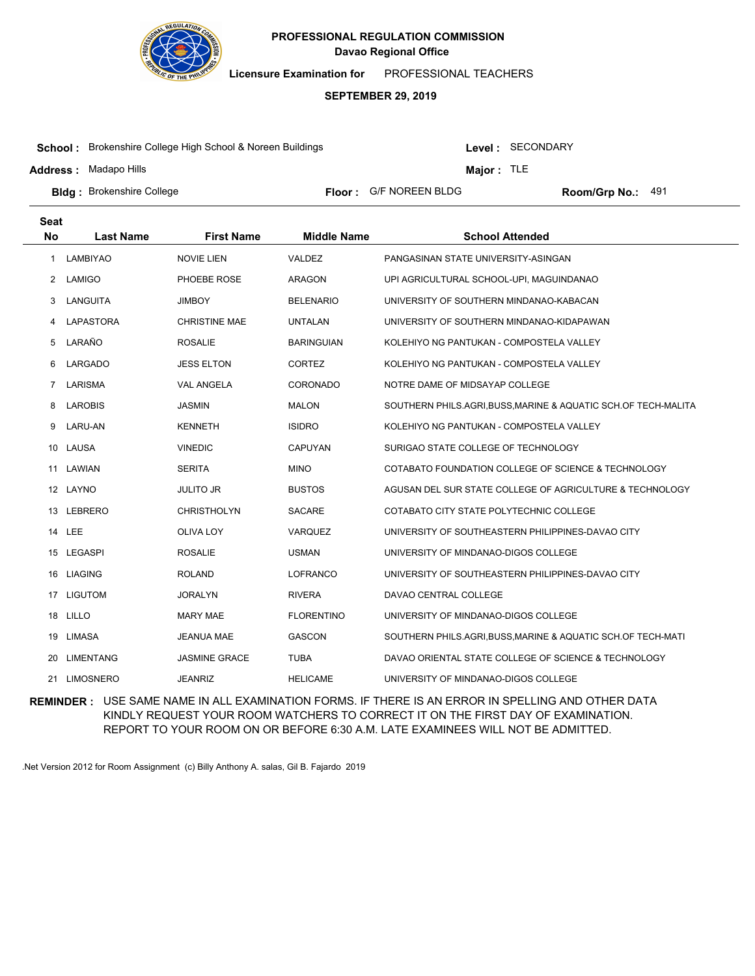

**Licensure Examination for**  PROFESSIONAL TEACHERS

#### **SEPTEMBER 29, 2019**

**School :** Brokenshire College High School & Noreen Buildings

**Address :** Madapo Hills

Level : SECONDARY

**Major :** TLE

**Bldg :** Brokenshire College **All Property College and Science Floor :** G/F NOREEN BLDG **Room/Grp No.: Room/Grp No.:** Floor: G/F NOREEN BLDG Room/Grp No.: 491

| <b>Seat</b>    |                  |                      |                    |                                                                |
|----------------|------------------|----------------------|--------------------|----------------------------------------------------------------|
| <b>No</b>      | <b>Last Name</b> | <b>First Name</b>    | <b>Middle Name</b> | <b>School Attended</b>                                         |
| 1              | <b>LAMBIYAO</b>  | <b>NOVIE LIEN</b>    | VALDEZ             | PANGASINAN STATE UNIVERSITY-ASINGAN                            |
| 2              | LAMIGO           | PHOEBE ROSE          | <b>ARAGON</b>      | UPI AGRICULTURAL SCHOOL-UPI, MAGUINDANAO                       |
| 3              | LANGUITA         | <b>JIMBOY</b>        | <b>BELENARIO</b>   | UNIVERSITY OF SOUTHERN MINDANAO-KABACAN                        |
| 4              | LAPASTORA        | <b>CHRISTINE MAE</b> | <b>UNTALAN</b>     | UNIVERSITY OF SOUTHERN MINDANAO-KIDAPAWAN                      |
| 5              | LARAÑO           | <b>ROSALIE</b>       | <b>BARINGUIAN</b>  | KOLEHIYO NG PANTUKAN - COMPOSTELA VALLEY                       |
| 6              | LARGADO          | <b>JESS ELTON</b>    | <b>CORTEZ</b>      | KOLEHIYO NG PANTUKAN - COMPOSTELA VALLEY                       |
| $\overline{7}$ | LARISMA          | <b>VAL ANGELA</b>    | <b>CORONADO</b>    | NOTRE DAME OF MIDSAYAP COLLEGE                                 |
| 8              | <b>LAROBIS</b>   | <b>JASMIN</b>        | <b>MALON</b>       | SOUTHERN PHILS.AGRI, BUSS, MARINE & AQUATIC SCH.OF TECH-MALITA |
| 9              | <b>LARU-AN</b>   | <b>KENNETH</b>       | <b>ISIDRO</b>      | KOLEHIYO NG PANTUKAN - COMPOSTELA VALLEY                       |
| 10             | LAUSA            | <b>VINEDIC</b>       | <b>CAPUYAN</b>     | SURIGAO STATE COLLEGE OF TECHNOLOGY                            |
| 11             | LAWIAN           | <b>SERITA</b>        | <b>MINO</b>        | COTABATO FOUNDATION COLLEGE OF SCIENCE & TECHNOLOGY            |
|                | 12 LAYNO         | JULITO JR            | <b>BUSTOS</b>      | AGUSAN DEL SUR STATE COLLEGE OF AGRICULTURE & TECHNOLOGY       |
| 13             | LEBRERO          | <b>CHRISTHOLYN</b>   | <b>SACARE</b>      | COTABATO CITY STATE POLYTECHNIC COLLEGE                        |
|                | 14 LEE           | <b>OLIVA LOY</b>     | VARQUEZ            | UNIVERSITY OF SOUTHEASTERN PHILIPPINES-DAVAO CITY              |
|                | 15 LEGASPI       | <b>ROSALIE</b>       | <b>USMAN</b>       | UNIVERSITY OF MINDANAO-DIGOS COLLEGE                           |
| 16             | <b>LIAGING</b>   | <b>ROLAND</b>        | <b>LOFRANCO</b>    | UNIVERSITY OF SOUTHEASTERN PHILIPPINES-DAVAO CITY              |
| 17             | <b>LIGUTOM</b>   | <b>JORALYN</b>       | <b>RIVERA</b>      | DAVAO CENTRAL COLLEGE                                          |
|                | 18 LILLO         | <b>MARY MAE</b>      | <b>FLORENTINO</b>  | UNIVERSITY OF MINDANAO-DIGOS COLLEGE                           |
| 19             | LIMASA           | <b>JEANUA MAE</b>    | <b>GASCON</b>      | SOUTHERN PHILS.AGRI, BUSS, MARINE & AQUATIC SCH.OF TECH-MATI   |
| 20             | <b>LIMENTANG</b> | <b>JASMINE GRACE</b> | <b>TUBA</b>        | DAVAO ORIENTAL STATE COLLEGE OF SCIENCE & TECHNOLOGY           |
|                | 21 LIMOSNERO     | <b>JEANRIZ</b>       | <b>HELICAME</b>    | UNIVERSITY OF MINDANAO-DIGOS COLLEGE                           |

**REMINDER :** USE SAME NAME IN ALL EXAMINATION FORMS. IF THERE IS AN ERROR IN SPELLING AND OTHER DATA KINDLY REQUEST YOUR ROOM WATCHERS TO CORRECT IT ON THE FIRST DAY OF EXAMINATION. REPORT TO YOUR ROOM ON OR BEFORE 6:30 A.M. LATE EXAMINEES WILL NOT BE ADMITTED.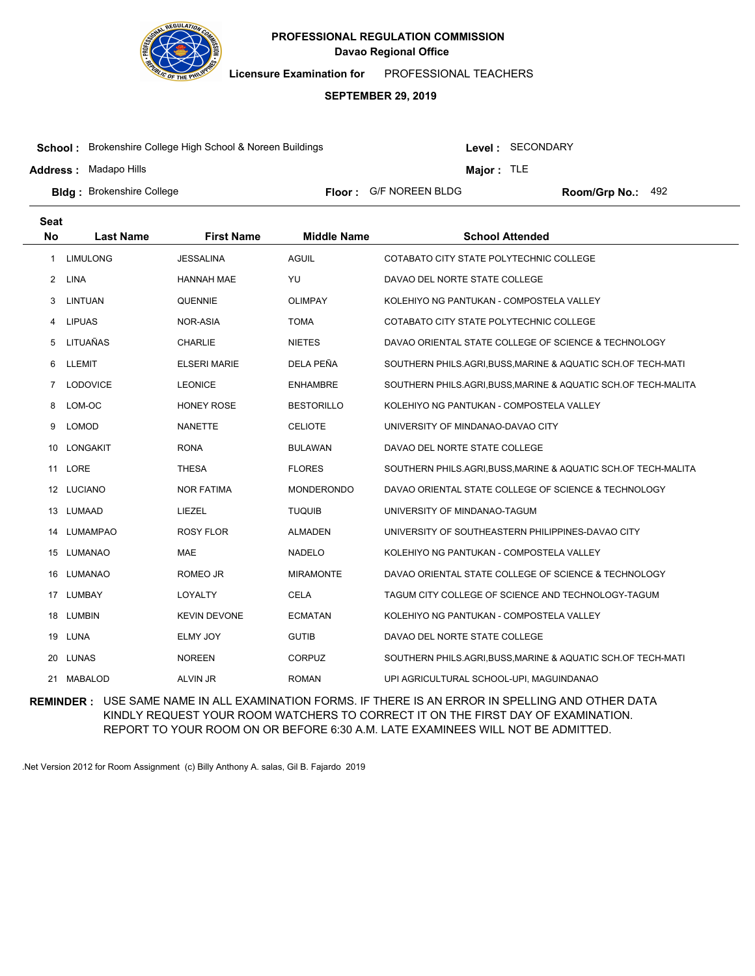

**Licensure Examination for**  PROFESSIONAL TEACHERS

#### **SEPTEMBER 29, 2019**

**School :** Brokenshire College High School & Noreen Buildings

**Address :** Madapo Hills

Level : SECONDARY

**Major :** TLE

**Bldg :** Brokenshire College **All Property College and Science Floor :** G/F NOREEN BLDG **Room/Grp No.: Room/Grp No.:** Floor: G/F NOREEN BLDG Room/Grp No.: 492

| <b>Seat</b>    |                  |                     |                    |                                                                |
|----------------|------------------|---------------------|--------------------|----------------------------------------------------------------|
| <b>No</b>      | <b>Last Name</b> | <b>First Name</b>   | <b>Middle Name</b> | <b>School Attended</b>                                         |
| $\mathbf{1}$   | <b>LIMULONG</b>  | <b>JESSALINA</b>    | <b>AGUIL</b>       | COTABATO CITY STATE POLYTECHNIC COLLEGE                        |
| 2              | <b>LINA</b>      | <b>HANNAH MAE</b>   | YU                 | DAVAO DEL NORTE STATE COLLEGE                                  |
| 3              | LINTUAN          | <b>QUENNIE</b>      | <b>OLIMPAY</b>     | KOLEHIYO NG PANTUKAN - COMPOSTELA VALLEY                       |
| 4              | <b>LIPUAS</b>    | NOR-ASIA            | <b>TOMA</b>        | COTABATO CITY STATE POLYTECHNIC COLLEGE                        |
| 5              | LITUAÑAS         | <b>CHARLIE</b>      | <b>NIETES</b>      | DAVAO ORIENTAL STATE COLLEGE OF SCIENCE & TECHNOLOGY           |
| 6              | LLEMIT           | <b>ELSERI MARIE</b> | DELA PEÑA          | SOUTHERN PHILS.AGRI, BUSS, MARINE & AQUATIC SCH.OF TECH-MATI   |
| $\overline{7}$ | <b>LODOVICE</b>  | <b>LEONICE</b>      | <b>ENHAMBRE</b>    | SOUTHERN PHILS.AGRI, BUSS, MARINE & AQUATIC SCH.OF TECH-MALITA |
| 8              | LOM-OC           | <b>HONEY ROSE</b>   | <b>BESTORILLO</b>  | KOLEHIYO NG PANTUKAN - COMPOSTELA VALLEY                       |
| 9              | <b>LOMOD</b>     | <b>NANETTE</b>      | <b>CELIOTE</b>     | UNIVERSITY OF MINDANAO-DAVAO CITY                              |
| 10             | LONGAKIT         | <b>RONA</b>         | <b>BULAWAN</b>     | DAVAO DEL NORTE STATE COLLEGE                                  |
|                | 11 LORE          | <b>THESA</b>        | <b>FLORES</b>      | SOUTHERN PHILS.AGRI, BUSS, MARINE & AQUATIC SCH.OF TECH-MALITA |
|                | 12 LUCIANO       | <b>NOR FATIMA</b>   | <b>MONDERONDO</b>  | DAVAO ORIENTAL STATE COLLEGE OF SCIENCE & TECHNOLOGY           |
|                | 13 LUMAAD        | LIEZEL              | <b>TUQUIB</b>      | UNIVERSITY OF MINDANAO-TAGUM                                   |
| 14             | <b>LUMAMPAO</b>  | <b>ROSY FLOR</b>    | <b>ALMADEN</b>     | UNIVERSITY OF SOUTHEASTERN PHILIPPINES-DAVAO CITY              |
| 15             | LUMANAO          | MAE                 | <b>NADELO</b>      | KOLEHIYO NG PANTUKAN - COMPOSTELA VALLEY                       |
| 16             | LUMANAO          | ROMEO JR            | <b>MIRAMONTE</b>   | DAVAO ORIENTAL STATE COLLEGE OF SCIENCE & TECHNOLOGY           |
|                | 17 LUMBAY        | LOYALTY             | <b>CELA</b>        | TAGUM CITY COLLEGE OF SCIENCE AND TECHNOLOGY-TAGUM             |
| 18             | <b>LUMBIN</b>    | <b>KEVIN DEVONE</b> | <b>ECMATAN</b>     | KOLEHIYO NG PANTUKAN - COMPOSTELA VALLEY                       |
|                | 19 LUNA          | <b>ELMY JOY</b>     | <b>GUTIB</b>       | DAVAO DEL NORTE STATE COLLEGE                                  |
|                | 20 LUNAS         | <b>NOREEN</b>       | <b>CORPUZ</b>      | SOUTHERN PHILS.AGRI, BUSS, MARINE & AQUATIC SCH.OF TECH-MATI   |
| 21             | MABALOD          | ALVIN JR            | <b>ROMAN</b>       | UPI AGRICULTURAL SCHOOL-UPI, MAGUINDANAO                       |

**REMINDER :** USE SAME NAME IN ALL EXAMINATION FORMS. IF THERE IS AN ERROR IN SPELLING AND OTHER DATA KINDLY REQUEST YOUR ROOM WATCHERS TO CORRECT IT ON THE FIRST DAY OF EXAMINATION. REPORT TO YOUR ROOM ON OR BEFORE 6:30 A.M. LATE EXAMINEES WILL NOT BE ADMITTED.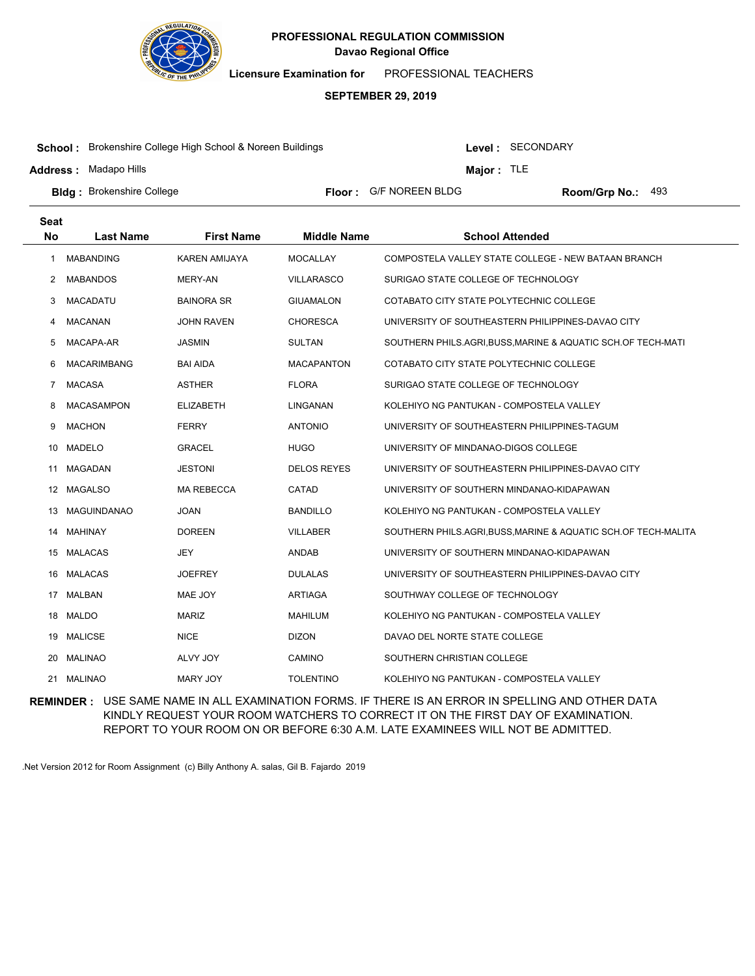

**Licensure Examination for**  PROFESSIONAL TEACHERS

#### **SEPTEMBER 29, 2019**

**School :** Brokenshire College High School & Noreen Buildings

**Address :** Madapo Hills

Level : SECONDARY

**Major :** TLE

**Bldg :** Brokenshire College **All Property College and Science Floor :** G/F NOREEN BLDG **Room/Grp No.: Room/Grp No.:** 

Floor: G/F NOREEN BLDG Room/Grp No.: 493

| Seat      |                    |                      |                    |                                                              |
|-----------|--------------------|----------------------|--------------------|--------------------------------------------------------------|
| <b>No</b> | <b>Last Name</b>   | <b>First Name</b>    | <b>Middle Name</b> | <b>School Attended</b>                                       |
| 1         | <b>MABANDING</b>   | <b>KAREN AMIJAYA</b> | <b>MOCALLAY</b>    | COMPOSTELA VALLEY STATE COLLEGE - NEW BATAAN BRANCH          |
| 2         | <b>MABANDOS</b>    | MERY-AN              | <b>VILLARASCO</b>  | SURIGAO STATE COLLEGE OF TECHNOLOGY                          |
| 3         | <b>MACADATU</b>    | <b>BAINORA SR</b>    | <b>GIUAMALON</b>   | COTABATO CITY STATE POLYTECHNIC COLLEGE                      |
| 4         | <b>MACANAN</b>     | <b>JOHN RAVEN</b>    | <b>CHORESCA</b>    | UNIVERSITY OF SOUTHEASTERN PHILIPPINES-DAVAO CITY            |
| 5         | MACAPA-AR          | <b>JASMIN</b>        | <b>SULTAN</b>      | SOUTHERN PHILS.AGRI, BUSS, MARINE & AQUATIC SCH.OF TECH-MATI |
| 6         | <b>MACARIMBANG</b> | BAI AIDA             | <b>MACAPANTON</b>  | COTABATO CITY STATE POLYTECHNIC COLLEGE                      |
| 7         | <b>MACASA</b>      | <b>ASTHER</b>        | <b>FLORA</b>       | SURIGAO STATE COLLEGE OF TECHNOLOGY                          |
| 8         | <b>MACASAMPON</b>  | <b>ELIZABETH</b>     | LINGANAN           | KOLEHIYO NG PANTUKAN - COMPOSTELA VALLEY                     |
| 9         | <b>MACHON</b>      | <b>FERRY</b>         | <b>ANTONIO</b>     | UNIVERSITY OF SOUTHEASTERN PHILIPPINES-TAGUM                 |
| 10        | <b>MADELO</b>      | <b>GRACEL</b>        | <b>HUGO</b>        | UNIVERSITY OF MINDANAO-DIGOS COLLEGE                         |
| 11        | <b>MAGADAN</b>     | <b>JESTONI</b>       | <b>DELOS REYES</b> | UNIVERSITY OF SOUTHEASTERN PHILIPPINES-DAVAO CITY            |
| 12        | <b>MAGALSO</b>     | <b>MA REBECCA</b>    | CATAD              | UNIVERSITY OF SOUTHERN MINDANAO-KIDAPAWAN                    |
| 13        | <b>MAGUINDANAO</b> | JOAN                 | <b>BANDILLO</b>    | KOLEHIYO NG PANTUKAN - COMPOSTELA VALLEY                     |
| 14        | MAHINAY            | <b>DOREEN</b>        | <b>VILLABER</b>    | SOUTHERN PHILS.AGRI,BUSS,MARINE & AQUATIC SCH.OF TECH-MALITA |
| 15        | <b>MALACAS</b>     | <b>JEY</b>           | <b>ANDAB</b>       | UNIVERSITY OF SOUTHERN MINDANAO-KIDAPAWAN                    |
| 16        | <b>MALACAS</b>     | JOEFREY              | <b>DULALAS</b>     | UNIVERSITY OF SOUTHEASTERN PHILIPPINES-DAVAO CITY            |
|           | 17 MALBAN          | MAE JOY              | ARTIAGA            | SOUTHWAY COLLEGE OF TECHNOLOGY                               |
| 18        | <b>MALDO</b>       | <b>MARIZ</b>         | <b>MAHILUM</b>     | KOLEHIYO NG PANTUKAN - COMPOSTELA VALLEY                     |
| 19        | MALICSE            | <b>NICE</b>          | <b>DIZON</b>       | DAVAO DEL NORTE STATE COLLEGE                                |
| 20        | <b>MALINAO</b>     | ALVY JOY             | CAMINO             | SOUTHERN CHRISTIAN COLLEGE                                   |
|           | 21 MALINAO         | <b>MARY JOY</b>      | <b>TOLENTINO</b>   | KOLEHIYO NG PANTUKAN - COMPOSTELA VALLEY                     |

**REMINDER :** USE SAME NAME IN ALL EXAMINATION FORMS. IF THERE IS AN ERROR IN SPELLING AND OTHER DATA KINDLY REQUEST YOUR ROOM WATCHERS TO CORRECT IT ON THE FIRST DAY OF EXAMINATION. REPORT TO YOUR ROOM ON OR BEFORE 6:30 A.M. LATE EXAMINEES WILL NOT BE ADMITTED.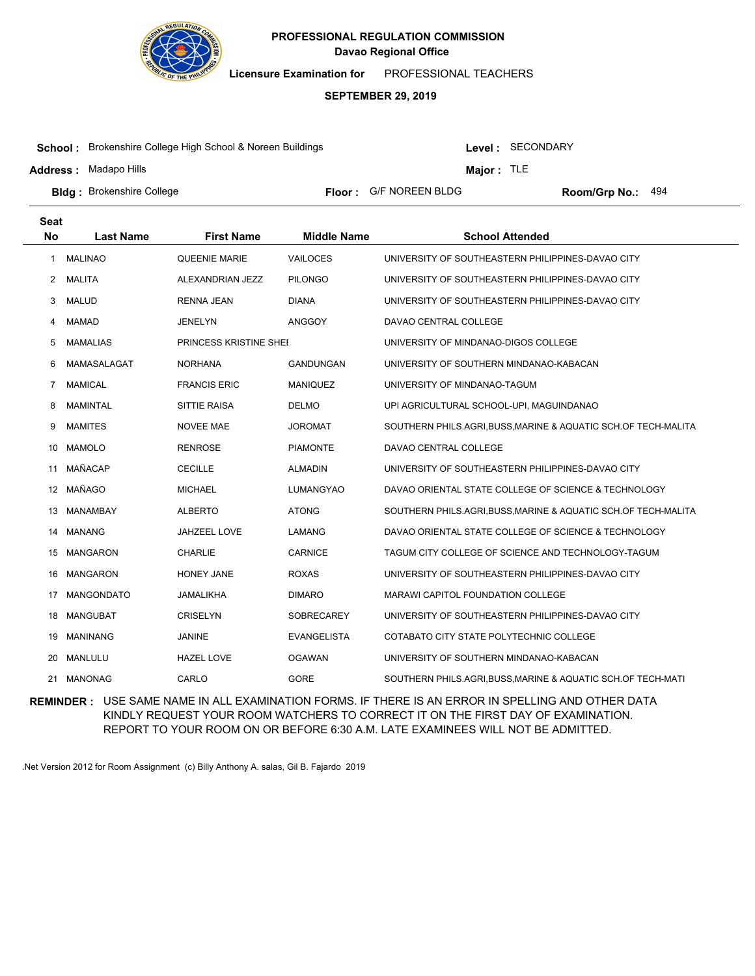

**Licensure Examination for**  PROFESSIONAL TEACHERS

#### **SEPTEMBER 29, 2019**

**School :** Brokenshire College High School & Noreen Buildings

**Address :** Madapo Hills

Level : SECONDARY

**Major :** TLE

Floor: G/F NOREEN BLDG Room/Grp No.: 494

**Bldg :** Brokenshire College **All Property College and Science Floor :** G/F NOREEN BLDG **Room/Grp No.: Room/Grp No.:** 

| <b>Seat</b> |                  |                        |                    |                                                                |
|-------------|------------------|------------------------|--------------------|----------------------------------------------------------------|
| <b>No</b>   | <b>Last Name</b> | <b>First Name</b>      | <b>Middle Name</b> | <b>School Attended</b>                                         |
| 1           | <b>MALINAO</b>   | <b>QUEENIE MARIE</b>   | <b>VAILOCES</b>    | UNIVERSITY OF SOUTHEASTERN PHILIPPINES-DAVAO CITY              |
| 2           | MALITA           | ALEXANDRIAN JEZZ       | <b>PILONGO</b>     | UNIVERSITY OF SOUTHEASTERN PHILIPPINES-DAVAO CITY              |
| 3           | MALUD            | <b>RENNA JEAN</b>      | <b>DIANA</b>       | UNIVERSITY OF SOUTHEASTERN PHILIPPINES-DAVAO CITY              |
| 4           | MAMAD            | <b>JENELYN</b>         | <b>ANGGOY</b>      | DAVAO CENTRAL COLLEGE                                          |
| 5           | <b>MAMALIAS</b>  | PRINCESS KRISTINE SHEE |                    | UNIVERSITY OF MINDANAO-DIGOS COLLEGE                           |
| 6           | MAMASALAGAT      | <b>NORHANA</b>         | GANDUNGAN          | UNIVERSITY OF SOUTHERN MINDANAO-KABACAN                        |
| 7           | <b>MAMICAL</b>   | <b>FRANCIS ERIC</b>    | <b>MANIQUEZ</b>    | UNIVERSITY OF MINDANAO-TAGUM                                   |
| 8           | <b>MAMINTAL</b>  | <b>SITTIE RAISA</b>    | <b>DELMO</b>       | UPI AGRICULTURAL SCHOOL-UPI, MAGUINDANAO                       |
| 9           | <b>MAMITES</b>   | <b>NOVEE MAE</b>       | <b>JOROMAT</b>     | SOUTHERN PHILS.AGRI, BUSS, MARINE & AQUATIC SCH.OF TECH-MALITA |
| 10          | <b>MAMOLO</b>    | <b>RENROSE</b>         | <b>PIAMONTE</b>    | DAVAO CENTRAL COLLEGE                                          |
| 11          | MAÑACAP          | <b>CECILLE</b>         | <b>ALMADIN</b>     | UNIVERSITY OF SOUTHEASTERN PHILIPPINES-DAVAO CITY              |
| 12          | MAÑAGO           | <b>MICHAEL</b>         | LUMANGYAO          | DAVAO ORIENTAL STATE COLLEGE OF SCIENCE & TECHNOLOGY           |
| 13          | MANAMBAY         | <b>ALBERTO</b>         | <b>ATONG</b>       | SOUTHERN PHILS.AGRI, BUSS, MARINE & AQUATIC SCH.OF TECH-MALITA |
| 14          | MANANG           | JAHZEEL LOVE           | <b>LAMANG</b>      | DAVAO ORIENTAL STATE COLLEGE OF SCIENCE & TECHNOLOGY           |
| 15          | MANGARON         | <b>CHARLIE</b>         | <b>CARNICE</b>     | TAGUM CITY COLLEGE OF SCIENCE AND TECHNOLOGY-TAGUM             |
| 16          | <b>MANGARON</b>  | <b>HONEY JANE</b>      | <b>ROXAS</b>       | UNIVERSITY OF SOUTHEASTERN PHILIPPINES-DAVAO CITY              |
| 17          | MANGONDATO       | JAMALIKHA              | <b>DIMARO</b>      | MARAWI CAPITOL FOUNDATION COLLEGE                              |
| 18          | MANGUBAT         | <b>CRISELYN</b>        | <b>SOBRECAREY</b>  | UNIVERSITY OF SOUTHEASTERN PHILIPPINES-DAVAO CITY              |
| 19          | MANINANG         | JANINE                 | <b>EVANGELISTA</b> | COTABATO CITY STATE POLYTECHNIC COLLEGE                        |
| 20          | MANLULU          | <b>HAZEL LOVE</b>      | <b>OGAWAN</b>      | UNIVERSITY OF SOUTHERN MINDANAO-KABACAN                        |
| 21          | <b>MANONAG</b>   | CARLO                  | <b>GORE</b>        | SOUTHERN PHILS.AGRI.BUSS, MARINE & AQUATIC SCH.OF TECH-MATI    |

**REMINDER :** USE SAME NAME IN ALL EXAMINATION FORMS. IF THERE IS AN ERROR IN SPELLING AND OTHER DATA KINDLY REQUEST YOUR ROOM WATCHERS TO CORRECT IT ON THE FIRST DAY OF EXAMINATION. REPORT TO YOUR ROOM ON OR BEFORE 6:30 A.M. LATE EXAMINEES WILL NOT BE ADMITTED.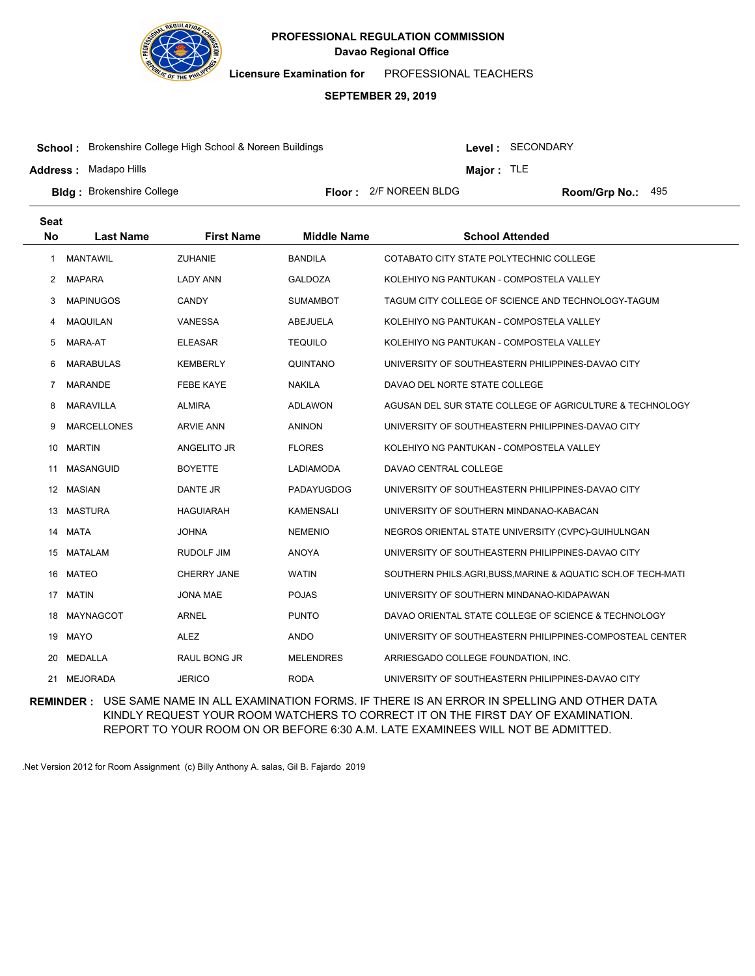

**Licensure Examination for**  PROFESSIONAL TEACHERS

#### **SEPTEMBER 29, 2019**

**School :** Brokenshire College High School & Noreen Buildings

**Address :** Madapo Hills

Level : SECONDARY

**Major :** TLE

**Bldg :** Brokenshire College **Room Accord Election College 1 College 1 Accord Floor : 2/F NOREEN BLDG <b>Room/Grp No.:** Floor: 2/F NOREEN BLDG Room/Grp No.: 495

| <b>Seat</b> |                    |                    |                    |                                                              |
|-------------|--------------------|--------------------|--------------------|--------------------------------------------------------------|
| <b>No</b>   | <b>Last Name</b>   | <b>First Name</b>  | <b>Middle Name</b> | <b>School Attended</b>                                       |
| 1           | <b>MANTAWIL</b>    | <b>ZUHANIE</b>     | <b>BANDILA</b>     | COTABATO CITY STATE POLYTECHNIC COLLEGE                      |
| 2           | <b>MAPARA</b>      | <b>LADY ANN</b>    | <b>GALDOZA</b>     | KOLEHIYO NG PANTUKAN - COMPOSTELA VALLEY                     |
| 3           | <b>MAPINUGOS</b>   | <b>CANDY</b>       | SUMAMBOT           | TAGUM CITY COLLEGE OF SCIENCE AND TECHNOLOGY-TAGUM           |
| 4           | <b>MAQUILAN</b>    | <b>VANESSA</b>     | <b>ABEJUELA</b>    | KOLEHIYO NG PANTUKAN - COMPOSTELA VALLEY                     |
| 5           | MARA-AT            | <b>ELEASAR</b>     | <b>TEQUILO</b>     | KOLEHIYO NG PANTUKAN - COMPOSTELA VALLEY                     |
| 6           | <b>MARABULAS</b>   | <b>KEMBERLY</b>    | QUINTANO           | UNIVERSITY OF SOUTHEASTERN PHILIPPINES-DAVAO CITY            |
| 7           | <b>MARANDE</b>     | <b>FEBE KAYE</b>   | <b>NAKILA</b>      | DAVAO DEL NORTE STATE COLLEGE                                |
| 8           | <b>MARAVILLA</b>   | <b>ALMIRA</b>      | <b>ADLAWON</b>     | AGUSAN DEL SUR STATE COLLEGE OF AGRICULTURE & TECHNOLOGY     |
| 9           | <b>MARCELLONES</b> | <b>ARVIE ANN</b>   | <b>ANINON</b>      | UNIVERSITY OF SOUTHEASTERN PHILIPPINES-DAVAO CITY            |
| 10          | <b>MARTIN</b>      | ANGELITO JR        | <b>FLORES</b>      | KOLEHIYO NG PANTUKAN - COMPOSTELA VALLEY                     |
| 11          | MASANGUID          | <b>BOYETTE</b>     | <b>LADIAMODA</b>   | DAVAO CENTRAL COLLEGE                                        |
|             | 12 MASIAN          | <b>DANTE JR</b>    | PADAYUGDOG         | UNIVERSITY OF SOUTHEASTERN PHILIPPINES-DAVAO CITY            |
| 13          | MASTURA            | <b>HAGUIARAH</b>   | <b>KAMENSALI</b>   | UNIVERSITY OF SOUTHERN MINDANAO-KABACAN                      |
| 14          | MATA               | <b>JOHNA</b>       | <b>NEMENIO</b>     | NEGROS ORIENTAL STATE UNIVERSITY (CVPC)-GUIHULNGAN           |
| 15          | <b>MATALAM</b>     | <b>RUDOLF JIM</b>  | <b>ANOYA</b>       | UNIVERSITY OF SOUTHEASTERN PHILIPPINES-DAVAO CITY            |
| 16          | <b>MATEO</b>       | <b>CHERRY JANE</b> | <b>WATIN</b>       | SOUTHERN PHILS.AGRI, BUSS, MARINE & AQUATIC SCH.OF TECH-MATI |
|             | 17 MATIN           | <b>JONA MAE</b>    | <b>POJAS</b>       | UNIVERSITY OF SOUTHERN MINDANAO-KIDAPAWAN                    |
| 18          | MAYNAGCOT          | <b>ARNEL</b>       | <b>PUNTO</b>       | DAVAO ORIENTAL STATE COLLEGE OF SCIENCE & TECHNOLOGY         |
| 19          | <b>MAYO</b>        | <b>ALEZ</b>        | <b>ANDO</b>        | UNIVERSITY OF SOUTHEASTERN PHILIPPINES-COMPOSTEAL CENTER     |
| 20          | <b>MEDALLA</b>     | RAUL BONG JR       | <b>MELENDRES</b>   | ARRIESGADO COLLEGE FOUNDATION, INC.                          |
| 21          | <b>MEJORADA</b>    | <b>JERICO</b>      | <b>RODA</b>        | UNIVERSITY OF SOUTHEASTERN PHILIPPINES-DAVAO CITY            |

**REMINDER :** USE SAME NAME IN ALL EXAMINATION FORMS. IF THERE IS AN ERROR IN SPELLING AND OTHER DATA KINDLY REQUEST YOUR ROOM WATCHERS TO CORRECT IT ON THE FIRST DAY OF EXAMINATION. REPORT TO YOUR ROOM ON OR BEFORE 6:30 A.M. LATE EXAMINEES WILL NOT BE ADMITTED.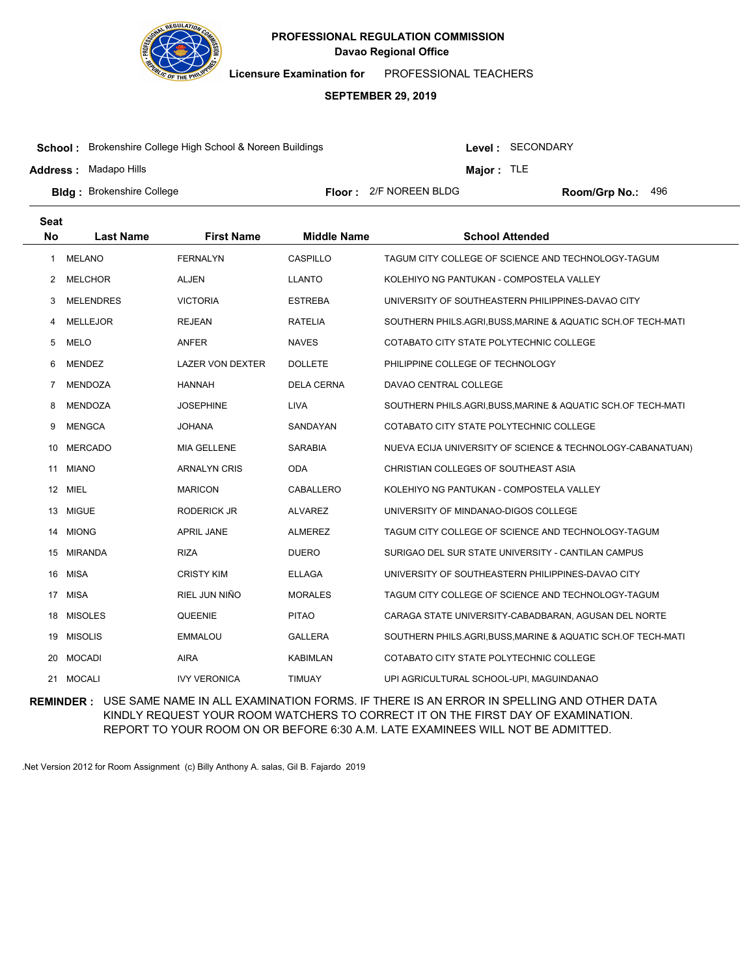

**Licensure Examination for**  PROFESSIONAL TEACHERS

# **SEPTEMBER 29, 2019**

**School :** Brokenshire College High School & Noreen Buildings

**Address :** Madapo Hills

Level : SECONDARY

**Major :** TLE

**Bldg :** Brokenshire College **Room Accord Election College 1 College 1 Accord Floor : 2/F NOREEN BLDG <b>Room/Grp No.:** Floor: 2/F NOREEN BLDG Room/Grp No.: 496

| <b>Seat</b> |                  |                         |                    |                                                             |
|-------------|------------------|-------------------------|--------------------|-------------------------------------------------------------|
| <b>No</b>   | <b>Last Name</b> | <b>First Name</b>       | <b>Middle Name</b> | <b>School Attended</b>                                      |
| 1           | MELANO           | <b>FERNALYN</b>         | CASPILLO           | TAGUM CITY COLLEGE OF SCIENCE AND TECHNOLOGY-TAGUM          |
| 2           | <b>MELCHOR</b>   | <b>ALJEN</b>            | <b>LLANTO</b>      | KOLEHIYO NG PANTUKAN - COMPOSTELA VALLEY                    |
| 3           | <b>MELENDRES</b> | <b>VICTORIA</b>         | <b>ESTREBA</b>     | UNIVERSITY OF SOUTHEASTERN PHILIPPINES-DAVAO CITY           |
| 4           | <b>MELLEJOR</b>  | <b>REJEAN</b>           | <b>RATELIA</b>     | SOUTHERN PHILS.AGRI.BUSS, MARINE & AQUATIC SCH.OF TECH-MATI |
| 5           | <b>MELO</b>      | <b>ANFER</b>            | <b>NAVES</b>       | COTABATO CITY STATE POLYTECHNIC COLLEGE                     |
| 6           | <b>MENDEZ</b>    | <b>LAZER VON DEXTER</b> | <b>DOLLETE</b>     | PHILIPPINE COLLEGE OF TECHNOLOGY                            |
| 7           | MENDOZA          | <b>HANNAH</b>           | <b>DELA CERNA</b>  | DAVAO CENTRAL COLLEGE                                       |
| 8           | MENDOZA          | JOSEPHINE               | <b>LIVA</b>        | SOUTHERN PHILS.AGRI.BUSS, MARINE & AQUATIC SCH.OF TECH-MATI |
| 9           | <b>MENGCA</b>    | <b>JOHANA</b>           | SANDAYAN           | COTABATO CITY STATE POLYTECHNIC COLLEGE                     |
| 10          | <b>MERCADO</b>   | MIA GELLENE             | <b>SARABIA</b>     | NUEVA ECIJA UNIVERSITY OF SCIENCE & TECHNOLOGY-CABANATUAN)  |
| 11          | <b>MIANO</b>     | <b>ARNALYN CRIS</b>     | <b>ODA</b>         | CHRISTIAN COLLEGES OF SOUTHEAST ASIA                        |
|             | 12 MIEL          | <b>MARICON</b>          | CABALLERO          | KOLEHIYO NG PANTUKAN - COMPOSTELA VALLEY                    |
| 13          | <b>MIGUE</b>     | RODERICK JR             | <b>ALVAREZ</b>     | UNIVERSITY OF MINDANAO-DIGOS COLLEGE                        |
|             | 14 MIONG         | <b>APRIL JANE</b>       | <b>ALMEREZ</b>     | TAGUM CITY COLLEGE OF SCIENCE AND TECHNOLOGY-TAGUM          |
| 15          | <b>MIRANDA</b>   | <b>RIZA</b>             | <b>DUERO</b>       | SURIGAO DEL SUR STATE UNIVERSITY - CANTILAN CAMPUS          |
| 16          | MISA             | <b>CRISTY KIM</b>       | <b>ELLAGA</b>      | UNIVERSITY OF SOUTHEASTERN PHILIPPINES-DAVAO CITY           |
|             | 17 MISA          | RIEL JUN NIÑO           | <b>MORALES</b>     | TAGUM CITY COLLEGE OF SCIENCE AND TECHNOLOGY-TAGUM          |
| 18          | <b>MISOLES</b>   | QUEENIE                 | <b>PITAO</b>       | CARAGA STATE UNIVERSITY-CABADBARAN, AGUSAN DEL NORTE        |
| 19          | <b>MISOLIS</b>   | <b>EMMALOU</b>          | <b>GALLERA</b>     | SOUTHERN PHILS.AGRI,BUSS,MARINE & AQUATIC SCH.OF TECH-MATI  |
| 20          | <b>MOCADI</b>    | <b>AIRA</b>             | <b>KABIMLAN</b>    | COTABATO CITY STATE POLYTECHNIC COLLEGE                     |
|             | 21 MOCALI        | <b>IVY VERONICA</b>     | <b>TIMUAY</b>      | UPI AGRICULTURAL SCHOOL-UPI, MAGUINDANAO                    |

**REMINDER :** USE SAME NAME IN ALL EXAMINATION FORMS. IF THERE IS AN ERROR IN SPELLING AND OTHER DATA KINDLY REQUEST YOUR ROOM WATCHERS TO CORRECT IT ON THE FIRST DAY OF EXAMINATION. REPORT TO YOUR ROOM ON OR BEFORE 6:30 A.M. LATE EXAMINEES WILL NOT BE ADMITTED.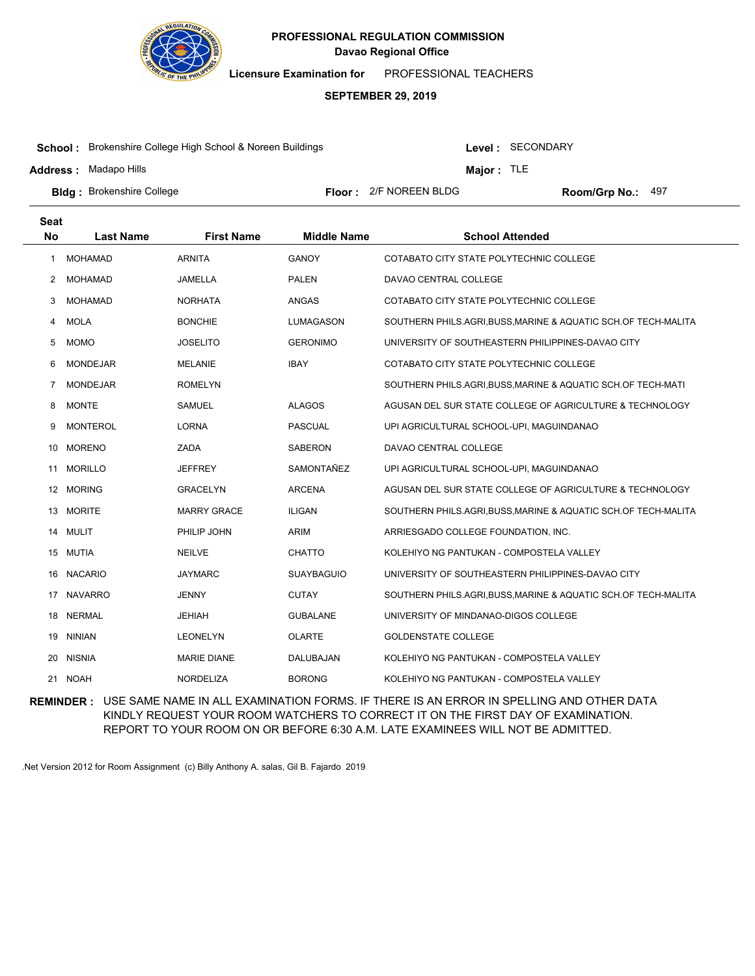

**Licensure Examination for**  PROFESSIONAL TEACHERS

#### **SEPTEMBER 29, 2019**

**School :** Brokenshire College High School & Noreen Buildings

**Address :** Madapo Hills

Level : SECONDARY

**Major :** TLE

**Bldg :** Brokenshire College **Room Accord Election College 1 College 1 Accord Floor : 2/F NOREEN BLDG <b>Room/Grp No.:** Floor: 2/F NOREEN BLDG Room/Grp No.: 497

| <b>Seat</b> |                  |                    |                    |                                                                |
|-------------|------------------|--------------------|--------------------|----------------------------------------------------------------|
| <b>No</b>   | <b>Last Name</b> | <b>First Name</b>  | <b>Middle Name</b> | <b>School Attended</b>                                         |
| 1           | <b>MOHAMAD</b>   | <b>ARNITA</b>      | <b>GANOY</b>       | COTABATO CITY STATE POLYTECHNIC COLLEGE                        |
| 2           | <b>MOHAMAD</b>   | <b>JAMELLA</b>     | <b>PALEN</b>       | DAVAO CENTRAL COLLEGE                                          |
| 3           | <b>MOHAMAD</b>   | <b>NORHATA</b>     | ANGAS              | COTABATO CITY STATE POLYTECHNIC COLLEGE                        |
| 4           | <b>MOLA</b>      | <b>BONCHIE</b>     | LUMAGASON          | SOUTHERN PHILS.AGRI, BUSS, MARINE & AQUATIC SCH.OF TECH-MALITA |
| 5           | <b>MOMO</b>      | <b>JOSELITO</b>    | <b>GERONIMO</b>    | UNIVERSITY OF SOUTHEASTERN PHILIPPINES-DAVAO CITY              |
| 6           | <b>MONDEJAR</b>  | <b>MELANIE</b>     | <b>IBAY</b>        | COTABATO CITY STATE POLYTECHNIC COLLEGE                        |
| 7           | <b>MONDEJAR</b>  | <b>ROMELYN</b>     |                    | SOUTHERN PHILS.AGRI,BUSS,MARINE & AQUATIC SCH.OF TECH-MATI     |
| 8           | <b>MONTE</b>     | <b>SAMUEL</b>      | <b>ALAGOS</b>      | AGUSAN DEL SUR STATE COLLEGE OF AGRICULTURE & TECHNOLOGY       |
| 9           | <b>MONTEROL</b>  | <b>LORNA</b>       | <b>PASCUAL</b>     | UPI AGRICULTURAL SCHOOL-UPI, MAGUINDANAO                       |
| 10          | <b>MORENO</b>    | ZADA               | <b>SABERON</b>     | DAVAO CENTRAL COLLEGE                                          |
| 11          | <b>MORILLO</b>   | <b>JEFFREY</b>     | SAMONTAÑEZ         | UPI AGRICULTURAL SCHOOL-UPI, MAGUINDANAO                       |
| 12          | <b>MORING</b>    | <b>GRACELYN</b>    | <b>ARCENA</b>      | AGUSAN DEL SUR STATE COLLEGE OF AGRICULTURE & TECHNOLOGY       |
| 13          | <b>MORITE</b>    | <b>MARRY GRACE</b> | <b>ILIGAN</b>      | SOUTHERN PHILS.AGRI, BUSS, MARINE & AQUATIC SCH.OF TECH-MALITA |
| 14          | <b>MULIT</b>     | PHILIP JOHN        | <b>ARIM</b>        | ARRIESGADO COLLEGE FOUNDATION, INC.                            |
| 15          | MUTIA            | <b>NEILVE</b>      | <b>CHATTO</b>      | KOLEHIYO NG PANTUKAN - COMPOSTELA VALLEY                       |
| 16          | <b>NACARIO</b>   | <b>JAYMARC</b>     | <b>SUAYBAGUIO</b>  | UNIVERSITY OF SOUTHEASTERN PHILIPPINES-DAVAO CITY              |
| 17          | <b>NAVARRO</b>   | <b>JENNY</b>       | <b>CUTAY</b>       | SOUTHERN PHILS.AGRI,BUSS,MARINE & AQUATIC SCH.OF TECH-MALITA   |
| 18          | <b>NERMAL</b>    | <b>JEHIAH</b>      | <b>GUBALANE</b>    | UNIVERSITY OF MINDANAO-DIGOS COLLEGE                           |
| 19          | <b>NINIAN</b>    | <b>LEONELYN</b>    | <b>OLARTE</b>      | <b>GOLDENSTATE COLLEGE</b>                                     |
| 20          | <b>NISNIA</b>    | <b>MARIE DIANE</b> | DALUBAJAN          | KOLEHIYO NG PANTUKAN - COMPOSTELA VALLEY                       |
| 21          | <b>NOAH</b>      | <b>NORDELIZA</b>   | <b>BORONG</b>      | KOLEHIYO NG PANTUKAN - COMPOSTELA VALLEY                       |

**REMINDER :** USE SAME NAME IN ALL EXAMINATION FORMS. IF THERE IS AN ERROR IN SPELLING AND OTHER DATA KINDLY REQUEST YOUR ROOM WATCHERS TO CORRECT IT ON THE FIRST DAY OF EXAMINATION. REPORT TO YOUR ROOM ON OR BEFORE 6:30 A.M. LATE EXAMINEES WILL NOT BE ADMITTED.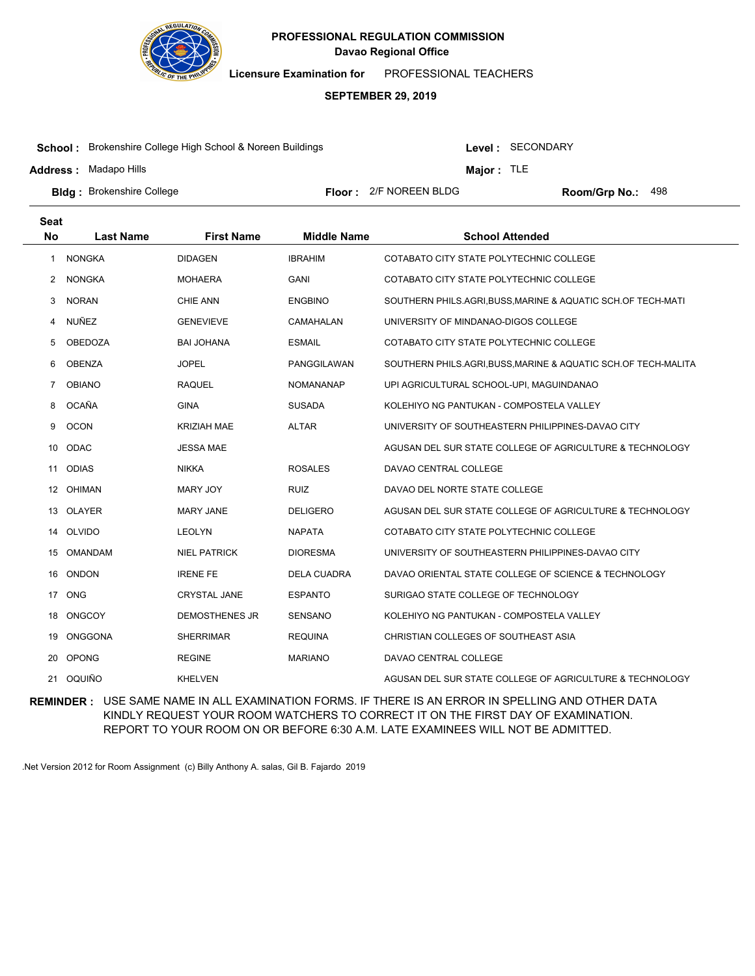

**Licensure Examination for**  PROFESSIONAL TEACHERS

#### **SEPTEMBER 29, 2019**

**School :** Brokenshire College High School & Noreen Buildings

**Address :** Madapo Hills

Level : SECONDARY

**Major :** TLE

**Bldg :** Brokenshire College **Room Accord Election College 1 College 1 Accord Floor : 2/F NOREEN BLDG <b>Room/Grp No.:** Floor: 2/F NOREEN BLDG Room/Grp No.: 498

| Seat           |                  |                       |                    |                                                                |
|----------------|------------------|-----------------------|--------------------|----------------------------------------------------------------|
| <b>No</b>      | <b>Last Name</b> | <b>First Name</b>     | <b>Middle Name</b> | <b>School Attended</b>                                         |
| 1              | <b>NONGKA</b>    | <b>DIDAGEN</b>        | <b>IBRAHIM</b>     | COTABATO CITY STATE POLYTECHNIC COLLEGE                        |
| $^{2}$         | <b>NONGKA</b>    | <b>MOHAERA</b>        | <b>GANI</b>        | COTABATO CITY STATE POLYTECHNIC COLLEGE                        |
| 3              | <b>NORAN</b>     | <b>CHIE ANN</b>       | <b>ENGBINO</b>     | SOUTHERN PHILS.AGRI, BUSS, MARINE & AQUATIC SCH.OF TECH-MATI   |
| 4              | <b>NUÑEZ</b>     | <b>GENEVIEVE</b>      | CAMAHALAN          | UNIVERSITY OF MINDANAO-DIGOS COLLEGE                           |
| 5              | <b>OBEDOZA</b>   | <b>BAI JOHANA</b>     | <b>ESMAIL</b>      | COTABATO CITY STATE POLYTECHNIC COLLEGE                        |
| 6              | <b>OBENZA</b>    | <b>JOPEL</b>          | PANGGILAWAN        | SOUTHERN PHILS.AGRI, BUSS, MARINE & AQUATIC SCH.OF TECH-MALITA |
| $\overline{7}$ | <b>OBIANO</b>    | <b>RAQUEL</b>         | <b>NOMANANAP</b>   | UPI AGRICULTURAL SCHOOL-UPI, MAGUINDANAO                       |
| 8              | <b>OCAÑA</b>     | <b>GINA</b>           | <b>SUSADA</b>      | KOLEHIYO NG PANTUKAN - COMPOSTELA VALLEY                       |
| 9              | <b>OCON</b>      | <b>KRIZIAH MAE</b>    | <b>ALTAR</b>       | UNIVERSITY OF SOUTHEASTERN PHILIPPINES-DAVAO CITY              |
| 10             | ODAC             | <b>JESSA MAE</b>      |                    | AGUSAN DEL SUR STATE COLLEGE OF AGRICULTURE & TECHNOLOGY       |
| 11             | <b>ODIAS</b>     | <b>NIKKA</b>          | <b>ROSALES</b>     | DAVAO CENTRAL COLLEGE                                          |
| 12             | <b>OHIMAN</b>    | MARY JOY              | <b>RUIZ</b>        | DAVAO DEL NORTE STATE COLLEGE                                  |
| 13             | <b>OLAYER</b>    | <b>MARY JANE</b>      | <b>DELIGERO</b>    | AGUSAN DEL SUR STATE COLLEGE OF AGRICULTURE & TECHNOLOGY       |
| 14             | OLVIDO           | <b>LEOLYN</b>         | <b>NAPATA</b>      | COTABATO CITY STATE POLYTECHNIC COLLEGE                        |
| 15             | <b>OMANDAM</b>   | <b>NIEL PATRICK</b>   | <b>DIORESMA</b>    | UNIVERSITY OF SOUTHEASTERN PHILIPPINES-DAVAO CITY              |
| 16             | <b>ONDON</b>     | <b>IRENE FE</b>       | <b>DELA CUADRA</b> | DAVAO ORIENTAL STATE COLLEGE OF SCIENCE & TECHNOLOGY           |
| 17             | ONG              | <b>CRYSTAL JANE</b>   | <b>ESPANTO</b>     | SURIGAO STATE COLLEGE OF TECHNOLOGY                            |
| 18             | <b>ONGCOY</b>    | <b>DEMOSTHENES JR</b> | SENSANO            | KOLEHIYO NG PANTUKAN - COMPOSTELA VALLEY                       |
| 19             | <b>ONGGONA</b>   | <b>SHERRIMAR</b>      | <b>REQUINA</b>     | CHRISTIAN COLLEGES OF SOUTHEAST ASIA                           |
| 20             | <b>OPONG</b>     | <b>REGINE</b>         | <b>MARIANO</b>     | DAVAO CENTRAL COLLEGE                                          |
| 21             | OQUIÑO           | <b>KHELVEN</b>        |                    | AGUSAN DEL SUR STATE COLLEGE OF AGRICULTURE & TECHNOLOGY       |

**REMINDER :** USE SAME NAME IN ALL EXAMINATION FORMS. IF THERE IS AN ERROR IN SPELLING AND OTHER DATA KINDLY REQUEST YOUR ROOM WATCHERS TO CORRECT IT ON THE FIRST DAY OF EXAMINATION. REPORT TO YOUR ROOM ON OR BEFORE 6:30 A.M. LATE EXAMINEES WILL NOT BE ADMITTED.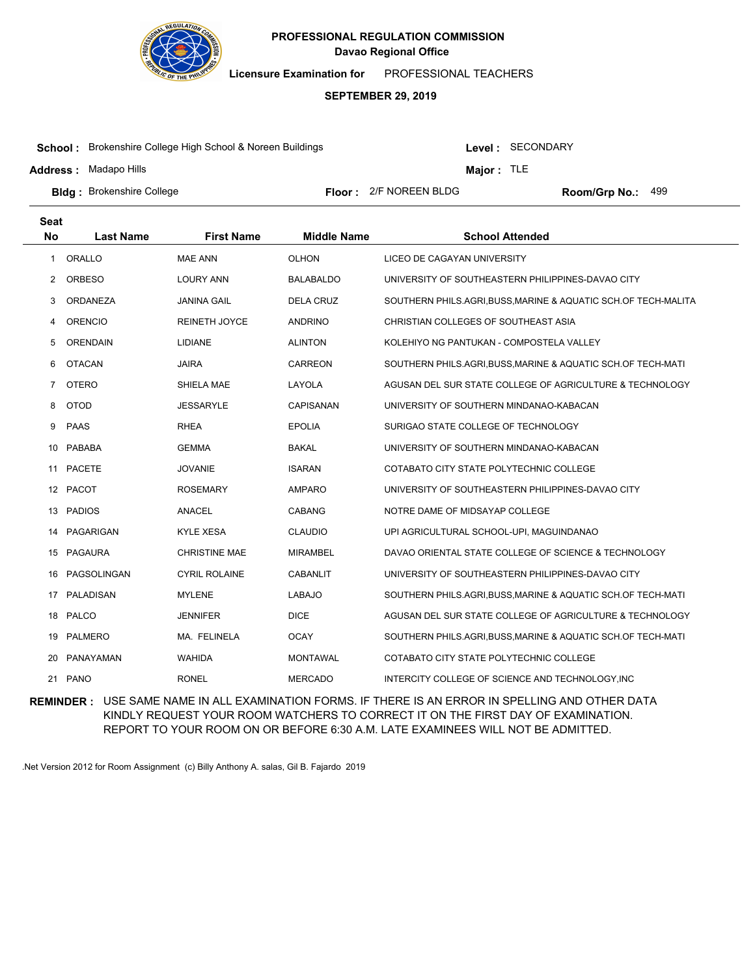

**Licensure Examination for**  PROFESSIONAL TEACHERS

#### **SEPTEMBER 29, 2019**

**School :** Brokenshire College High School & Noreen Buildings

**Address :** Madapo Hills

Level : SECONDARY

**Major :** TLE

**Bldg :** Brokenshire College **Room Accord Election College 1 College 1 Accord Floor : 2/F NOREEN BLDG <b>Room/Grp No.:** 

Floor: 2/F NOREEN BLDG Room/Grp No.: 499

| Seat           |                  |                      |                    |                                                                |
|----------------|------------------|----------------------|--------------------|----------------------------------------------------------------|
| <b>No</b>      | <b>Last Name</b> | <b>First Name</b>    | <b>Middle Name</b> | <b>School Attended</b>                                         |
| 1              | ORALLO           | <b>MAE ANN</b>       | <b>OLHON</b>       | LICEO DE CAGAYAN UNIVERSITY                                    |
| $^{2}$         | <b>ORBESO</b>    | <b>LOURY ANN</b>     | <b>BALABALDO</b>   | UNIVERSITY OF SOUTHEASTERN PHILIPPINES-DAVAO CITY              |
| 3              | <b>ORDANEZA</b>  | <b>JANINA GAIL</b>   | <b>DELA CRUZ</b>   | SOUTHERN PHILS.AGRI, BUSS, MARINE & AQUATIC SCH.OF TECH-MALITA |
| 4              | <b>ORENCIO</b>   | <b>REINETH JOYCE</b> | <b>ANDRINO</b>     | CHRISTIAN COLLEGES OF SOUTHEAST ASIA                           |
| 5              | <b>ORENDAIN</b>  | <b>LIDIANE</b>       | <b>ALINTON</b>     | KOLEHIYO NG PANTUKAN - COMPOSTELA VALLEY                       |
| 6              | <b>OTACAN</b>    | <b>JAIRA</b>         | <b>CARREON</b>     | SOUTHERN PHILS.AGRI, BUSS, MARINE & AQUATIC SCH.OF TECH-MATI   |
| $\overline{7}$ | <b>OTERO</b>     | SHIELA MAE           | LAYOLA             | AGUSAN DEL SUR STATE COLLEGE OF AGRICULTURE & TECHNOLOGY       |
| 8              | <b>OTOD</b>      | <b>JESSARYLE</b>     | CAPISANAN          | UNIVERSITY OF SOUTHERN MINDANAO-KABACAN                        |
| 9              | <b>PAAS</b>      | <b>RHEA</b>          | <b>EPOLIA</b>      | SURIGAO STATE COLLEGE OF TECHNOLOGY                            |
| 10             | PABABA           | <b>GEMMA</b>         | <b>BAKAL</b>       | UNIVERSITY OF SOUTHERN MINDANAO-KABACAN                        |
| 11             | <b>PACETE</b>    | <b>JOVANIE</b>       | <b>ISARAN</b>      | COTABATO CITY STATE POLYTECHNIC COLLEGE                        |
|                | 12 PACOT         | <b>ROSEMARY</b>      | <b>AMPARO</b>      | UNIVERSITY OF SOUTHEASTERN PHILIPPINES-DAVAO CITY              |
| 13             | <b>PADIOS</b>    | <b>ANACEL</b>        | <b>CABANG</b>      | NOTRE DAME OF MIDSAYAP COLLEGE                                 |
| 14             | PAGARIGAN        | <b>KYLE XESA</b>     | <b>CLAUDIO</b>     | UPI AGRICULTURAL SCHOOL-UPI, MAGUINDANAO                       |
| 15             | PAGAURA          | <b>CHRISTINE MAE</b> | <b>MIRAMBEL</b>    | DAVAO ORIENTAL STATE COLLEGE OF SCIENCE & TECHNOLOGY           |
| 16             | PAGSOLINGAN      | <b>CYRIL ROLAINE</b> | <b>CABANLIT</b>    | UNIVERSITY OF SOUTHEASTERN PHILIPPINES-DAVAO CITY              |
| 17             | PALADISAN        | <b>MYLENE</b>        | <b>LABAJO</b>      | SOUTHERN PHILS.AGRI,BUSS,MARINE & AQUATIC SCH.OF TECH-MATI     |
| 18             | PALCO            | <b>JENNIFER</b>      | <b>DICE</b>        | AGUSAN DEL SUR STATE COLLEGE OF AGRICULTURE & TECHNOLOGY       |
| 19             | PALMERO          | MA. FELINELA         | <b>OCAY</b>        | SOUTHERN PHILS.AGRI, BUSS, MARINE & AQUATIC SCH.OF TECH-MATI   |
| 20             | PANAYAMAN        | <b>WAHIDA</b>        | <b>MONTAWAL</b>    | COTABATO CITY STATE POLYTECHNIC COLLEGE                        |
| 21             | <b>PANO</b>      | <b>RONEL</b>         | <b>MERCADO</b>     | INTERCITY COLLEGE OF SCIENCE AND TECHNOLOGY, INC               |

**REMINDER :** USE SAME NAME IN ALL EXAMINATION FORMS. IF THERE IS AN ERROR IN SPELLING AND OTHER DATA KINDLY REQUEST YOUR ROOM WATCHERS TO CORRECT IT ON THE FIRST DAY OF EXAMINATION. REPORT TO YOUR ROOM ON OR BEFORE 6:30 A.M. LATE EXAMINEES WILL NOT BE ADMITTED.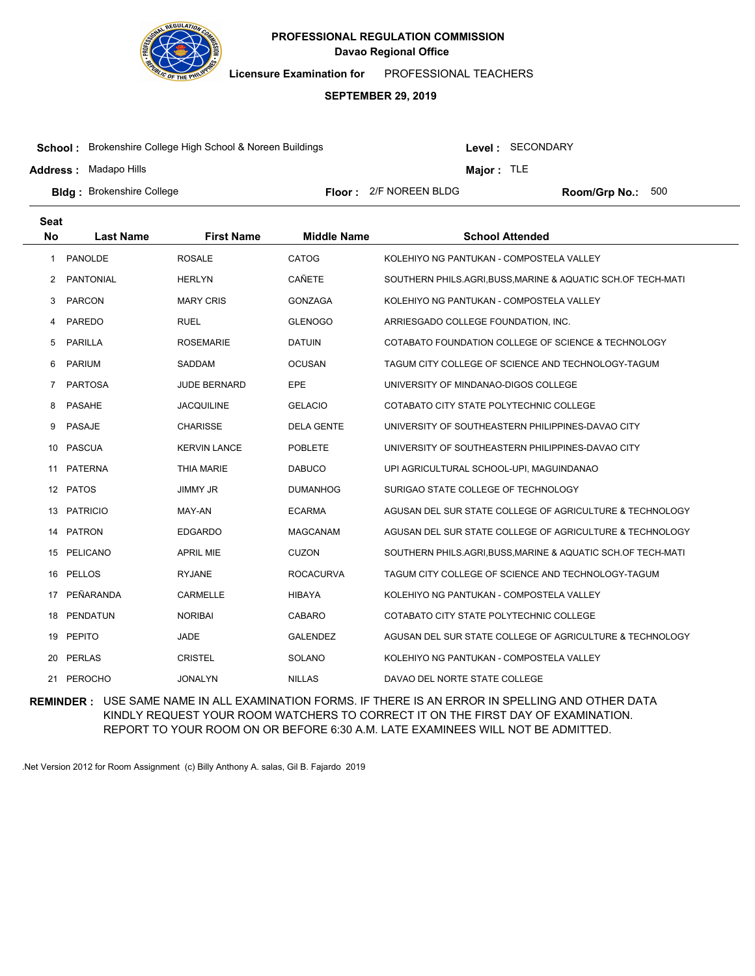

**Licensure Examination for**  PROFESSIONAL TEACHERS

#### **SEPTEMBER 29, 2019**

**School :** Brokenshire College High School & Noreen Buildings

**Address :** Madapo Hills

Level : SECONDARY

**Major :** TLE

**Bldg :** Brokenshire College **Room Accord Election College 1 College 1 Accord Floor : 2/F NOREEN BLDG <b>Room/Grp No.:** Floor: 2/F NOREEN BLDG Room/Grp No.: 500

| <b>Seat</b> |                  |                     |                    |                                                              |
|-------------|------------------|---------------------|--------------------|--------------------------------------------------------------|
| <b>No</b>   | <b>Last Name</b> | <b>First Name</b>   | <b>Middle Name</b> | <b>School Attended</b>                                       |
| 1           | PANOLDE          | <b>ROSALE</b>       | CATOG              | KOLEHIYO NG PANTUKAN - COMPOSTELA VALLEY                     |
| 2           | <b>PANTONIAL</b> | <b>HERLYN</b>       | <b>CAÑETE</b>      | SOUTHERN PHILS.AGRI, BUSS, MARINE & AQUATIC SCH.OF TECH-MATI |
| 3           | <b>PARCON</b>    | <b>MARY CRIS</b>    | <b>GONZAGA</b>     | KOLEHIYO NG PANTUKAN - COMPOSTELA VALLEY                     |
| 4           | PAREDO           | <b>RUEL</b>         | <b>GLENOGO</b>     | ARRIESGADO COLLEGE FOUNDATION, INC.                          |
| 5           | <b>PARILLA</b>   | <b>ROSEMARIE</b>    | <b>DATUIN</b>      | COTABATO FOUNDATION COLLEGE OF SCIENCE & TECHNOLOGY          |
| 6           | <b>PARIUM</b>    | SADDAM              | <b>OCUSAN</b>      | TAGUM CITY COLLEGE OF SCIENCE AND TECHNOLOGY-TAGUM           |
| 7           | <b>PARTOSA</b>   | <b>JUDE BERNARD</b> | <b>EPE</b>         | UNIVERSITY OF MINDANAO-DIGOS COLLEGE                         |
| 8           | <b>PASAHE</b>    | <b>JACQUILINE</b>   | <b>GELACIO</b>     | COTABATO CITY STATE POLYTECHNIC COLLEGE                      |
| 9           | <b>PASAJE</b>    | <b>CHARISSE</b>     | <b>DELA GENTE</b>  | UNIVERSITY OF SOUTHEASTERN PHILIPPINES-DAVAO CITY            |
| 10          | <b>PASCUA</b>    | <b>KERVIN LANCE</b> | <b>POBLETE</b>     | UNIVERSITY OF SOUTHEASTERN PHILIPPINES-DAVAO CITY            |
| 11          | <b>PATERNA</b>   | <b>THIA MARIE</b>   | <b>DABUCO</b>      | UPI AGRICULTURAL SCHOOL-UPI, MAGUINDANAO                     |
|             | 12 PATOS         | <b>JIMMY JR</b>     | <b>DUMANHOG</b>    | SURIGAO STATE COLLEGE OF TECHNOLOGY                          |
| 13          | <b>PATRICIO</b>  | MAY-AN              | <b>ECARMA</b>      | AGUSAN DEL SUR STATE COLLEGE OF AGRICULTURE & TECHNOLOGY     |
| 14          | PATRON           | <b>EDGARDO</b>      | <b>MAGCANAM</b>    | AGUSAN DEL SUR STATE COLLEGE OF AGRICULTURE & TECHNOLOGY     |
| 15          | PELICANO         | <b>APRIL MIE</b>    | <b>CUZON</b>       | SOUTHERN PHILS.AGRI, BUSS, MARINE & AQUATIC SCH.OF TECH-MATI |
| 16          | <b>PELLOS</b>    | <b>RYJANE</b>       | <b>ROCACURVA</b>   | TAGUM CITY COLLEGE OF SCIENCE AND TECHNOLOGY-TAGUM           |
| 17          | PEÑARANDA        | <b>CARMELLE</b>     | <b>HIBAYA</b>      | KOLEHIYO NG PANTUKAN - COMPOSTELA VALLEY                     |
| 18          | PENDATUN         | <b>NORIBAI</b>      | CABARO             | COTABATO CITY STATE POLYTECHNIC COLLEGE                      |
| 19          | <b>PEPITO</b>    | <b>JADE</b>         | <b>GALENDEZ</b>    | AGUSAN DEL SUR STATE COLLEGE OF AGRICULTURE & TECHNOLOGY     |
| 20          | <b>PERLAS</b>    | <b>CRISTEL</b>      | SOLANO             | KOLEHIYO NG PANTUKAN - COMPOSTELA VALLEY                     |
| 21          | PEROCHO          | <b>JONALYN</b>      | <b>NILLAS</b>      | DAVAO DEL NORTE STATE COLLEGE                                |

**REMINDER :** USE SAME NAME IN ALL EXAMINATION FORMS. IF THERE IS AN ERROR IN SPELLING AND OTHER DATA KINDLY REQUEST YOUR ROOM WATCHERS TO CORRECT IT ON THE FIRST DAY OF EXAMINATION. REPORT TO YOUR ROOM ON OR BEFORE 6:30 A.M. LATE EXAMINEES WILL NOT BE ADMITTED.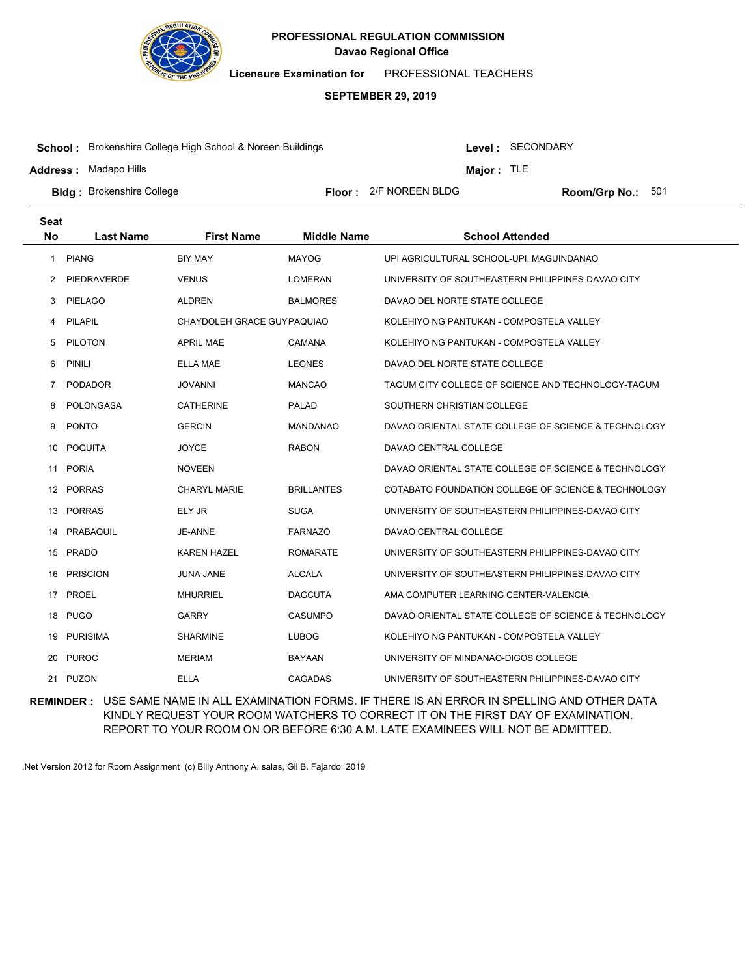

**Licensure Examination for**  PROFESSIONAL TEACHERS

#### **SEPTEMBER 29, 2019**

**School :** Brokenshire College High School & Noreen Buildings

**Address :** Madapo Hills

Level : SECONDARY

**Major :** TLE

**Bldg :** Brokenshire College **Room Accord Election College 1 College 1 Accord Floor : 2/F NOREEN BLDG <b>Room/Grp No.:** Floor: 2/F NOREEN BLDG Room/Grp No.: 501

| <b>Seat</b> |                  |                            |                    |                                                      |
|-------------|------------------|----------------------------|--------------------|------------------------------------------------------|
| <b>No</b>   | <b>Last Name</b> | <b>First Name</b>          | <b>Middle Name</b> | <b>School Attended</b>                               |
| 1           | <b>PIANG</b>     | <b>BIY MAY</b>             | <b>MAYOG</b>       | UPI AGRICULTURAL SCHOOL-UPI, MAGUINDANAO             |
| 2           | PIEDRAVERDE      | <b>VENUS</b>               | <b>LOMERAN</b>     | UNIVERSITY OF SOUTHEASTERN PHILIPPINES-DAVAO CITY    |
| 3           | <b>PIELAGO</b>   | <b>ALDREN</b>              | <b>BALMORES</b>    | DAVAO DEL NORTE STATE COLLEGE                        |
| 4           | PILAPIL          | CHAYDOLEH GRACE GUYPAQUIAO |                    | KOLEHIYO NG PANTUKAN - COMPOSTELA VALLEY             |
| 5           | <b>PILOTON</b>   | <b>APRIL MAE</b>           | <b>CAMANA</b>      | KOLEHIYO NG PANTUKAN - COMPOSTELA VALLEY             |
| 6           | <b>PINILI</b>    | ELLA MAE                   | <b>LEONES</b>      | DAVAO DEL NORTE STATE COLLEGE                        |
| 7           | <b>PODADOR</b>   | <b>JOVANNI</b>             | <b>MANCAO</b>      | TAGUM CITY COLLEGE OF SCIENCE AND TECHNOLOGY-TAGUM   |
| 8           | <b>POLONGASA</b> | <b>CATHERINE</b>           | <b>PALAD</b>       | SOUTHERN CHRISTIAN COLLEGE                           |
| 9           | <b>PONTO</b>     | <b>GERCIN</b>              | <b>MANDANAO</b>    | DAVAO ORIENTAL STATE COLLEGE OF SCIENCE & TECHNOLOGY |
| 10          | <b>POQUITA</b>   | <b>JOYCE</b>               | <b>RABON</b>       | DAVAO CENTRAL COLLEGE                                |
| 11          | <b>PORIA</b>     | <b>NOVEEN</b>              |                    | DAVAO ORIENTAL STATE COLLEGE OF SCIENCE & TECHNOLOGY |
|             | 12 PORRAS        | CHARYL MARIE               | <b>BRILLANTES</b>  | COTABATO FOUNDATION COLLEGE OF SCIENCE & TECHNOLOGY  |
| 13          | <b>PORRAS</b>    | ELY JR                     | <b>SUGA</b>        | UNIVERSITY OF SOUTHEASTERN PHILIPPINES-DAVAO CITY    |
| 14          | PRABAQUIL        | JE-ANNE                    | <b>FARNAZO</b>     | DAVAO CENTRAL COLLEGE                                |
|             | 15 PRADO         | <b>KAREN HAZEL</b>         | <b>ROMARATE</b>    | UNIVERSITY OF SOUTHEASTERN PHILIPPINES-DAVAO CITY    |
| 16          | <b>PRISCION</b>  | <b>JUNA JANE</b>           | <b>ALCALA</b>      | UNIVERSITY OF SOUTHEASTERN PHILIPPINES-DAVAO CITY    |
| 17          | <b>PROEL</b>     | <b>MHURRIEL</b>            | <b>DAGCUTA</b>     | AMA COMPUTER LEARNING CENTER-VALENCIA                |
|             | 18 PUGO          | <b>GARRY</b>               | <b>CASUMPO</b>     | DAVAO ORIENTAL STATE COLLEGE OF SCIENCE & TECHNOLOGY |
| 19          | <b>PURISIMA</b>  | <b>SHARMINE</b>            | <b>LUBOG</b>       | KOLEHIYO NG PANTUKAN - COMPOSTELA VALLEY             |
| 20          | <b>PUROC</b>     | <b>MERIAM</b>              | <b>BAYAAN</b>      | UNIVERSITY OF MINDANAO-DIGOS COLLEGE                 |
|             | 21 PUZON         | <b>ELLA</b>                | <b>CAGADAS</b>     | UNIVERSITY OF SOUTHEASTERN PHILIPPINES-DAVAO CITY    |

**REMINDER :** USE SAME NAME IN ALL EXAMINATION FORMS. IF THERE IS AN ERROR IN SPELLING AND OTHER DATA KINDLY REQUEST YOUR ROOM WATCHERS TO CORRECT IT ON THE FIRST DAY OF EXAMINATION. REPORT TO YOUR ROOM ON OR BEFORE 6:30 A.M. LATE EXAMINEES WILL NOT BE ADMITTED.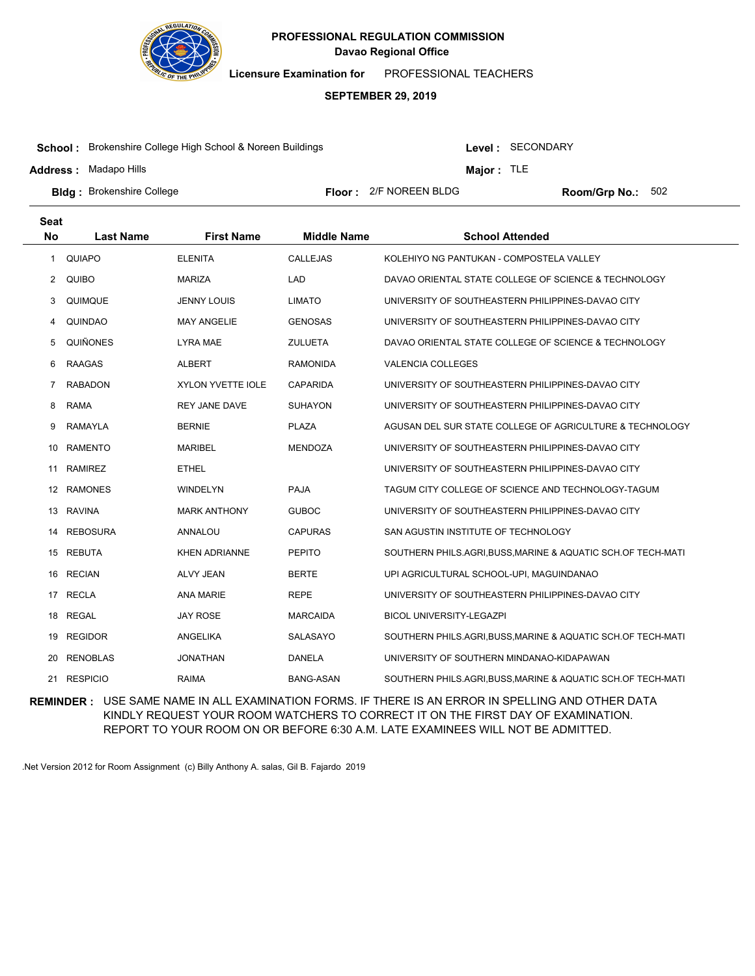

**Licensure Examination for**  PROFESSIONAL TEACHERS

#### **SEPTEMBER 29, 2019**

**School :** Brokenshire College High School & Noreen Buildings

**Address :** Madapo Hills

Level : SECONDARY

**Major :** TLE

**Bldg :** Brokenshire College **Room Accord Election College 1 College 1 Accord Floor : 2/F NOREEN BLDG <b>Room/Grp No.:** Floor: 2/F NOREEN BLDG Room/Grp No.: 502

| Seat           |                  |                      |                    |                                                              |
|----------------|------------------|----------------------|--------------------|--------------------------------------------------------------|
| <b>No</b>      | <b>Last Name</b> | <b>First Name</b>    | <b>Middle Name</b> | <b>School Attended</b>                                       |
| 1              | <b>QUIAPO</b>    | <b>ELENITA</b>       | CALLEJAS           | KOLEHIYO NG PANTUKAN - COMPOSTELA VALLEY                     |
| 2              | <b>QUIBO</b>     | <b>MARIZA</b>        | LAD                | DAVAO ORIENTAL STATE COLLEGE OF SCIENCE & TECHNOLOGY         |
| 3              | QUIMQUE          | <b>JENNY LOUIS</b>   | <b>LIMATO</b>      | UNIVERSITY OF SOUTHEASTERN PHILIPPINES-DAVAO CITY            |
| 4              | <b>QUINDAO</b>   | <b>MAY ANGELIE</b>   | <b>GENOSAS</b>     | UNIVERSITY OF SOUTHEASTERN PHILIPPINES-DAVAO CITY            |
| 5              | <b>QUIÑONES</b>  | <b>LYRA MAE</b>      | <b>ZULUETA</b>     | DAVAO ORIENTAL STATE COLLEGE OF SCIENCE & TECHNOLOGY         |
| 6              | <b>RAAGAS</b>    | <b>ALBERT</b>        | <b>RAMONIDA</b>    | <b>VALENCIA COLLEGES</b>                                     |
| $\overline{7}$ | <b>RABADON</b>   | XYLON YVETTE IOLE    | <b>CAPARIDA</b>    | UNIVERSITY OF SOUTHEASTERN PHILIPPINES-DAVAO CITY            |
| 8              | <b>RAMA</b>      | <b>REY JANE DAVE</b> | <b>SUHAYON</b>     | UNIVERSITY OF SOUTHEASTERN PHILIPPINES-DAVAO CITY            |
| 9              | <b>RAMAYLA</b>   | <b>BERNIE</b>        | <b>PLAZA</b>       | AGUSAN DEL SUR STATE COLLEGE OF AGRICULTURE & TECHNOLOGY     |
| 10             | <b>RAMENTO</b>   | <b>MARIBEL</b>       | <b>MENDOZA</b>     | UNIVERSITY OF SOUTHEASTERN PHILIPPINES-DAVAO CITY            |
| 11             | <b>RAMIREZ</b>   | <b>ETHEL</b>         |                    | UNIVERSITY OF SOUTHEASTERN PHILIPPINES-DAVAO CITY            |
|                | 12 RAMONES       | <b>WINDELYN</b>      | <b>PAJA</b>        | TAGUM CITY COLLEGE OF SCIENCE AND TECHNOLOGY-TAGUM           |
| 13             | <b>RAVINA</b>    | <b>MARK ANTHONY</b>  | <b>GUBOC</b>       | UNIVERSITY OF SOUTHEASTERN PHILIPPINES-DAVAO CITY            |
| 14             | <b>REBOSURA</b>  | ANNALOU              | <b>CAPURAS</b>     | SAN AGUSTIN INSTITUTE OF TECHNOLOGY                          |
| 15             | REBUTA           | <b>KHEN ADRIANNE</b> | <b>PEPITO</b>      | SOUTHERN PHILS.AGRI, BUSS, MARINE & AQUATIC SCH.OF TECH-MATI |
| 16             | <b>RECIAN</b>    | <b>ALVY JEAN</b>     | <b>BERTE</b>       | UPI AGRICULTURAL SCHOOL-UPI, MAGUINDANAO                     |
| 17             | <b>RECLA</b>     | ANA MARIE            | <b>REPE</b>        | UNIVERSITY OF SOUTHEASTERN PHILIPPINES-DAVAO CITY            |
|                | 18 REGAL         | <b>JAY ROSE</b>      | <b>MARCAIDA</b>    | BICOL UNIVERSITY-LEGAZPI                                     |
| 19             | <b>REGIDOR</b>   | ANGELIKA             | SALASAYO           | SOUTHERN PHILS.AGRI, BUSS, MARINE & AQUATIC SCH.OF TECH-MATI |
| 20             | <b>RENOBLAS</b>  | <b>JONATHAN</b>      | <b>DANELA</b>      | UNIVERSITY OF SOUTHERN MINDANAO-KIDAPAWAN                    |
|                | 21 RESPICIO      | <b>RAIMA</b>         | <b>BANG-ASAN</b>   | SOUTHERN PHILS.AGRI,BUSS,MARINE & AQUATIC SCH.OF TECH-MATI   |

**REMINDER :** USE SAME NAME IN ALL EXAMINATION FORMS. IF THERE IS AN ERROR IN SPELLING AND OTHER DATA KINDLY REQUEST YOUR ROOM WATCHERS TO CORRECT IT ON THE FIRST DAY OF EXAMINATION. REPORT TO YOUR ROOM ON OR BEFORE 6:30 A.M. LATE EXAMINEES WILL NOT BE ADMITTED.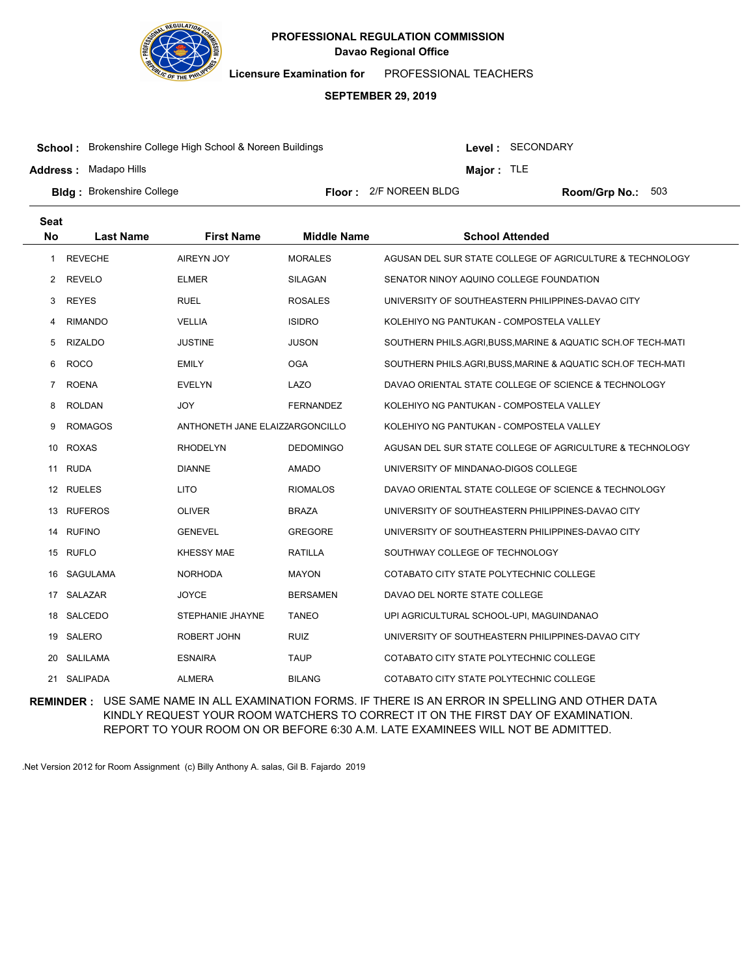

**Licensure Examination for**  PROFESSIONAL TEACHERS

# **SEPTEMBER 29, 2019**

**School :** Brokenshire College High School & Noreen Buildings

**Address :** Madapo Hills

Level : SECONDARY

**Major :** TLE

**Bldg :** Brokenshire College **Room Accord Election College 1 College 1 Accord Floor : 2/F NOREEN BLDG <b>Room/Grp No.:** Floor: 2/F NOREEN BLDG Room/Grp No.: 503

| Seat           |                  |                                 |                    |                                                              |
|----------------|------------------|---------------------------------|--------------------|--------------------------------------------------------------|
| <b>No</b>      | <b>Last Name</b> | <b>First Name</b>               | <b>Middle Name</b> | <b>School Attended</b>                                       |
| 1              | <b>REVECHE</b>   | <b>AIREYN JOY</b>               | <b>MORALES</b>     | AGUSAN DEL SUR STATE COLLEGE OF AGRICULTURE & TECHNOLOGY     |
| 2              | <b>REVELO</b>    | <b>ELMER</b>                    | <b>SILAGAN</b>     | SENATOR NINOY AQUINO COLLEGE FOUNDATION                      |
| 3              | <b>REYES</b>     | <b>RUEL</b>                     | <b>ROSALES</b>     | UNIVERSITY OF SOUTHEASTERN PHILIPPINES-DAVAO CITY            |
| 4              | <b>RIMANDO</b>   | <b>VELLIA</b>                   | <b>ISIDRO</b>      | KOLEHIYO NG PANTUKAN - COMPOSTELA VALLEY                     |
| 5              | <b>RIZALDO</b>   | <b>JUSTINE</b>                  | <b>JUSON</b>       | SOUTHERN PHILS.AGRI, BUSS, MARINE & AQUATIC SCH.OF TECH-MATI |
| 6              | <b>ROCO</b>      | <b>EMILY</b>                    | <b>OGA</b>         | SOUTHERN PHILS.AGRI,BUSS,MARINE & AQUATIC SCH.OF TECH-MATI   |
| $\overline{7}$ | <b>ROENA</b>     | <b>EVELYN</b>                   | LAZO               | DAVAO ORIENTAL STATE COLLEGE OF SCIENCE & TECHNOLOGY         |
| 8              | <b>ROLDAN</b>    | <b>JOY</b>                      | <b>FERNANDEZ</b>   | KOLEHIYO NG PANTUKAN - COMPOSTELA VALLEY                     |
| 9              | <b>ROMAGOS</b>   | ANTHONETH JANE ELAIZZARGONCILLO |                    | KOLEHIYO NG PANTUKAN - COMPOSTELA VALLEY                     |
| 10             | ROXAS            | <b>RHODELYN</b>                 | <b>DEDOMINGO</b>   | AGUSAN DEL SUR STATE COLLEGE OF AGRICULTURE & TECHNOLOGY     |
| 11             | <b>RUDA</b>      | <b>DIANNE</b>                   | <b>AMADO</b>       | UNIVERSITY OF MINDANAO-DIGOS COLLEGE                         |
|                | 12 RUELES        | <b>LITO</b>                     | <b>RIOMALOS</b>    | DAVAO ORIENTAL STATE COLLEGE OF SCIENCE & TECHNOLOGY         |
| 13             | <b>RUFEROS</b>   | <b>OLIVER</b>                   | <b>BRAZA</b>       | UNIVERSITY OF SOUTHEASTERN PHILIPPINES-DAVAO CITY            |
| 14             | <b>RUFINO</b>    | <b>GENEVEL</b>                  | <b>GREGORE</b>     | UNIVERSITY OF SOUTHEASTERN PHILIPPINES-DAVAO CITY            |
| 15             | RUFLO            | <b>KHESSY MAE</b>               | <b>RATILLA</b>     | SOUTHWAY COLLEGE OF TECHNOLOGY                               |
| 16             | <b>SAGULAMA</b>  | <b>NORHODA</b>                  | <b>MAYON</b>       | COTABATO CITY STATE POLYTECHNIC COLLEGE                      |
| 17             | SALAZAR          | <b>JOYCE</b>                    | <b>BERSAMEN</b>    | DAVAO DEL NORTE STATE COLLEGE                                |
| 18             | SALCEDO          | STEPHANIE JHAYNE                | <b>TANEO</b>       | UPI AGRICULTURAL SCHOOL-UPI, MAGUINDANAO                     |
| 19             | SALERO           | ROBERT JOHN                     | <b>RUIZ</b>        | UNIVERSITY OF SOUTHEASTERN PHILIPPINES-DAVAO CITY            |
| 20             | SALILAMA         | <b>ESNAIRA</b>                  | <b>TAUP</b>        | COTABATO CITY STATE POLYTECHNIC COLLEGE                      |
|                | 21 SALIPADA      | <b>ALMERA</b>                   | <b>BILANG</b>      | COTABATO CITY STATE POLYTECHNIC COLLEGE                      |

**REMINDER :** USE SAME NAME IN ALL EXAMINATION FORMS. IF THERE IS AN ERROR IN SPELLING AND OTHER DATA KINDLY REQUEST YOUR ROOM WATCHERS TO CORRECT IT ON THE FIRST DAY OF EXAMINATION. REPORT TO YOUR ROOM ON OR BEFORE 6:30 A.M. LATE EXAMINEES WILL NOT BE ADMITTED.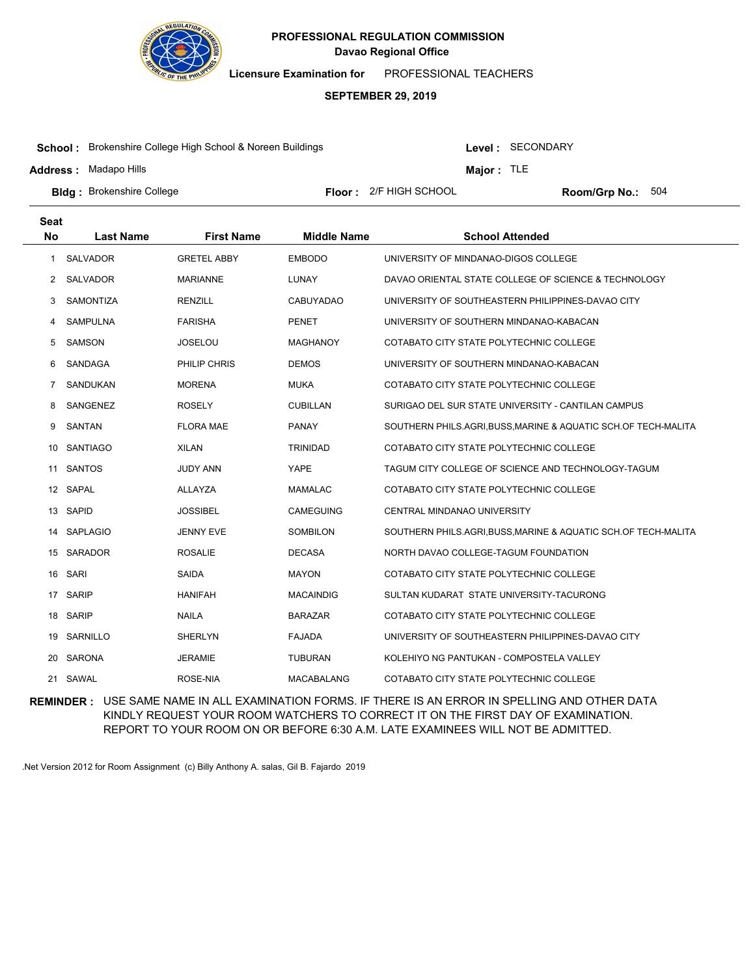

**Licensure Examination for**  PROFESSIONAL TEACHERS

#### **SEPTEMBER 29, 2019**

**School :** Brokenshire College High School & Noreen Buildings

**Address :** Madapo Hills

Level : SECONDARY

**Major :** TLE

**Bldg :** Brokenshire College **All Example 20 Floor :** 2/F HIGH SCHOOL **Room/Grp No.: Room/Grp No.:** 

Floor: 2/F HIGH SCHOOL Room/Grp No.: 504

| <b>Seat</b>    |                  |                    |                    |                                                                |
|----------------|------------------|--------------------|--------------------|----------------------------------------------------------------|
| No             | <b>Last Name</b> | <b>First Name</b>  | <b>Middle Name</b> | <b>School Attended</b>                                         |
| 1              | <b>SALVADOR</b>  | <b>GRETEL ABBY</b> | <b>EMBODO</b>      | UNIVERSITY OF MINDANAO-DIGOS COLLEGE                           |
| 2              | SALVADOR         | MARIANNE           | LUNAY              | DAVAO ORIENTAL STATE COLLEGE OF SCIENCE & TECHNOLOGY           |
| 3              | <b>SAMONTIZA</b> | <b>RENZILL</b>     | <b>CABUYADAO</b>   | UNIVERSITY OF SOUTHEASTERN PHILIPPINES-DAVAO CITY              |
| 4              | <b>SAMPULNA</b>  | <b>FARISHA</b>     | <b>PENET</b>       | UNIVERSITY OF SOUTHERN MINDANAO-KABACAN                        |
| 5              | <b>SAMSON</b>    | <b>JOSELOU</b>     | <b>MAGHANOY</b>    | COTABATO CITY STATE POLYTECHNIC COLLEGE                        |
| 6              | SANDAGA          | PHILIP CHRIS       | <b>DEMOS</b>       | UNIVERSITY OF SOUTHERN MINDANAO-KABACAN                        |
| $\overline{7}$ | SANDUKAN         | <b>MORENA</b>      | <b>MUKA</b>        | COTABATO CITY STATE POLYTECHNIC COLLEGE                        |
| 8              | SANGENEZ         | <b>ROSELY</b>      | <b>CUBILLAN</b>    | SURIGAO DEL SUR STATE UNIVERSITY - CANTILAN CAMPUS             |
| 9              | <b>SANTAN</b>    | <b>FLORA MAE</b>   | PANAY              | SOUTHERN PHILS.AGRI, BUSS, MARINE & AQUATIC SCH.OF TECH-MALITA |
| 10             | <b>SANTIAGO</b>  | <b>XILAN</b>       | <b>TRINIDAD</b>    | COTABATO CITY STATE POLYTECHNIC COLLEGE                        |
| 11             | <b>SANTOS</b>    | <b>JUDY ANN</b>    | YAPE               | TAGUM CITY COLLEGE OF SCIENCE AND TECHNOLOGY-TAGUM             |
|                | 12 SAPAL         | ALLAYZA            | <b>MAMALAC</b>     | COTABATO CITY STATE POLYTECHNIC COLLEGE                        |
| 13             | SAPID            | <b>JOSSIBEL</b>    | <b>CAMEGUING</b>   | CENTRAL MINDANAO UNIVERSITY                                    |
| 14             | <b>SAPLAGIO</b>  | <b>JENNY EVE</b>   | SOMBILON           | SOUTHERN PHILS.AGRI, BUSS, MARINE & AQUATIC SCH.OF TECH-MALITA |
|                | 15 SARADOR       | <b>ROSALIE</b>     | <b>DECASA</b>      | NORTH DAVAO COLLEGE-TAGUM FOUNDATION                           |
| 16             | <b>SARI</b>      | <b>SAIDA</b>       | <b>MAYON</b>       | COTABATO CITY STATE POLYTECHNIC COLLEGE                        |
| 17             | <b>SARIP</b>     | <b>HANIFAH</b>     | <b>MACAINDIG</b>   | SULTAN KUDARAT STATE UNIVERSITY-TACURONG                       |
|                | 18 SARIP         | <b>NAILA</b>       | <b>BARAZAR</b>     | COTABATO CITY STATE POLYTECHNIC COLLEGE                        |
| 19             | SARNILLO         | <b>SHERLYN</b>     | <b>FAJADA</b>      | UNIVERSITY OF SOUTHEASTERN PHILIPPINES-DAVAO CITY              |
| 20             | SARONA           | <b>JERAMIE</b>     | <b>TUBURAN</b>     | KOLEHIYO NG PANTUKAN - COMPOSTELA VALLEY                       |
|                | 21 SAWAL         | ROSE-NIA           | <b>MACABALANG</b>  | COTABATO CITY STATE POLYTECHNIC COLLEGE                        |

**REMINDER :** USE SAME NAME IN ALL EXAMINATION FORMS. IF THERE IS AN ERROR IN SPELLING AND OTHER DATA KINDLY REQUEST YOUR ROOM WATCHERS TO CORRECT IT ON THE FIRST DAY OF EXAMINATION. REPORT TO YOUR ROOM ON OR BEFORE 6:30 A.M. LATE EXAMINEES WILL NOT BE ADMITTED.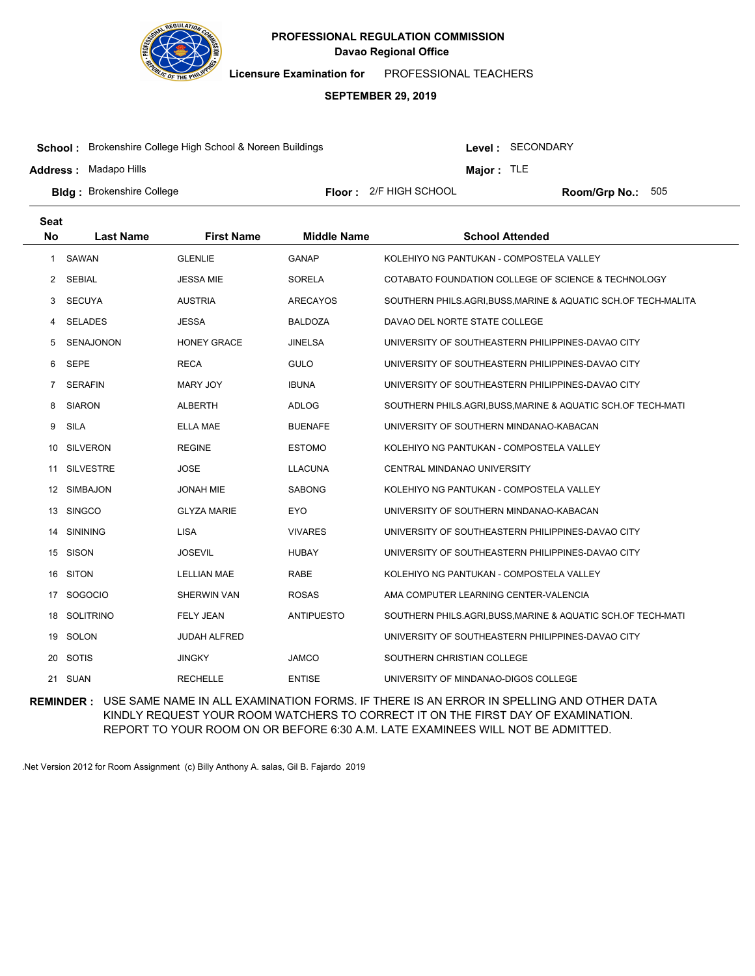

**Licensure Examination for**  PROFESSIONAL TEACHERS

#### **SEPTEMBER 29, 2019**

**School :** Brokenshire College High School & Noreen Buildings

**Address :** Madapo Hills

Level : SECONDARY

**Major :** TLE

**Bldg :** Brokenshire College **All Example 20 Floor :** 2/F HIGH SCHOOL **Room/Grp No.: Room/Grp No.:** 

Floor: 2/F HIGH SCHOOL Room/Grp No.: 505

| <b>Seat</b>    |                  |                     |                    |                                                                |
|----------------|------------------|---------------------|--------------------|----------------------------------------------------------------|
| <b>No</b>      | <b>Last Name</b> | <b>First Name</b>   | <b>Middle Name</b> | <b>School Attended</b>                                         |
| 1              | SAWAN            | <b>GLENLIE</b>      | <b>GANAP</b>       | KOLEHIYO NG PANTUKAN - COMPOSTELA VALLEY                       |
| 2              | <b>SEBIAL</b>    | <b>JESSA MIE</b>    | SORELA             | COTABATO FOUNDATION COLLEGE OF SCIENCE & TECHNOLOGY            |
| 3              | <b>SECUYA</b>    | <b>AUSTRIA</b>      | <b>ARECAYOS</b>    | SOUTHERN PHILS.AGRI, BUSS, MARINE & AQUATIC SCH.OF TECH-MALITA |
| 4              | <b>SELADES</b>   | <b>JESSA</b>        | <b>BALDOZA</b>     | DAVAO DEL NORTE STATE COLLEGE                                  |
| 5              | <b>SENAJONON</b> | <b>HONEY GRACE</b>  | <b>JINELSA</b>     | UNIVERSITY OF SOUTHEASTERN PHILIPPINES-DAVAO CITY              |
| 6              | <b>SEPE</b>      | <b>RECA</b>         | <b>GULO</b>        | UNIVERSITY OF SOUTHEASTERN PHILIPPINES-DAVAO CITY              |
| $\overline{7}$ | <b>SERAFIN</b>   | MARY JOY            | <b>IBUNA</b>       | UNIVERSITY OF SOUTHEASTERN PHILIPPINES-DAVAO CITY              |
| 8              | <b>SIARON</b>    | <b>ALBERTH</b>      | ADLOG              | SOUTHERN PHILS.AGRI,BUSS,MARINE & AQUATIC SCH.OF TECH-MATI     |
| 9              | <b>SILA</b>      | ELLA MAE            | <b>BUENAFE</b>     | UNIVERSITY OF SOUTHERN MINDANAO-KABACAN                        |
| 10             | <b>SILVERON</b>  | <b>REGINE</b>       | <b>ESTOMO</b>      | KOLEHIYO NG PANTUKAN - COMPOSTELA VALLEY                       |
| 11             | <b>SILVESTRE</b> | <b>JOSE</b>         | <b>LLACUNA</b>     | CENTRAL MINDANAO UNIVERSITY                                    |
|                | 12 SIMBAJON      | <b>JONAH MIE</b>    | <b>SABONG</b>      | KOLEHIYO NG PANTUKAN - COMPOSTELA VALLEY                       |
| 13             | <b>SINGCO</b>    | <b>GLYZA MARIE</b>  | <b>EYO</b>         | UNIVERSITY OF SOUTHERN MINDANAO-KABACAN                        |
| 14             | <b>SININING</b>  | <b>LISA</b>         | <b>VIVARES</b>     | UNIVERSITY OF SOUTHEASTERN PHILIPPINES-DAVAO CITY              |
|                | 15 SISON         | <b>JOSEVIL</b>      | <b>HUBAY</b>       | UNIVERSITY OF SOUTHEASTERN PHILIPPINES-DAVAO CITY              |
| 16             | <b>SITON</b>     | <b>LELLIAN MAE</b>  | <b>RABE</b>        | KOLEHIYO NG PANTUKAN - COMPOSTELA VALLEY                       |
| 17             | SOGOCIO          | SHERWIN VAN         | <b>ROSAS</b>       | AMA COMPUTER LEARNING CENTER-VALENCIA                          |
| 18             | <b>SOLITRINO</b> | <b>FELY JEAN</b>    | <b>ANTIPUESTO</b>  | SOUTHERN PHILS.AGRI, BUSS, MARINE & AQUATIC SCH.OF TECH-MATI   |
|                | 19 SOLON         | <b>JUDAH ALFRED</b> |                    | UNIVERSITY OF SOUTHEASTERN PHILIPPINES-DAVAO CITY              |
|                | 20 SOTIS         | <b>JINGKY</b>       | <b>JAMCO</b>       | SOUTHERN CHRISTIAN COLLEGE                                     |
|                | 21 SUAN          | <b>RECHELLE</b>     | <b>ENTISE</b>      | UNIVERSITY OF MINDANAO-DIGOS COLLEGE                           |

**REMINDER :** USE SAME NAME IN ALL EXAMINATION FORMS. IF THERE IS AN ERROR IN SPELLING AND OTHER DATA KINDLY REQUEST YOUR ROOM WATCHERS TO CORRECT IT ON THE FIRST DAY OF EXAMINATION. REPORT TO YOUR ROOM ON OR BEFORE 6:30 A.M. LATE EXAMINEES WILL NOT BE ADMITTED.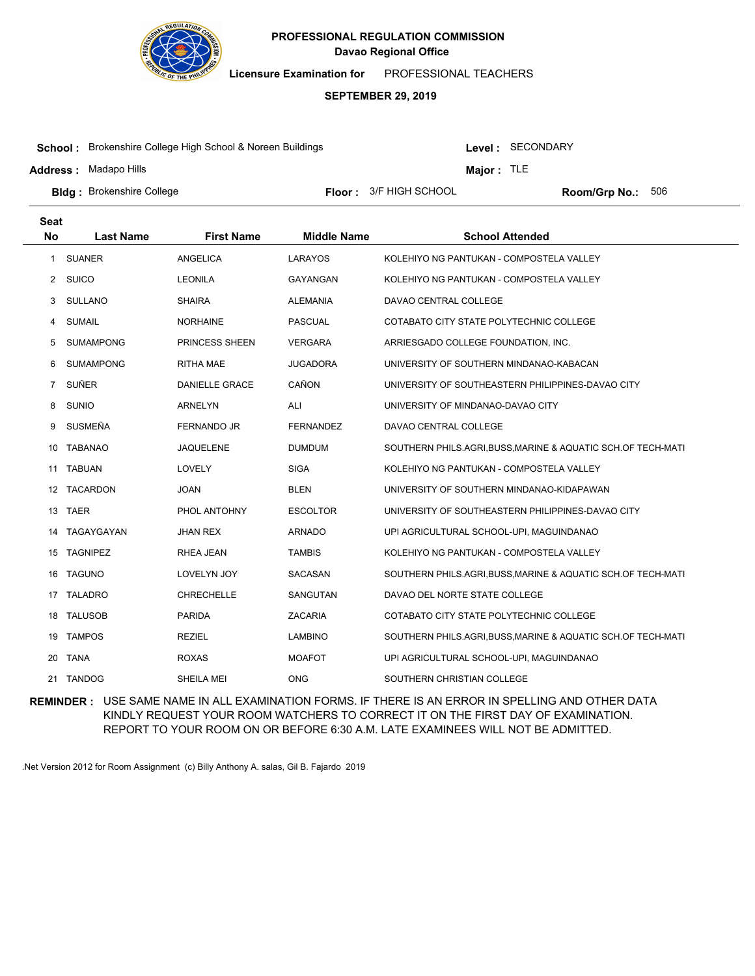

**Licensure Examination for**  PROFESSIONAL TEACHERS

#### **SEPTEMBER 29, 2019**

**School :** Brokenshire College High School & Noreen Buildings

**Address :** Madapo Hills

Level : SECONDARY

**Major :** TLE

**Bldg :** Brokenshire College **All end and Science College College College Area Floor : 3/F HIGH SCHOOL <b>Room/Grp No.:** 

Floor: 3/F HIGH SCHOOL Room/Grp No.: 506

| <b>Seat</b>           |                  |                   |                    |                                                              |
|-----------------------|------------------|-------------------|--------------------|--------------------------------------------------------------|
| <b>No</b>             | <b>Last Name</b> | <b>First Name</b> | <b>Middle Name</b> | <b>School Attended</b>                                       |
| 1                     | <b>SUANER</b>    | ANGELICA          | LARAYOS            | KOLEHIYO NG PANTUKAN - COMPOSTELA VALLEY                     |
| $\mathbf{2}^{\prime}$ | <b>SUICO</b>     | <b>LEONILA</b>    | GAYANGAN           | KOLEHIYO NG PANTUKAN - COMPOSTELA VALLEY                     |
| 3                     | SULLANO          | <b>SHAIRA</b>     | <b>ALEMANIA</b>    | DAVAO CENTRAL COLLEGE                                        |
| 4                     | <b>SUMAIL</b>    | <b>NORHAINE</b>   | <b>PASCUAL</b>     | COTABATO CITY STATE POLYTECHNIC COLLEGE                      |
| 5                     | <b>SUMAMPONG</b> | PRINCESS SHEEN    | <b>VERGARA</b>     | ARRIESGADO COLLEGE FOUNDATION, INC.                          |
| 6                     | SUMAMPONG        | <b>RITHA MAE</b>  | <b>JUGADORA</b>    | UNIVERSITY OF SOUTHERN MINDANAO-KABACAN                      |
| $\overline{7}$        | SUÑER            | DANIELLE GRACE    | CAÑON              | UNIVERSITY OF SOUTHEASTERN PHILIPPINES-DAVAO CITY            |
| 8                     | <b>SUNIO</b>     | <b>ARNELYN</b>    | ALI                | UNIVERSITY OF MINDANAO-DAVAO CITY                            |
| 9                     | SUSMEÑA          | FERNANDO JR       | <b>FERNANDEZ</b>   | DAVAO CENTRAL COLLEGE                                        |
| 10                    | <b>TABANAO</b>   | <b>JAQUELENE</b>  | <b>DUMDUM</b>      | SOUTHERN PHILS.AGRI, BUSS, MARINE & AQUATIC SCH.OF TECH-MATI |
|                       | 11 TABUAN        | LOVELY            | <b>SIGA</b>        | KOLEHIYO NG PANTUKAN - COMPOSTELA VALLEY                     |
|                       | 12 TACARDON      | <b>JOAN</b>       | BLEN               | UNIVERSITY OF SOUTHERN MINDANAO-KIDAPAWAN                    |
| 13                    | <b>TAER</b>      | PHOL ANTOHNY      | <b>ESCOLTOR</b>    | UNIVERSITY OF SOUTHEASTERN PHILIPPINES-DAVAO CITY            |
| 14                    | TAGAYGAYAN       | <b>JHAN REX</b>   | <b>ARNADO</b>      | UPI AGRICULTURAL SCHOOL-UPI, MAGUINDANAO                     |
| 15                    | <b>TAGNIPEZ</b>  | <b>RHEA JEAN</b>  | <b>TAMBIS</b>      | KOLEHIYO NG PANTUKAN - COMPOSTELA VALLEY                     |
| 16                    | <b>TAGUNO</b>    | LOVELYN JOY       | SACASAN            | SOUTHERN PHILS.AGRI, BUSS, MARINE & AQUATIC SCH.OF TECH-MATI |
|                       | 17 TALADRO       | <b>CHRECHELLE</b> | SANGUTAN           | DAVAO DEL NORTE STATE COLLEGE                                |
| 18                    | <b>TALUSOB</b>   | <b>PARIDA</b>     | <b>ZACARIA</b>     | COTABATO CITY STATE POLYTECHNIC COLLEGE                      |
| 19                    | <b>TAMPOS</b>    | <b>REZIEL</b>     | <b>LAMBINO</b>     | SOUTHERN PHILS.AGRI, BUSS, MARINE & AQUATIC SCH.OF TECH-MATI |
|                       | 20 TANA          | <b>ROXAS</b>      | <b>MOAFOT</b>      | UPI AGRICULTURAL SCHOOL-UPI, MAGUINDANAO                     |
|                       | 21 TANDOG        | SHEILA MEI        | ONG.               | SOUTHERN CHRISTIAN COLLEGE                                   |

**REMINDER :** USE SAME NAME IN ALL EXAMINATION FORMS. IF THERE IS AN ERROR IN SPELLING AND OTHER DATA KINDLY REQUEST YOUR ROOM WATCHERS TO CORRECT IT ON THE FIRST DAY OF EXAMINATION. REPORT TO YOUR ROOM ON OR BEFORE 6:30 A.M. LATE EXAMINEES WILL NOT BE ADMITTED.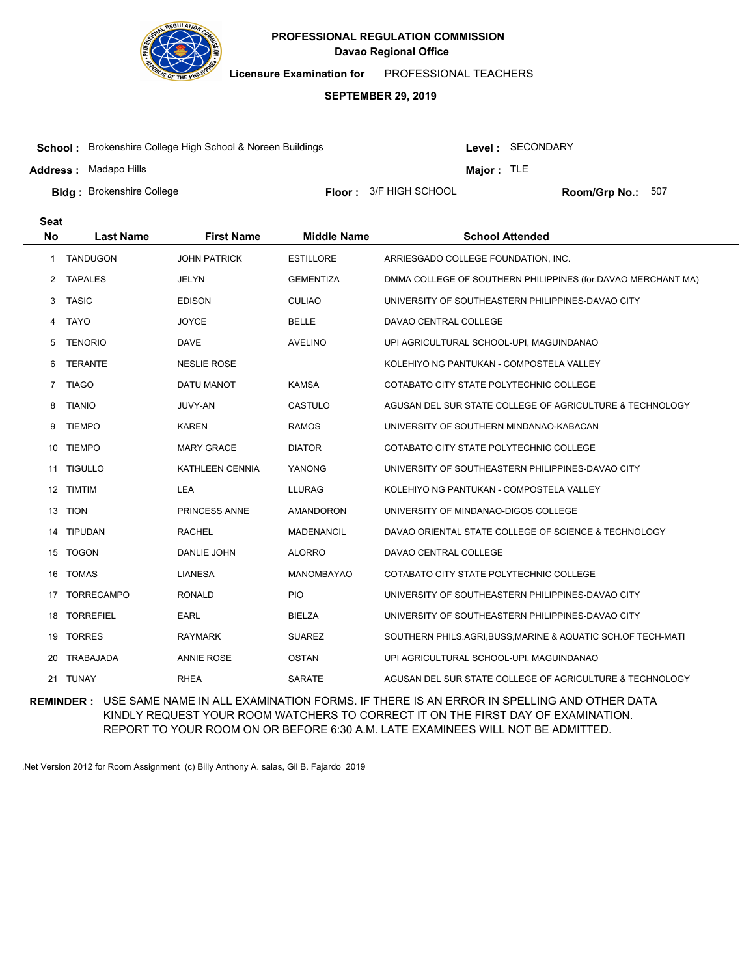

**Licensure Examination for**  PROFESSIONAL TEACHERS

#### **SEPTEMBER 29, 2019**

**School :** Brokenshire College High School & Noreen Buildings

**Address :** Madapo Hills

Level : SECONDARY

**Major :** TLE

**Bldg :** Brokenshire College **All end and Science College College College Area Floor : 3/F HIGH SCHOOL <b>Room/Grp No.:** Floor: 3/F HIGH SCHOOL Room/Grp No.: 507

| <b>Seat</b>    |                   |                      |                    |                                                              |
|----------------|-------------------|----------------------|--------------------|--------------------------------------------------------------|
| <b>No</b>      | <b>Last Name</b>  | <b>First Name</b>    | <b>Middle Name</b> | <b>School Attended</b>                                       |
| 1              | <b>TANDUGON</b>   | <b>JOHN PATRICK</b>  | <b>ESTILLORE</b>   | ARRIESGADO COLLEGE FOUNDATION, INC.                          |
| 2              | <b>TAPALES</b>    | JELYN                | <b>GEMENTIZA</b>   | DMMA COLLEGE OF SOUTHERN PHILIPPINES (for.DAVAO MERCHANT MA) |
| 3              | <b>TASIC</b>      | <b>EDISON</b>        | <b>CULIAO</b>      | UNIVERSITY OF SOUTHEASTERN PHILIPPINES-DAVAO CITY            |
| 4              | <b>TAYO</b>       | <b>JOYCE</b>         | <b>BELLE</b>       | DAVAO CENTRAL COLLEGE                                        |
| 5              | <b>TENORIO</b>    | <b>DAVE</b>          | <b>AVELINO</b>     | UPI AGRICULTURAL SCHOOL-UPI, MAGUINDANAO                     |
| 6              | <b>TERANTE</b>    | <b>NESLIE ROSE</b>   |                    | KOLEHIYO NG PANTUKAN - COMPOSTELA VALLEY                     |
| $\overline{7}$ | <b>TIAGO</b>      | DATU MANOT           | <b>KAMSA</b>       | COTABATO CITY STATE POLYTECHNIC COLLEGE                      |
| 8              | <b>TIANIO</b>     | <b>JUVY-AN</b>       | CASTULO            | AGUSAN DEL SUR STATE COLLEGE OF AGRICULTURE & TECHNOLOGY     |
| 9              | <b>TIEMPO</b>     | <b>KAREN</b>         | <b>RAMOS</b>       | UNIVERSITY OF SOUTHERN MINDANAO-KABACAN                      |
| 10             | <b>TIEMPO</b>     | <b>MARY GRACE</b>    | <b>DIATOR</b>      | COTABATO CITY STATE POLYTECHNIC COLLEGE                      |
| 11             | <b>TIGULLO</b>    | KATHLEEN CENNIA      | YANONG             | UNIVERSITY OF SOUTHEASTERN PHILIPPINES-DAVAO CITY            |
|                | 12 TIMTIM         | <b>LEA</b>           | <b>LLURAG</b>      | KOLEHIYO NG PANTUKAN - COMPOSTELA VALLEY                     |
| 13             | <b>TION</b>       | <b>PRINCESS ANNE</b> | <b>AMANDORON</b>   | UNIVERSITY OF MINDANAO-DIGOS COLLEGE                         |
| 14             | <b>TIPUDAN</b>    | <b>RACHEL</b>        | <b>MADENANCIL</b>  | DAVAO ORIENTAL STATE COLLEGE OF SCIENCE & TECHNOLOGY         |
|                | 15 TOGON          | DANLIE JOHN          | <b>ALORRO</b>      | DAVAO CENTRAL COLLEGE                                        |
| 16             | <b>TOMAS</b>      | <b>LIANESA</b>       | <b>MANOMBAYAO</b>  | COTABATO CITY STATE POLYTECHNIC COLLEGE                      |
| 17             | <b>TORRECAMPO</b> | <b>RONALD</b>        | <b>PIO</b>         | UNIVERSITY OF SOUTHEASTERN PHILIPPINES-DAVAO CITY            |
| 18             | <b>TORREFIEL</b>  | <b>EARL</b>          | <b>BIELZA</b>      | UNIVERSITY OF SOUTHEASTERN PHILIPPINES-DAVAO CITY            |
| 19             | <b>TORRES</b>     | <b>RAYMARK</b>       | <b>SUAREZ</b>      | SOUTHERN PHILS.AGRI, BUSS, MARINE & AQUATIC SCH.OF TECH-MATI |
| 20             | <b>TRABAJADA</b>  | <b>ANNIE ROSE</b>    | <b>OSTAN</b>       | UPI AGRICULTURAL SCHOOL-UPI, MAGUINDANAO                     |
|                | 21 TUNAY          | <b>RHEA</b>          | <b>SARATE</b>      | AGUSAN DEL SUR STATE COLLEGE OF AGRICULTURE & TECHNOLOGY     |

**REMINDER :** USE SAME NAME IN ALL EXAMINATION FORMS. IF THERE IS AN ERROR IN SPELLING AND OTHER DATA KINDLY REQUEST YOUR ROOM WATCHERS TO CORRECT IT ON THE FIRST DAY OF EXAMINATION. REPORT TO YOUR ROOM ON OR BEFORE 6:30 A.M. LATE EXAMINEES WILL NOT BE ADMITTED.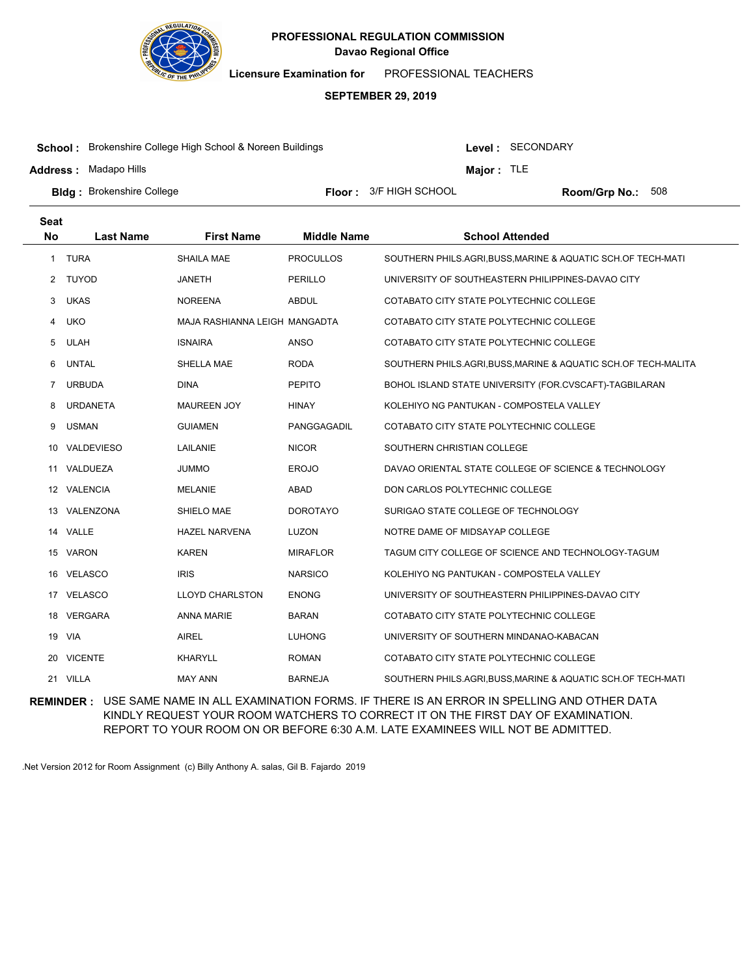

**Licensure Examination for**  PROFESSIONAL TEACHERS

# **SEPTEMBER 29, 2019**

**School :** Brokenshire College High School & Noreen Buildings

**Address :** Madapo Hills

Level : SECONDARY

**Major :** TLE

Floor: 3/F HIGH SCHOOL Room/Grp No.: 508

**Bldg :** Brokenshire College **All end and Science College College College Area Floor : 3/F HIGH SCHOOL <b>Room/Grp No.:** 

| <b>Seat</b> |                  |                               |                    |                                                                |
|-------------|------------------|-------------------------------|--------------------|----------------------------------------------------------------|
| <b>No</b>   | <b>Last Name</b> | <b>First Name</b>             | <b>Middle Name</b> | <b>School Attended</b>                                         |
| 1           | <b>TURA</b>      | <b>SHAILA MAE</b>             | <b>PROCULLOS</b>   | SOUTHERN PHILS.AGRI, BUSS, MARINE & AQUATIC SCH.OF TECH-MATI   |
| 2           | TUYOD            | JANETH                        | PERILLO            | UNIVERSITY OF SOUTHEASTERN PHILIPPINES-DAVAO CITY              |
| 3           | <b>UKAS</b>      | <b>NOREENA</b>                | <b>ABDUL</b>       | COTABATO CITY STATE POLYTECHNIC COLLEGE                        |
| 4           | <b>UKO</b>       | MAJA RASHIANNA LEIGH MANGADTA |                    | COTABATO CITY STATE POLYTECHNIC COLLEGE                        |
| 5           | <b>ULAH</b>      | <b>ISNAIRA</b>                | <b>ANSO</b>        | COTABATO CITY STATE POLYTECHNIC COLLEGE                        |
| 6           | <b>UNTAL</b>     | SHELLA MAE                    | <b>RODA</b>        | SOUTHERN PHILS.AGRI, BUSS, MARINE & AQUATIC SCH.OF TECH-MALITA |
| 7           | <b>URBUDA</b>    | <b>DINA</b>                   | <b>PEPITO</b>      | BOHOL ISLAND STATE UNIVERSITY (FOR.CVSCAFT)-TAGBILARAN         |
| 8           | <b>URDANETA</b>  | <b>MAUREEN JOY</b>            | <b>HINAY</b>       | KOLEHIYO NG PANTUKAN - COMPOSTELA VALLEY                       |
| 9           | <b>USMAN</b>     | <b>GUIAMEN</b>                | PANGGAGADIL        | COTABATO CITY STATE POLYTECHNIC COLLEGE                        |
| 10          | VALDEVIESO       | LAILANIE                      | <b>NICOR</b>       | SOUTHERN CHRISTIAN COLLEGE                                     |
|             | 11 VALDUEZA      | <b>JUMMO</b>                  | <b>EROJO</b>       | DAVAO ORIENTAL STATE COLLEGE OF SCIENCE & TECHNOLOGY           |
|             | 12 VALENCIA      | <b>MELANIE</b>                | ABAD               | DON CARLOS POLYTECHNIC COLLEGE                                 |
| 13          | VALENZONA        | SHIELO MAE                    | <b>DOROTAYO</b>    | SURIGAO STATE COLLEGE OF TECHNOLOGY                            |
|             | 14 VALLE         | <b>HAZEL NARVENA</b>          | <b>LUZON</b>       | NOTRE DAME OF MIDSAYAP COLLEGE                                 |
| 15          | VARON            | <b>KAREN</b>                  | <b>MIRAFLOR</b>    | TAGUM CITY COLLEGE OF SCIENCE AND TECHNOLOGY-TAGUM             |
| 16          | <b>VELASCO</b>   | <b>IRIS</b>                   | <b>NARSICO</b>     | KOLEHIYO NG PANTUKAN - COMPOSTELA VALLEY                       |
|             | 17 VELASCO       | <b>LLOYD CHARLSTON</b>        | <b>ENONG</b>       | UNIVERSITY OF SOUTHEASTERN PHILIPPINES-DAVAO CITY              |
| 18          | <b>VERGARA</b>   | <b>ANNA MARIE</b>             | <b>BARAN</b>       | COTABATO CITY STATE POLYTECHNIC COLLEGE                        |
|             | 19 VIA           | <b>AIREL</b>                  | <b>LUHONG</b>      | UNIVERSITY OF SOUTHERN MINDANAO-KABACAN                        |
|             | 20 VICENTE       | <b>KHARYLL</b>                | <b>ROMAN</b>       | COTABATO CITY STATE POLYTECHNIC COLLEGE                        |
|             | 21 VILLA         | <b>MAY ANN</b>                | <b>BARNEJA</b>     | SOUTHERN PHILS.AGRI, BUSS, MARINE & AQUATIC SCH.OF TECH-MATI   |

**REMINDER :** USE SAME NAME IN ALL EXAMINATION FORMS. IF THERE IS AN ERROR IN SPELLING AND OTHER DATA KINDLY REQUEST YOUR ROOM WATCHERS TO CORRECT IT ON THE FIRST DAY OF EXAMINATION. REPORT TO YOUR ROOM ON OR BEFORE 6:30 A.M. LATE EXAMINEES WILL NOT BE ADMITTED.